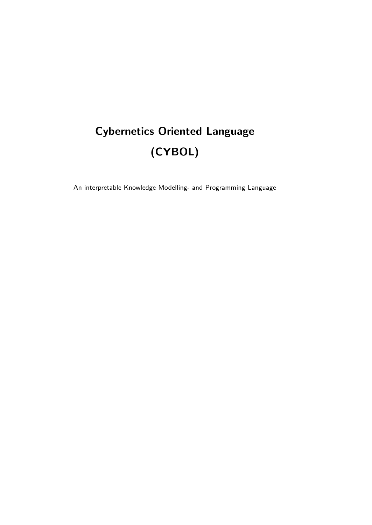# Cybernetics Oriented Language (CYBOL)

An interpretable Knowledge Modelling- and Programming Language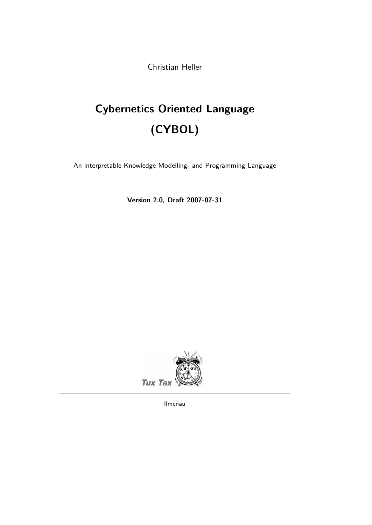Christian Heller

# Cybernetics Oriented Language (CYBOL)

An interpretable Knowledge Modelling- and Programming Language

Version 2.0, Draft 2007-07-31



Ilmenau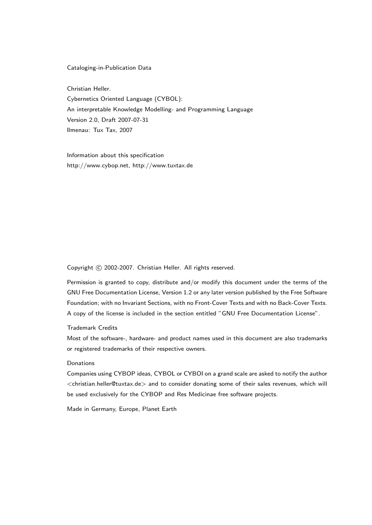#### Cataloging-in-Publication Data

Christian Heller. Cybernetics Oriented Language (CYBOL): An interpretable Knowledge Modelling- and Programming Language Version 2.0, Draft 2007-07-31 Ilmenau: Tux Tax, 2007

Information about this specification http://www.cybop.net, http://www.tuxtax.de

Copyright © 2002-2007. Christian Heller. All rights reserved.

Permission is granted to copy, distribute and/or modify this document under the terms of the GNU Free Documentation License, Version 1.2 or any later version published by the Free Software Foundation; with no Invariant Sections, with no Front-Cover Texts and with no Back-Cover Texts. A copy of the license is included in the section entitled "GNU Free Documentation License".

#### Trademark Credits

Most of the software-, hardware- and product names used in this document are also trademarks or registered trademarks of their respective owners.

#### Donations

Companies using CYBOP ideas, CYBOL or CYBOI on a grand scale are asked to notify the author <christian.heller@tuxtax.de> and to consider donating some of their sales revenues, which will be used exclusively for the CYBOP and Res Medicinae free software projects.

Made in Germany, Europe, Planet Earth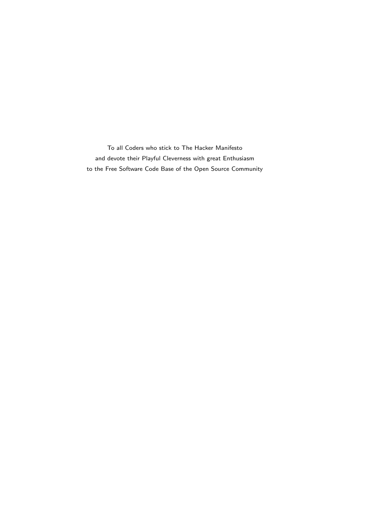To all Coders who stick to The Hacker Manifesto and devote their Playful Cleverness with great Enthusiasm to the Free Software Code Base of the Open Source Community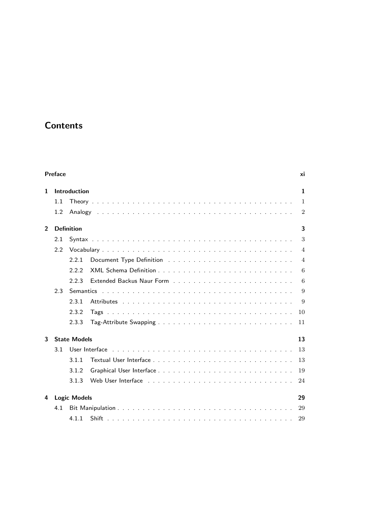## **Contents**

|                | Preface |                     |                                                                                                                                                                                                                                | xi             |
|----------------|---------|---------------------|--------------------------------------------------------------------------------------------------------------------------------------------------------------------------------------------------------------------------------|----------------|
| 1.             |         | Introduction        |                                                                                                                                                                                                                                | $\mathbf{1}$   |
|                | 1.1     |                     |                                                                                                                                                                                                                                | $\overline{1}$ |
|                | 1.2     |                     |                                                                                                                                                                                                                                | $\overline{2}$ |
| $\overline{2}$ |         | <b>Definition</b>   |                                                                                                                                                                                                                                | 3              |
|                | 2.1     |                     |                                                                                                                                                                                                                                | 3              |
|                | 22      |                     |                                                                                                                                                                                                                                | $\overline{4}$ |
|                |         | 2.2.1               |                                                                                                                                                                                                                                | $\overline{4}$ |
|                |         | 222                 |                                                                                                                                                                                                                                | 6              |
|                |         | 2.2.3               | Extended Backus Naur Form et al., and all algebraic and all algebraic services in the service of the services                                                                                                                  | 6              |
|                | 23      |                     |                                                                                                                                                                                                                                | 9              |
|                |         | 2.3.1               |                                                                                                                                                                                                                                | 9              |
|                |         | 2.3.2               |                                                                                                                                                                                                                                | 10             |
|                |         | 2.3.3               |                                                                                                                                                                                                                                | 11             |
| 3              |         | <b>State Models</b> |                                                                                                                                                                                                                                | 13             |
|                | 31      |                     | User Interface research and the User Contact the Contact of the Contact of the User Contact the User Contact of the User Contact the User Contact the User Contact the User Contact the User Contact the User Contact the User | 13             |
|                |         | 311                 |                                                                                                                                                                                                                                | 13             |
|                |         | 3.1.2               |                                                                                                                                                                                                                                | 19             |
|                |         | 313                 |                                                                                                                                                                                                                                | 24             |
| 4              |         | <b>Logic Models</b> |                                                                                                                                                                                                                                | 29             |
|                | 4.1     |                     |                                                                                                                                                                                                                                | 29             |
|                |         | 411                 |                                                                                                                                                                                                                                | 29             |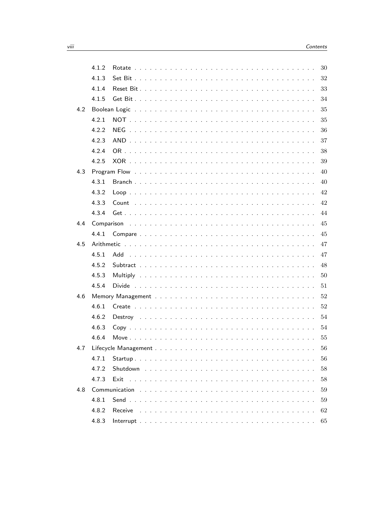|     | 4.1.2      |                                                                                  | 30 |
|-----|------------|----------------------------------------------------------------------------------|----|
|     | 4.1.3      |                                                                                  | 32 |
|     | 4.1.4      |                                                                                  | 33 |
|     | 4.1.5      |                                                                                  | 34 |
| 4.2 |            |                                                                                  | 35 |
|     | 4.2.1      | <b>NOT</b>                                                                       | 35 |
|     | 4.2.2      | NEG                                                                              | 36 |
|     | 4.2.3      | <b>AND</b>                                                                       | 37 |
|     | 4.2.4      |                                                                                  | 38 |
|     | 4.2.5      |                                                                                  | 39 |
| 4.3 |            | Program Flow                                                                     | 40 |
|     | 4.3.1      |                                                                                  | 40 |
|     | 4.3.2      | $Loop \nightharpoonup$ .                                                         | 42 |
|     | 4.3.3      | Count<br>$\sim$<br>$\mathbf{r}$<br>$\sim$ $\sim$ $\sim$                          | 42 |
|     | 4.3.4      | $Get \ldots \ldots$<br>$\sim$<br>$\sim 10$                                       | 44 |
| 4.4 | Comparison |                                                                                  | 45 |
|     | 4.4.1      |                                                                                  | 45 |
| 4.5 |            |                                                                                  | 47 |
|     | 4.5.1      | Add                                                                              | 47 |
|     | 4.5.2      |                                                                                  | 48 |
|     | 4.5.3      | Multiply                                                                         | 50 |
|     | 4.5.4      | Divide                                                                           | 51 |
| 4.6 |            |                                                                                  | 52 |
|     | 4.6.1      |                                                                                  | 52 |
|     | 4.6.2      | Destroy                                                                          | 54 |
|     | 4.6.3      |                                                                                  | 54 |
|     | 4.6.4      | Move $\ldots$ .<br>$\sim$ $\sim$                                                 | 55 |
| 4.7 |            | $\sim$ 100 $\sim$                                                                | 56 |
|     | 4.7.1      | Startup<br>.<br>$\sim$ $\sim$<br>$\sim$ $\sim$<br>$\sim$ $\sim$<br>$\sim$ $\sim$ | 56 |
|     | 4.7.2      |                                                                                  | 58 |
|     | 4.7.3      | Exit                                                                             | 58 |
| 4.8 |            | Communication                                                                    | 59 |
|     | 4.8.1      | Send                                                                             | 59 |
|     | 4.8.2      | Receive                                                                          | 62 |
|     | 4.8.3      |                                                                                  | 65 |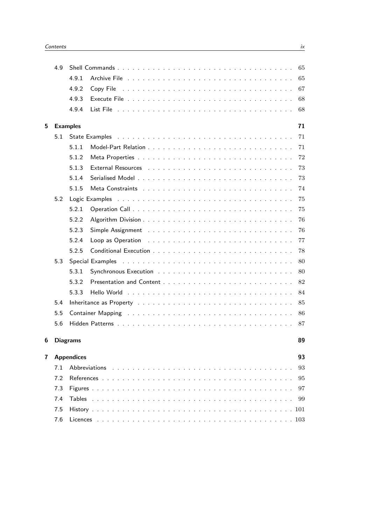|   | 4.9             |                                                                                                                                                                                                                                | 65     |
|---|-----------------|--------------------------------------------------------------------------------------------------------------------------------------------------------------------------------------------------------------------------------|--------|
|   |                 | 4.9.1                                                                                                                                                                                                                          | 65     |
|   |                 | 4.9.2<br>Copy File                                                                                                                                                                                                             | 67     |
|   |                 | 4.9.3                                                                                                                                                                                                                          | 68     |
|   |                 | 4.9.4                                                                                                                                                                                                                          | 68     |
| 5 | <b>Examples</b> |                                                                                                                                                                                                                                | 71     |
|   | 5.1             | State Examples                                                                                                                                                                                                                 | 71     |
|   |                 | 5.1.1                                                                                                                                                                                                                          | $71\,$ |
|   |                 | 5.1.2                                                                                                                                                                                                                          | 72     |
|   |                 | 5.1.3                                                                                                                                                                                                                          | 73     |
|   |                 | 5.1.4                                                                                                                                                                                                                          | 73     |
|   |                 | 5.1.5                                                                                                                                                                                                                          | 74     |
|   | 5.2             | Logic Examples                                                                                                                                                                                                                 | 75     |
|   |                 | 5.2.1                                                                                                                                                                                                                          | 75     |
|   |                 | 5.2.2                                                                                                                                                                                                                          | 76     |
|   |                 | 5.2.3                                                                                                                                                                                                                          | 76     |
|   |                 | 5.2.4                                                                                                                                                                                                                          | 77     |
|   |                 | 5.2.5<br>Conditional Execution $\ldots$ , $\ldots$ , $\ldots$ , $\ldots$ , $\ldots$ , $\ldots$ , $\ldots$ , $\ldots$ , $\ldots$                                                                                                | 78     |
|   | 5.3             | Special Examples                                                                                                                                                                                                               | 80     |
|   |                 | 5.3.1                                                                                                                                                                                                                          | 80     |
|   |                 | 5.3.2                                                                                                                                                                                                                          | 82     |
|   |                 | 5.3.3                                                                                                                                                                                                                          | 84     |
|   | 5.4             | Inheritance as Property enterpreteration of the contract of the contract of the contract of the contract of the contract of the contract of the contract of the contract of the contract of the contract of the contract of th | 85     |
|   | 5.5             |                                                                                                                                                                                                                                | 86     |
|   | 5.6             |                                                                                                                                                                                                                                | 87     |
| 6 | <b>Diagrams</b> |                                                                                                                                                                                                                                | 89     |
| 7 |                 | <b>Appendices</b>                                                                                                                                                                                                              | 93     |
|   | 7.1             | <b>Abbreviations</b>                                                                                                                                                                                                           | 93     |
|   | 7.2             |                                                                                                                                                                                                                                | 95     |
|   | 7.3             |                                                                                                                                                                                                                                | 97     |
|   | 7.4             | Tables                                                                                                                                                                                                                         | 99     |
|   | 7.5             |                                                                                                                                                                                                                                |        |
|   | 7.6             |                                                                                                                                                                                                                                |        |
|   |                 |                                                                                                                                                                                                                                |        |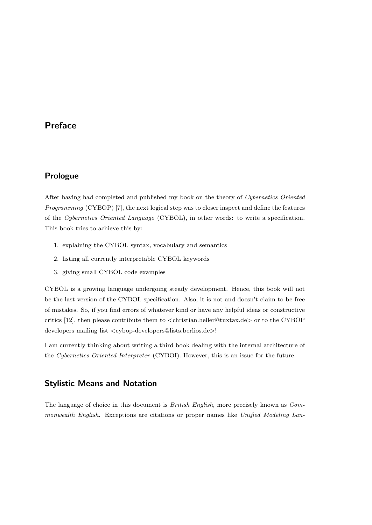## Preface

## Prologue

After having had completed and published my book on the theory of Cybernetics Oriented Programming (CYBOP) [7], the next logical step was to closer inspect and define the features of the Cybernetics Oriented Language (CYBOL), in other words: to write a specification. This book tries to achieve this by:

- 1. explaining the CYBOL syntax, vocabulary and semantics
- 2. listing all currently interpretable CYBOL keywords
- 3. giving small CYBOL code examples

CYBOL is a growing language undergoing steady development. Hence, this book will not be the last version of the CYBOL specification. Also, it is not and doesn't claim to be free of mistakes. So, if you find errors of whatever kind or have any helpful ideas or constructive critics  $[12]$ , then please contribute them to  $\langle$ christian.heller@tuxtax.de $\rangle$  or to the CYBOP developers mailing list <cybop-developers@lists.berlios.de>!

I am currently thinking about writing a third book dealing with the internal architecture of the Cybernetics Oriented Interpreter (CYBOI). However, this is an issue for the future.

## Stylistic Means and Notation

The language of choice in this document is British English, more precisely known as Commonwealth English. Exceptions are citations or proper names like Unified Modeling Lan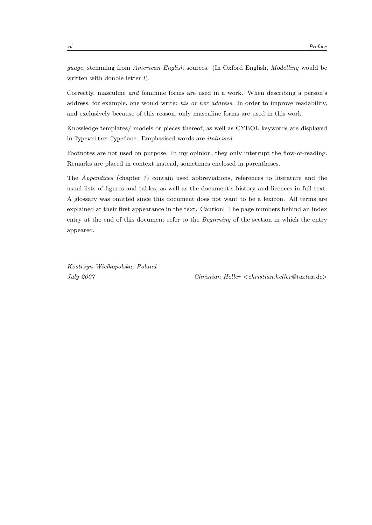guage, stemming from American English sources. (In Oxford English, Modelling would be written with double letter  $l$ ).

Correctly, masculine and feminine forms are used in a work. When describing a person's address, for example, one would write: *his or her address*. In order to improve readability, and exclusively because of this reason, only masculine forms are used in this work.

Knowledge templates/ models or pieces thereof, as well as CYBOL keywords are displayed in Typewriter Typeface. Emphasised words are *italicised*.

Footnotes are not used on purpose. In my opinion, they only interrupt the flow-of-reading. Remarks are placed in context instead, sometimes enclosed in parentheses.

The Appendices (chapter 7) contain used abbreviations, references to literature and the usual lists of figures and tables, as well as the document's history and licences in full text. A glossary was omitted since this document does not want to be a lexicon. All terms are explained at their first appearance in the text. Caution! The page numbers behind an index entry at the end of this document refer to the Beginning of the section in which the entry appeared.

Kostrzyn Wielkopolska, Poland

July 2007 Christian Heller <christian.heller@tuxtax.de>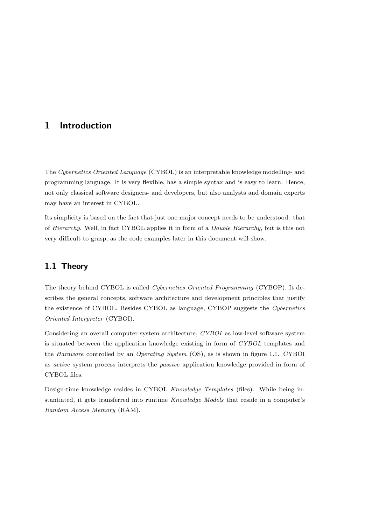## 1 Introduction

The Cybernetics Oriented Language (CYBOL) is an interpretable knowledge modelling- and programming language. It is very flexible, has a simple syntax and is easy to learn. Hence, not only classical software designers- and developers, but also analysts and domain experts may have an interest in CYBOL.

Its simplicity is based on the fact that just one major concept needs to be understood: that of Hierarchy. Well, in fact CYBOL applies it in form of a Double Hierarchy, but is this not very difficult to grasp, as the code examples later in this document will show.

## 1.1 Theory

The theory behind CYBOL is called Cybernetics Oriented Programming (CYBOP). It describes the general concepts, software architecture and development principles that justify the existence of CYBOL. Besides CYBOL as language, CYBOP suggests the Cybernetics Oriented Interpreter (CYBOI).

Considering an overall computer system architecture, CYBOI as low-level software system is situated between the application knowledge existing in form of CYBOL templates and the *Hardware* controlled by an *Operating System* (OS), as is shown in figure 1.1. CYBOI as active system process interprets the passive application knowledge provided in form of CYBOL files.

Design-time knowledge resides in CYBOL Knowledge Templates (files). While being instantiated, it gets transferred into runtime Knowledge Models that reside in a computer's Random Access Memory (RAM).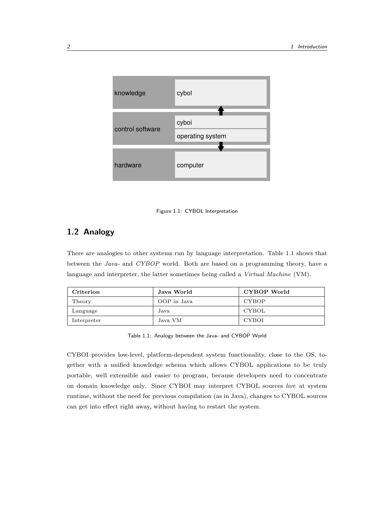

Figure 1.1: CYBOL Interpretation

## 1.2 Analogy

There are analogies to other systems run by language interpretation. Table 1.1 shows that between the Java- and CYBOP world. Both are based on a programming theory, have a language and interpreter, the latter sometimes being called a Virtual Machine (VM).

| Criterion   | Java World  | CYBOP World  |
|-------------|-------------|--------------|
| Theory      | OOP in Java | <b>CYBOP</b> |
| Language    | Java        | CYBOL        |
| Interpreter | Java VM     | <b>CYBOI</b> |

Table 1.1: Analogy between the Java- and CYBOP World

CYBOI provides low-level, platform-dependent system functionality, close to the OS, together with a unified knowledge schema which allows CYBOL applications to be truly portable, well extensible and easier to program, because developers need to concentrate on domain knowledge only. Since CYBOI may interpret CYBOL sources live at system runtime, without the need for previous compilation (as in Java), changes to CYBOL sources can get into effect right away, without having to restart the system.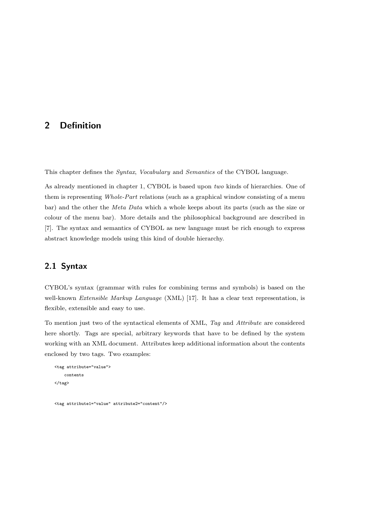## 2 Definition

This chapter defines the *Syntax*, *Vocabulary* and *Semantics* of the CYBOL language.

As already mentioned in chapter 1, CYBOL is based upon two kinds of hierarchies. One of them is representing Whole-Part relations (such as a graphical window consisting of a menu bar) and the other the Meta Data which a whole keeps about its parts (such as the size or colour of the menu bar). More details and the philosophical background are described in [7]. The syntax and semantics of CYBOL as new language must be rich enough to express abstract knowledge models using this kind of double hierarchy.

## 2.1 Syntax

CYBOL's syntax (grammar with rules for combining terms and symbols) is based on the well-known Extensible Markup Language (XML) [17]. It has a clear text representation, is flexible, extensible and easy to use.

To mention just two of the syntactical elements of XML, Tag and Attribute are considered here shortly. Tags are special, arbitrary keywords that have to be defined by the system working with an XML document. Attributes keep additional information about the contents enclosed by two tags. Two examples:

```
<tag attribute="value">
    contents
\langle/tag>
```
<tag attribute1="value" attribute2="content"/>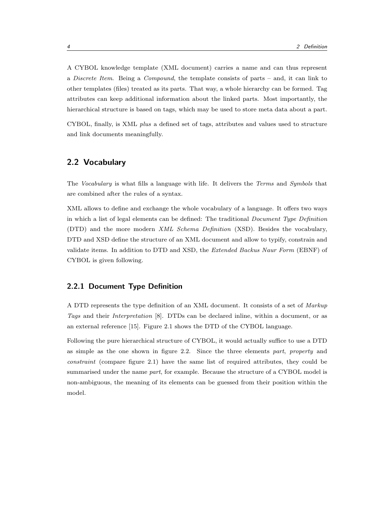A CYBOL knowledge template (XML document) carries a name and can thus represent a *Discrete Item.* Being a *Compound*, the template consists of parts – and, it can link to other templates (files) treated as its parts. That way, a whole hierarchy can be formed. Tag attributes can keep additional information about the linked parts. Most importantly, the hierarchical structure is based on tags, which may be used to store meta data about a part.

CYBOL, finally, is XML plus a defined set of tags, attributes and values used to structure and link documents meaningfully.

## 2.2 Vocabulary

The Vocabulary is what fills a language with life. It delivers the Terms and Symbols that are combined after the rules of a syntax.

XML allows to define and exchange the whole vocabulary of a language. It offers two ways in which a list of legal elements can be defined: The traditional Document Type Definition (DTD) and the more modern XML Schema Definition (XSD). Besides the vocabulary, DTD and XSD define the structure of an XML document and allow to typify, constrain and validate items. In addition to DTD and XSD, the Extended Backus Naur Form (EBNF) of CYBOL is given following.

#### 2.2.1 Document Type Definition

A DTD represents the type definition of an XML document. It consists of a set of Markup Tags and their Interpretation [8]. DTDs can be declared inline, within a document, or as an external reference [15]. Figure 2.1 shows the DTD of the CYBOL language.

Following the pure hierarchical structure of CYBOL, it would actually suffice to use a DTD as simple as the one shown in figure 2.2. Since the three elements part, property and constraint (compare figure 2.1) have the same list of required attributes, they could be summarised under the name part, for example. Because the structure of a CYBOL model is non-ambiguous, the meaning of its elements can be guessed from their position within the model.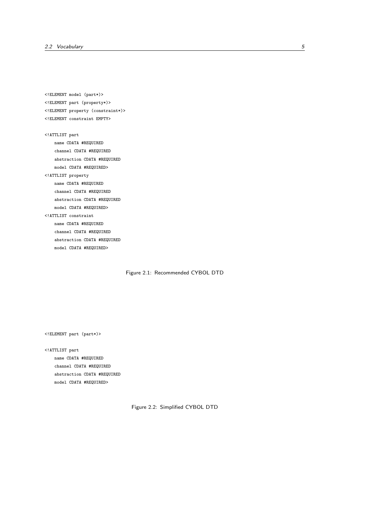<!ELEMENT model (part\*)> <!ELEMENT part (property\*)> <!ELEMENT property (constraint\*)> <!ELEMENT constraint EMPTY> <!ATTLIST part name CDATA #REQUIRED channel CDATA #REQUIRED abstraction CDATA #REQUIRED model CDATA #REQUIRED> <!ATTLIST property name CDATA #REQUIRED channel CDATA #REQUIRED abstraction CDATA #REQUIRED model CDATA #REQUIRED> <!ATTLIST constraint name CDATA #REQUIRED channel CDATA #REQUIRED abstraction CDATA #REQUIRED model CDATA #REQUIRED>

Figure 2.1: Recommended CYBOL DTD

<!ELEMENT part (part\*)>

<!ATTLIST part name CDATA #REQUIRED channel CDATA #REQUIRED abstraction CDATA #REQUIRED model CDATA #REQUIRED>

Figure 2.2: Simplified CYBOL DTD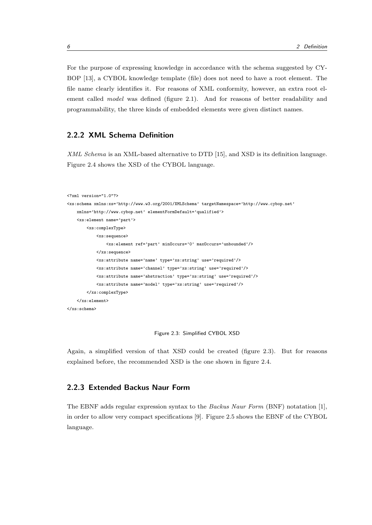For the purpose of expressing knowledge in accordance with the schema suggested by CY-BOP [13], a CYBOL knowledge template (file) does not need to have a root element. The file name clearly identifies it. For reasons of XML conformity, however, an extra root element called *model* was defined (figure 2.1). And for reasons of better readability and programmability, the three kinds of embedded elements were given distinct names.

## 2.2.2 XML Schema Definition

XML Schema is an XML-based alternative to DTD [15], and XSD is its definition language. Figure 2.4 shows the XSD of the CYBOL language.

```
<?xml version="1.0"?>
<xs:schema xmlns:xs='http://www.w3.org/2001/XMLSchema' targetNamespace='http://www.cybop.net'
   xmlns='http://www.cybop.net' elementFormDefault='qualified'>
    <xs:element name='part'>
       <xs:complexType>
           <xs:sequence>
                <xs:element ref='part' minOccurs='0' maxOccurs='unbounded'/>
           </xs:sequence>
           <xs:attribute name='name' type='xs:string' use='required'/>
           <xs:attribute name='channel' type='xs:string' use='required'/>
            <xs:attribute name='abstraction' type='xs:string' use='required'/>
            <xs:attribute name='model' type='xs:string' use='required'/>
        </xs:complexType>
    </xs:element>
</xs:schema>
```
Figure 2.3: Simplified CYBOL XSD

Again, a simplified version of that XSD could be created (figure 2.3). But for reasons explained before, the recommended XSD is the one shown in figure 2.4.

## 2.2.3 Extended Backus Naur Form

The EBNF adds regular expression syntax to the Backus Naur Form (BNF) notatation [1], in order to allow very compact specifications [9]. Figure 2.5 shows the EBNF of the CYBOL language.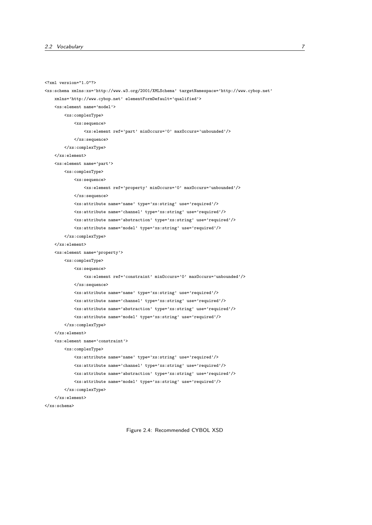```
<?xml version="1.0"?>
<xs:schema xmlns:xs='http://www.w3.org/2001/XMLSchema' targetNamespace='http://www.cybop.net'
   xmlns='http://www.cybop.net' elementFormDefault='qualified'>
   <xs:element name='model'>
       <xs:complexType>
           <xs:sequence>
                <xs:element ref='part' minOccurs='0' maxOccurs='unbounded'/>
           </xs:sequence>
        </xs:complexType>
    \zeta/xs:element>
    <xs:element name='part'>
        <xs:complexType>
           <xs:sequence>
                <xs:element ref='property' minOccurs='0' maxOccurs='unbounded'/>
           </xs:sequence>
           <xs:attribute name='name' type='xs:string' use='required'/>
            <xs:attribute name='channel' type='xs:string' use='required'/>
            <xs:attribute name='abstraction' type='xs:string' use='required'/>
            <xs:attribute name='model' type='xs:string' use='required'/>
        </xs:complexType>
    </xs:element>
    <xs:element name='property'>
        <xs:complexType>
           <xs:sequence>
                <xs:element ref='constraint' minOccurs='0' maxOccurs='unbounded'/>
           </xs:sequence>
           <xs:attribute name='name' type='xs:string' use='required'/>
            <xs:attribute name='channel' type='xs:string' use='required'/>
           <xs:attribute name='abstraction' type='xs:string' use='required'/>
            <xs:attribute name='model' type='xs:string' use='required'/>
        </xs:complexType>
    </xs:element>
    <xs:element name='constraint'>
        <xs:complexType>
            <xs:attribute name='name' type='xs:string' use='required'/>
           <xs:attribute name='channel' type='xs:string' use='required'/>
           <xs:attribute name='abstraction' type='xs:string' use='required'/>
            <xs:attribute name='model' type='xs:string' use='required'/>
        </xs:complexType>
    </xs:element>
</xs:schema>
```
Figure 2.4: Recommended CYBOL XSD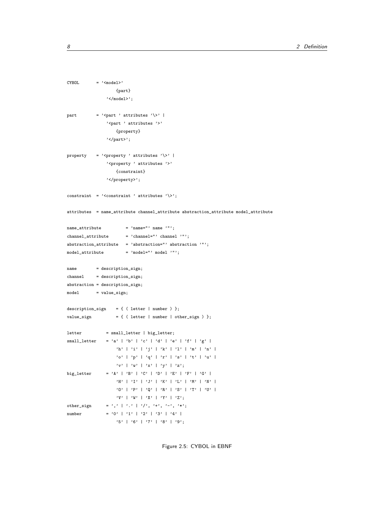```
CYBOL = '<del>model</del>')'{part}
               '</model>';
part = \sqrt{ = \sqrt{} attributes '\' |
               '<part ' attributes '>'
                   {property}
               '</part>';
property = '<property' attributes '\>' |
               '<property ' attributes '>'
                   {constraint}
               '</property>';
constraint = \sqrt{const} + \sqrt{ attributes \sqrt{};
attributes = name_attribute channel_attribute abstraction_attribute model_attribute
name\_attribute = 'name="" name '"';
channel_attribute = 'channel="' channel '"';
abstraction_attribute = 'abstraction="' abstraction '"';
model_attribute = 'model="' model '"';
name = description_sign;
channel = description_sign;
abstraction = description_sign;
model = value_sign;
description_sign = { ( letter | number ) };
value_sign = { ( \text{ letter } | \text{ number } | \text{ other } \text{sign } ) };
letter = small_letter | big_letter;
small_letter = 'a' | 'b' | 'c' | 'd' | 'e' | 'f' | 'g' |
                  'h' | 'i' | 'j' | 'k' | 'l' | 'm' | 'n' |
                   'o' | 'p' | 'q' | 'r' | 's' | 't' | 'u' |
                   'v' | 'w' | 'x' | 'y' | 'z';
big_letter = 'A' | 'B' | 'C' | 'D' | 'E' | 'F' | 'G' |
                   'H' | 'I' | 'J' | 'K' | 'L' | 'M' | 'N' |
                   'O' | 'P' | 'Q' | 'R' | 'S' | 'T' | 'U' |
                   'V' | 'W' | 'X' | 'Y' | 'Z';
other_sign = ',' | '.' | '/', '+', '-', '*';
number = '0' | '1' | '2' | '3' | '4' |
                   '5' | '6' | '7' | '8' | '9';
```
Figure 2.5: CYBOL in EBNF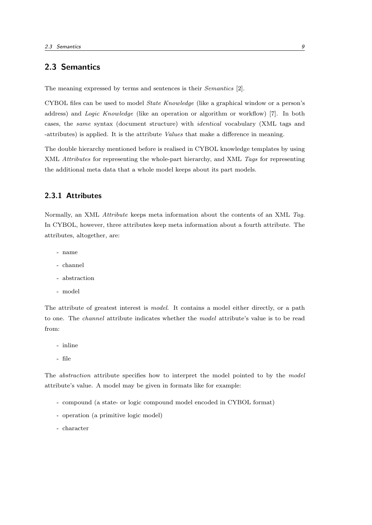## 2.3 Semantics

The meaning expressed by terms and sentences is their Semantics [2].

CYBOL files can be used to model State Knowledge (like a graphical window or a person's address) and Logic Knowledge (like an operation or algorithm or workflow) [7]. In both cases, the same syntax (document structure) with identical vocabulary (XML tags and -attributes) is applied. It is the attribute Values that make a difference in meaning.

The double hierarchy mentioned before is realised in CYBOL knowledge templates by using XML *Attributes* for representing the whole-part hierarchy, and XML Tags for representing the additional meta data that a whole model keeps about its part models.

## 2.3.1 Attributes

Normally, an XML Attribute keeps meta information about the contents of an XML Tag. In CYBOL, however, three attributes keep meta information about a fourth attribute. The attributes, altogether, are:

- name
- channel
- abstraction
- model

The attribute of greatest interest is *model*. It contains a model either directly, or a path to one. The channel attribute indicates whether the model attribute's value is to be read from:

- inline
- file

The *abstraction* attribute specifies how to interpret the model pointed to by the *model* attribute's value. A model may be given in formats like for example:

- compound (a state- or logic compound model encoded in CYBOL format)
- operation (a primitive logic model)
- character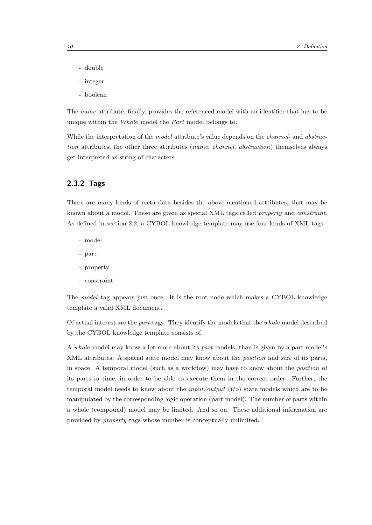- double
- integer
- boolean

The name attribute, finally, provides the referenced model with an identifier that has to be unique within the Whole model the Part model belongs to.

While the interpretation of the *model* attribute's value depends on the *channel*- and *abstrac*tion attributes, the other three attributes (name, channel, abstraction) themselves always get interpreted as string of characters.

#### 2.3.2 Tags

There are many kinds of meta data besides the above-mentioned attributes, that may be known about a model. These are given as special XML tags called *property* and *constraint*. As defined in section 2.2, a CYBOL knowledge template may use four kinds of XML tags:

- model
- part
- property
- constraint

The model tag appears just once. It is the root node which makes a CYBOL knowledge template a valid XML document.

Of actual interest are the part tags. They identify the models that the whole model described by the CYBOL knowledge template consists of.

A whole model may know a lot more about its part models, than is given by a part model's XML attributes. A spatial state model may know about the *position* and *size* of its parts, in space. A temporal model (such as a workflow) may have to know about the position of its parts in time, in order to be able to execute them in the correct order. Further, the temporal model needs to know about the *input/output*  $(i/\rho)$  state models which are to be manipulated by the corresponding logic operation (part model). The number of parts within a whole (compound) model may be limited. And so on. These additional information are provided by property tags whose number is conceptually unlimited.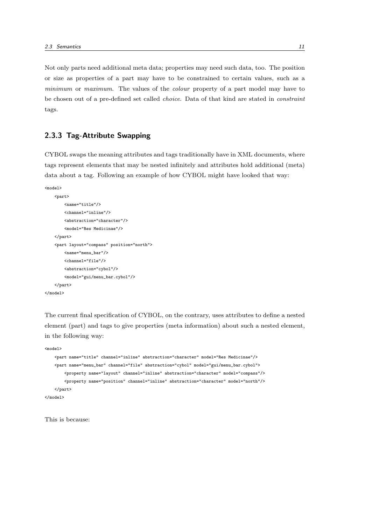Not only parts need additional meta data; properties may need such data, too. The position or size as properties of a part may have to be constrained to certain values, such as a minimum or maximum. The values of the colour property of a part model may have to be chosen out of a pre-defined set called choice. Data of that kind are stated in constraint tags.

## 2.3.3 Tag-Attribute Swapping

CYBOL swaps the meaning attributes and tags traditionally have in XML documents, where tags represent elements that may be nested infinitely and attributes hold additional (meta) data about a tag. Following an example of how CYBOL might have looked that way:

```
<model>
    <part>
        <name="title"/>
        <channel="inline"/>
        <abstraction="character"/>
        <model="Res Medicinae"/>
   </part>
   <part layout="compass" position="north">
       <name="menu_bar"/>
        <channel="file"/>
        <abstraction="cybol"/>
        <model="gui/menu_bar.cybol"/>
    </part>
</model>
```
The current final specification of CYBOL, on the contrary, uses attributes to define a nested element (part) and tags to give properties (meta information) about such a nested element, in the following way:

```
<model>
    <part name="title" channel="inline" abstraction="character" model="Res Medicinae"/>
    <part name="menu_bar" channel="file" abstraction="cybol" model="gui/menu_bar.cybol">
       <property name="layout" channel="inline" abstraction="character" model="compass"/>
        <property name="position" channel="inline" abstraction="character" model="north"/>
   </part>
</model>
```
This is because: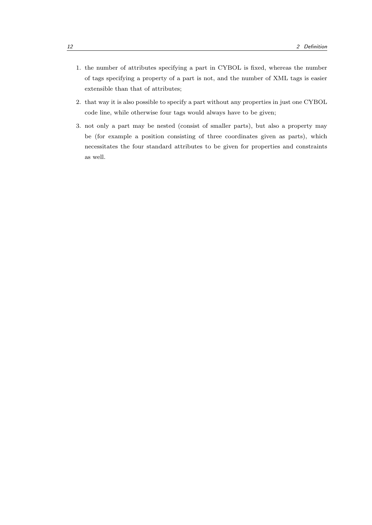- 1. the number of attributes specifying a part in CYBOL is fixed, whereas the number of tags specifying a property of a part is not, and the number of XML tags is easier extensible than that of attributes;
- 2. that way it is also possible to specify a part without any properties in just one CYBOL code line, while otherwise four tags would always have to be given;
- 3. not only a part may be nested (consist of smaller parts), but also a property may be (for example a position consisting of three coordinates given as parts), which necessitates the four standard attributes to be given for properties and constraints as well.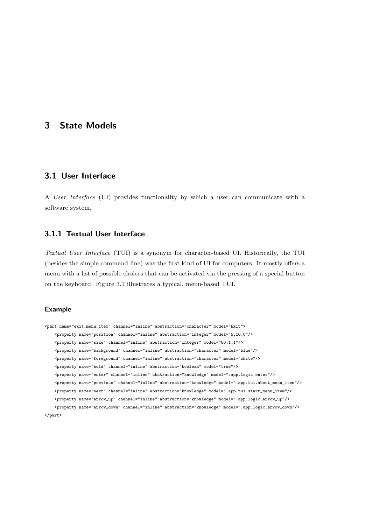## 3 State Models

## 3.1 User Interface

A User Interface (UI) provides functionality by which a user can communicate with a software system.

## 3.1.1 Textual User Interface

Textual User Interface (TUI) is a synonym for character-based UI. Historically, the TUI (besides the simple command line) was the first kind of UI for computers. It mostly offers a menu with a list of possible choices that can be activated via the pressing of a special button on the keyboard. Figure 3.1 illustrates a typical, menu-based TUI.

#### Example

```
<part name="exit_menu_item" channel="inline" abstraction="character" model="Exit">
   <property name="position" channel="inline" abstraction="integer" model="5,10,0"/>
    <property name="size" channel="inline" abstraction="integer" model="60,1,1"/>
   <property name="background" channel="inline" abstraction="character" model="blue"/>
   <property name="foreground" channel="inline" abstraction="character" model="white"/>
   <property name="bold" channel="inline" abstraction="boolean" model="true"/>
   <property name="enter" channel="inline" abstraction="knowledge" model=".app.logic.enter"/>
   <property name="previous" channel="inline" abstraction="knowledge" model=".app.tui.about_menu_item"/>
   <property name="next" channel="inline" abstraction="knowledge" model=".app.tui.start_menu_item"/>
   <property name="arrow_up" channel="inline" abstraction="knowledge" model=".app.logic.arrow_up"/>
   <property name="arrow_down" channel="inline" abstraction="knowledge" model=".app.logic.arrow_down"/>
</part>
```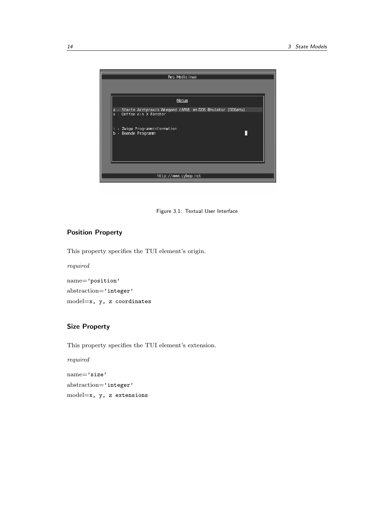

Figure 3.1: Textual User Interface

#### Position Property

This property specifies the TUI element's origin.

required

name='position' abstraction='integer' model=x, y, z coordinates

## Size Property

This property specifies the TUI element's extension.

required

name='size' abstraction='integer' model=x, y, z extensions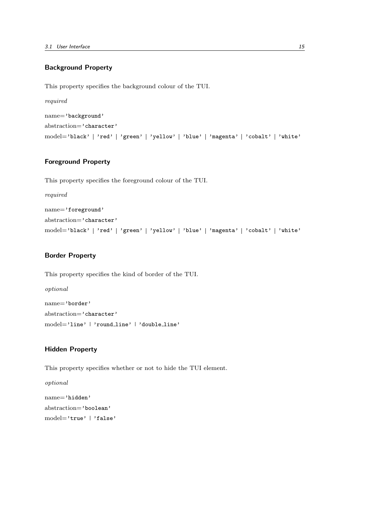## Background Property

This property specifies the background colour of the TUI.

required name='background' abstraction='character' model='black' | 'red' | 'green' | 'yellow' | 'blue' | 'magenta' | 'cobalt' | 'white'

## Foreground Property

This property specifies the foreground colour of the TUI.

required

name='foreground' abstraction='character' model='black' | 'red' | 'green' | 'yellow' | 'blue' | 'magenta' | 'cobalt' | 'white'

#### Border Property

This property specifies the kind of border of the TUI.

optional name='border' abstraction='character' model='line' 'round line' 'double line'

#### Hidden Property

This property specifies whether or not to hide the TUI element.

optional name='hidden' abstraction='boolean' model='true' | 'false'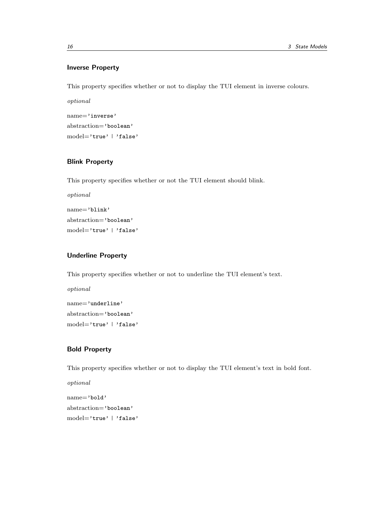## Inverse Property

This property specifies whether or not to display the TUI element in inverse colours.

optional name='inverse' abstraction='boolean' model='true' | 'false'

## Blink Property

This property specifies whether or not the TUI element should blink.

optional name='blink' abstraction='boolean' model='true' | 'false'

## Underline Property

This property specifies whether or not to underline the TUI element's text.

optional name='underline' abstraction='boolean' model='true' | 'false'

## Bold Property

This property specifies whether or not to display the TUI element's text in bold font.

optional name='bold' abstraction='boolean' model='true' | 'false'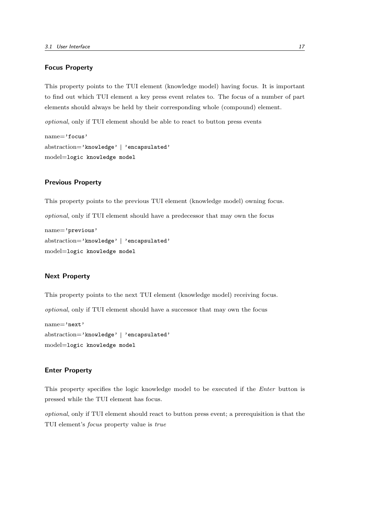#### Focus Property

This property points to the TUI element (knowledge model) having focus. It is important to find out which TUI element a key press event relates to. The focus of a number of part elements should always be held by their corresponding whole (compound) element.

optional, only if TUI element should be able to react to button press events

```
name='focus'
abstraction='knowledge' | 'encapsulated'
model=logic knowledge model
```
#### Previous Property

This property points to the previous TUI element (knowledge model) owning focus.

optional, only if TUI element should have a predecessor that may own the focus

```
name='previous'
abstraction='knowledge' | 'encapsulated'
model=logic knowledge model
```
#### Next Property

This property points to the next TUI element (knowledge model) receiving focus.

optional, only if TUI element should have a successor that may own the focus

```
name='next'
abstraction='knowledge' | 'encapsulated'
model=logic knowledge model
```
#### Enter Property

This property specifies the logic knowledge model to be executed if the Enter button is pressed while the TUI element has focus.

optional, only if TUI element should react to button press event; a prerequisition is that the TUI element's focus property value is true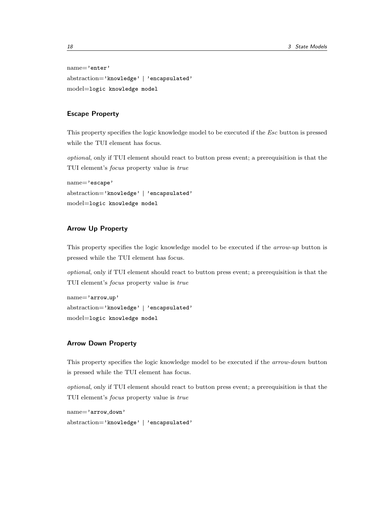name='enter' abstraction='knowledge' | 'encapsulated' model=logic knowledge model

#### Escape Property

This property specifies the logic knowledge model to be executed if the *Esc* button is pressed while the TUI element has focus.

optional, only if TUI element should react to button press event; a prerequisition is that the TUI element's focus property value is true

```
name='escape'
abstraction='knowledge' | 'encapsulated'
model=logic knowledge model
```
## Arrow Up Property

This property specifies the logic knowledge model to be executed if the *arrow-up* button is pressed while the TUI element has focus.

optional, only if TUI element should react to button press event; a prerequisition is that the TUI element's focus property value is true

name='arrow up' abstraction='knowledge' | 'encapsulated' model=logic knowledge model

#### Arrow Down Property

This property specifies the logic knowledge model to be executed if the arrow-down button is pressed while the TUI element has focus.

optional, only if TUI element should react to button press event; a prerequisition is that the TUI element's focus property value is true

```
name='arrow down'
abstraction='knowledge' | 'encapsulated'
```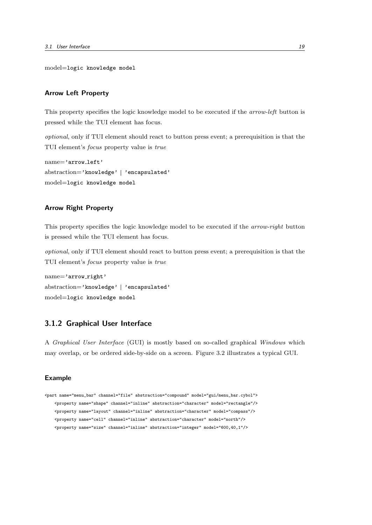model=logic knowledge model

#### Arrow Left Property

This property specifies the logic knowledge model to be executed if the *arrow-left* button is pressed while the TUI element has focus.

optional, only if TUI element should react to button press event; a prerequisition is that the TUI element's focus property value is true

```
name='arrow_left'
abstraction='knowledge' | 'encapsulated'
model=logic knowledge model
```
#### Arrow Right Property

This property specifies the logic knowledge model to be executed if the arrow-right button is pressed while the TUI element has focus.

optional, only if TUI element should react to button press event; a prerequisition is that the TUI element's focus property value is true

```
name='arrow_right'
abstraction='knowledge' | 'encapsulated'
model=logic knowledge model
```
## 3.1.2 Graphical User Interface

A Graphical User Interface (GUI) is mostly based on so-called graphical Windows which may overlap, or be ordered side-by-side on a screen. Figure 3.2 illustrates a typical GUI.

#### Example

```
<part name="menu_bar" channel="file" abstraction="compound" model="gui/menu_bar.cybol">
   <property name="shape" channel="inline" abstraction="character" model="rectangle"/>
   <property name="layout" channel="inline" abstraction="character" model="compass"/>
    <property name="cell" channel="inline" abstraction="character" model="north"/>
   <property name="size" channel="inline" abstraction="integer" model="600,40,1"/>
```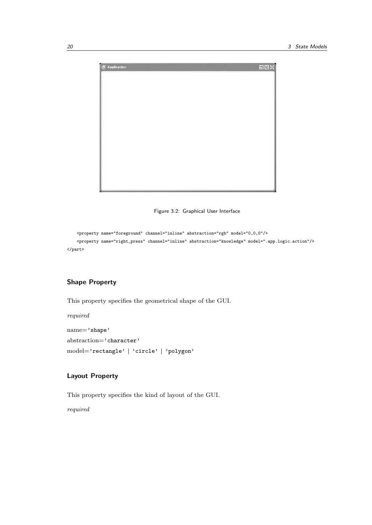

Figure 3.2: Graphical User Interface

```
<property name="foreground" channel="inline" abstraction="rgb" model="0,0,0"/>
    <property name="right_press" channel="inline" abstraction="knowledge" model=".app.logic.action"/>
</part>
```
## Shape Property

This property specifies the geometrical shape of the GUI.

required

name='shape' abstraction='character' model='rectangle' | 'circle' | 'polygon'

## Layout Property

This property specifies the kind of layout of the GUI.

required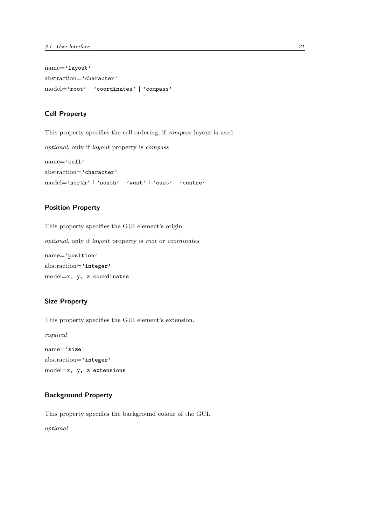name='layout' abstraction='character' model='root' | 'coordinates' | 'compass'

#### Cell Property

This property specifies the cell ordering, if compass layout is used.

optional, only if layout property is compass

```
name='cell'
abstraction='character'
model='north' | 'south' | 'west' | 'east' | 'centre'
```
## Position Property

This property specifies the GUI element's origin.

optional, only if layout property is root or coordinates

```
name='position'
abstraction='integer'
model=x, y, z coordinates
```
#### Size Property

This property specifies the GUI element's extension.

required

name='size' abstraction='integer' model=x, y, z extensions

## Background Property

This property specifies the background colour of the GUI.

optional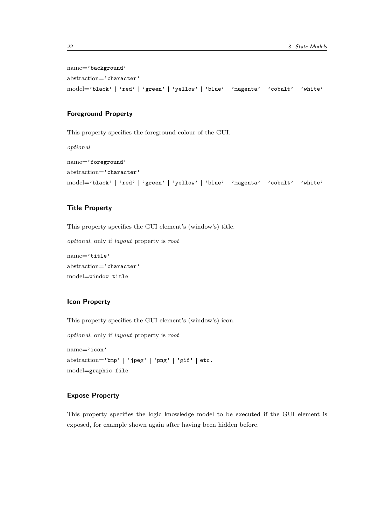name='background' abstraction='character' model='black' | 'red' | 'green' | 'yellow' | 'blue' | 'magenta' | 'cobalt' | 'white'

#### Foreground Property

This property specifies the foreground colour of the GUI.

optional

```
name='foreground'
abstraction='character'
model='black' | 'red' | 'green' | 'yellow' | 'blue' | 'magenta' | 'cobalt' | 'white'
```
## Title Property

This property specifies the GUI element's (window's) title.

optional, only if layout property is root

```
name='title'
abstraction='character'
model=window title
```
#### Icon Property

This property specifies the GUI element's (window's) icon.

optional, only if layout property is root

```
name='icon'
abstraction='bmp' | 'jpeg' | 'png' | 'gif' | etc.
model=graphic file
```
#### Expose Property

This property specifies the logic knowledge model to be executed if the GUI element is exposed, for example shown again after having been hidden before.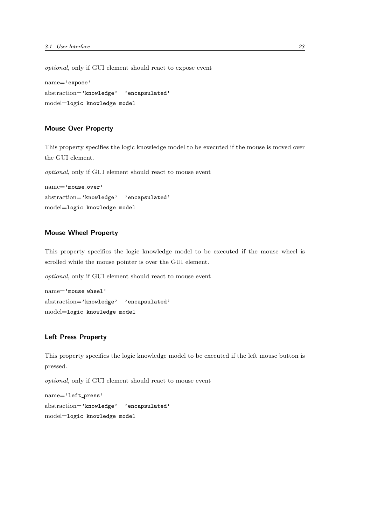optional, only if GUI element should react to expose event name='expose'

```
abstraction='knowledge' | 'encapsulated'
model=logic knowledge model
```
#### Mouse Over Property

This property specifies the logic knowledge model to be executed if the mouse is moved over the GUI element.

optional, only if GUI element should react to mouse event

name='mouse\_over' abstraction='knowledge' | 'encapsulated' model=logic knowledge model

#### Mouse Wheel Property

This property specifies the logic knowledge model to be executed if the mouse wheel is scrolled while the mouse pointer is over the GUI element.

optional, only if GUI element should react to mouse event

```
name='mouse wheel'
abstraction='knowledge' | 'encapsulated'
model=logic knowledge model
```
## Left Press Property

This property specifies the logic knowledge model to be executed if the left mouse button is pressed.

optional, only if GUI element should react to mouse event

name='left press' abstraction='knowledge' | 'encapsulated' model=logic knowledge model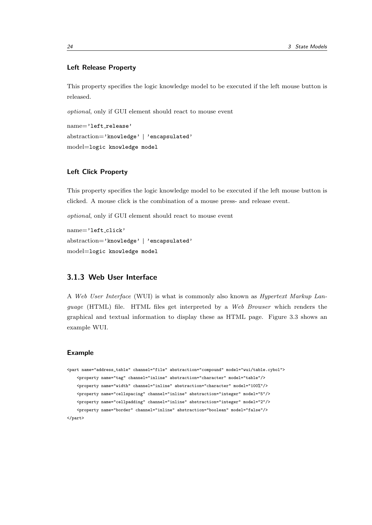#### Left Release Property

This property specifies the logic knowledge model to be executed if the left mouse button is released.

optional, only if GUI element should react to mouse event

```
name='left_release'
abstraction='knowledge' | 'encapsulated'
model=logic knowledge model
```
#### Left Click Property

This property specifies the logic knowledge model to be executed if the left mouse button is clicked. A mouse click is the combination of a mouse press- and release event.

optional, only if GUI element should react to mouse event

```
name='left click'
abstraction='knowledge' | 'encapsulated'
model=logic knowledge model
```
## 3.1.3 Web User Interface

A Web User Interface (WUI) is what is commonly also known as Hypertext Markup Language (HTML) file. HTML files get interpreted by a Web Browser which renders the graphical and textual information to display these as HTML page. Figure 3.3 shows an example WUI.

#### Example

```
<part name="address_table" channel="file" abstraction="compound" model="wui/table.cybol">
   <property name="tag" channel="inline" abstraction="character" model="table"/>
   <property name="width" channel="inline" abstraction="character" model="100%"/>
   <property name="cellspacing" channel="inline" abstraction="integer" model="5"/>
   <property name="cellpadding" channel="inline" abstraction="integer" model="2"/>
   <property name="border" channel="inline" abstraction="boolean" model="false"/>
</part>
```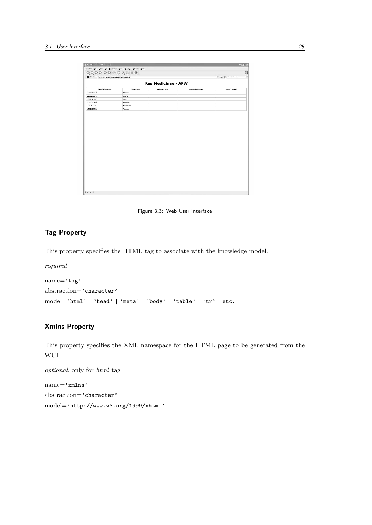| Vorname<br>Harme<br>Marie<br><b>K2010</b><br>Mueller<br>Ciertrude<br>Wenner | <b>Res Medicinae - APW</b><br><b>Nachname</b> | Geburtsdatum | <b>Full De</b> Southern<br>Goschlocht |  |
|-----------------------------------------------------------------------------|-----------------------------------------------|--------------|---------------------------------------|--|
|                                                                             |                                               |              |                                       |  |
|                                                                             |                                               |              |                                       |  |
|                                                                             |                                               |              |                                       |  |
|                                                                             |                                               |              |                                       |  |
|                                                                             |                                               |              |                                       |  |
|                                                                             |                                               |              |                                       |  |
|                                                                             |                                               |              |                                       |  |
|                                                                             |                                               |              |                                       |  |
|                                                                             |                                               |              |                                       |  |
|                                                                             |                                               |              |                                       |  |

Figure 3.3: Web User Interface

## Tag Property

This property specifies the HTML tag to associate with the knowledge model.

required

```
name='tag'{\small \bf abstraction='character'} \label{def:1}model='html' | 'head' | 'meta' | 'body' | 'table' | 'tr' | etc.
```
## Xmlns Property

This property specifies the XML namespace for the HTML page to be generated from the WUI.

optional, only for html tag name='xmlns' abstraction='character' model='http://www.w3.org/1999/xhtml'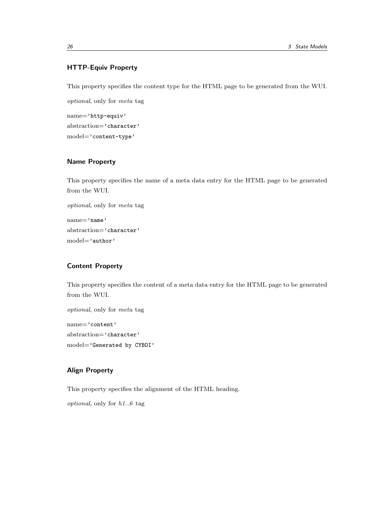## HTTP-Equiv Property

This property specifies the content type for the HTML page to be generated from the WUI.

optional, only for meta tag name='http-equiv' abstraction='character' model='content-type'

## Name Property

This property specifies the name of a meta data entry for the HTML page to be generated from the WUI.

```
optional, only for meta tag
name='name'
abstraction='character'
model='author'
```
## Content Property

This property specifies the content of a meta data entry for the HTML page to be generated from the WUI.

optional, only for meta tag name='content' abstraction='character' model='Generated by CYBOI'

## Align Property

This property specifies the alignment of the HTML heading.

optional, only for h1..6 tag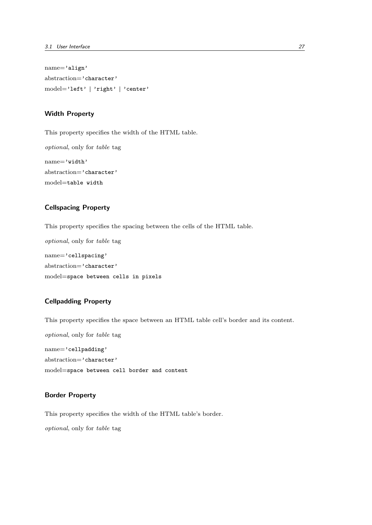name='align' abstraction='character' model='left' | 'right' | 'center'

#### Width Property

This property specifies the width of the HTML table. optional, only for table tag name='width' abstraction='character' model=table width

#### Cellspacing Property

This property specifies the spacing between the cells of the HTML table.

optional, only for table tag name='cellspacing' abstraction='character' model=space between cells in pixels

#### Cellpadding Property

This property specifies the space between an HTML table cell's border and its content.

optional, only for table tag name='cellpadding' abstraction='character' model=space between cell border and content

## Border Property

This property specifies the width of the HTML table's border.

optional, only for table tag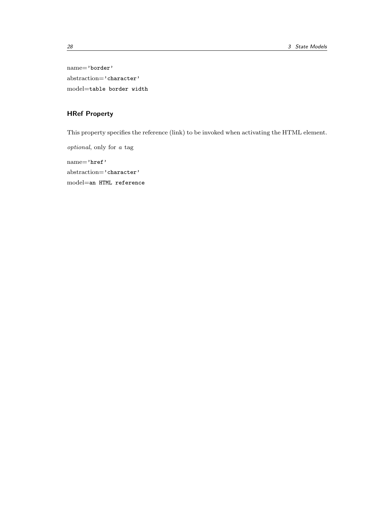name='border' abstraction='character' model=table border width

# HRef Property

This property specifies the reference (link) to be invoked when activating the HTML element.

optional, only for a tag name='href' abstraction='character' model=an HTML reference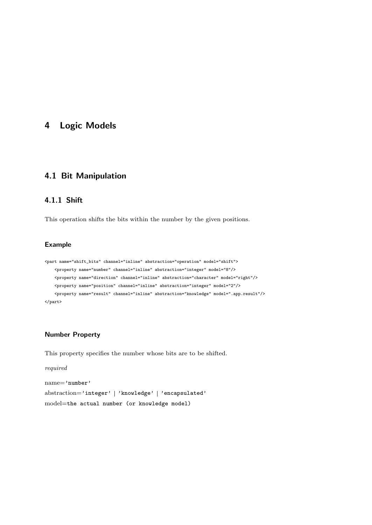# 4 Logic Models

## 4.1 Bit Manipulation

## 4.1.1 Shift

This operation shifts the bits within the number by the given positions.

## Example

```
<part name="shift_bits" channel="inline" abstraction="operation" model="shift">
    <property name="number" channel="inline" abstraction="integer" model="8"/>
   <property name="direction" channel="inline" abstraction="character" model="right"/>
   <property name="position" channel="inline" abstraction="integer" model="2"/>
    <property name="result" channel="inline" abstraction="knowledge" model=".app.result"/>
</part>
```
## Number Property

This property specifies the number whose bits are to be shifted.

```
required
name='number'
abstraction='integer' | 'knowledge' | 'encapsulated'
model=the actual number (or knowledge model)
```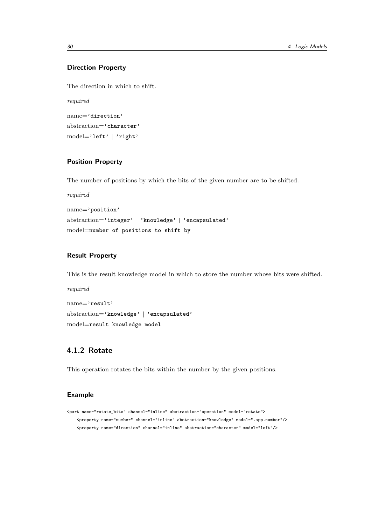## Direction Property

The direction in which to shift.

required name='direction' abstraction='character' model='left' 'right'

## Position Property

The number of positions by which the bits of the given number are to be shifted.

required

```
name='position'
abstraction='integer' | 'knowledge' | 'encapsulated'
model=number of positions to shift by
```
#### Result Property

This is the result knowledge model in which to store the number whose bits were shifted.

required name='result' abstraction='knowledge' | 'encapsulated' model=result knowledge model

## 4.1.2 Rotate

This operation rotates the bits within the number by the given positions.

## Example

```
<part name="rotate_bits" channel="inline" abstraction="operation" model="rotate">
    <property name="number" channel="inline" abstraction="knowledge" model=".app.number"/>
    <property name="direction" channel="inline" abstraction="character" model="left"/>
```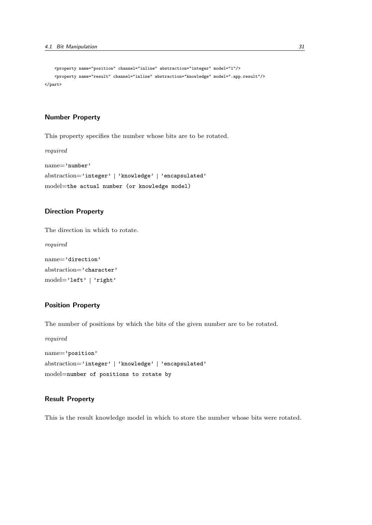```
<property name="position" channel="inline" abstraction="integer" model="1"/>
    <property name="result" channel="inline" abstraction="knowledge" model=".app.result"/>
</part>
```
#### Number Property

This property specifies the number whose bits are to be rotated.

required name='number' abstraction='integer' | 'knowledge' | 'encapsulated' model=the actual number (or knowledge model)

#### Direction Property

The direction in which to rotate.

required

```
name='direction'
abstraction='character'
model='left' 'right'
```
## Position Property

The number of positions by which the bits of the given number are to be rotated.

required name='position' abstraction='integer' | 'knowledge' | 'encapsulated' model=number of positions to rotate by

#### Result Property

This is the result knowledge model in which to store the number whose bits were rotated.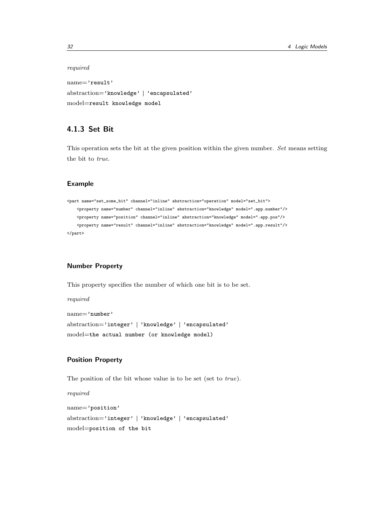#### required

name='result' abstraction='knowledge' | 'encapsulated' model=result knowledge model

## 4.1.3 Set Bit

This operation sets the bit at the given position within the given number. Set means setting the bit to true.

#### Example

```
<part name="set_some_bit" channel="inline" abstraction="operation" model="set_bit">
    <property name="number" channel="inline" abstraction="knowledge" model=".app.number"/>
    <property name="position" channel="inline" abstraction="knowledge" model=".app.pos"/>
   <property name="result" channel="inline" abstraction="knowledge" model=".app.result"/>
</part>
```
## Number Property

This property specifies the number of which one bit is to be set.

required

```
name='number'
abstraction='integer' | 'knowledge' | 'encapsulated'
model=the actual number (or knowledge model)
```
## Position Property

The position of the bit whose value is to be set (set to true).

```
name='position'
abstraction='integer' | 'knowledge' | 'encapsulated'
model=position of the bit
```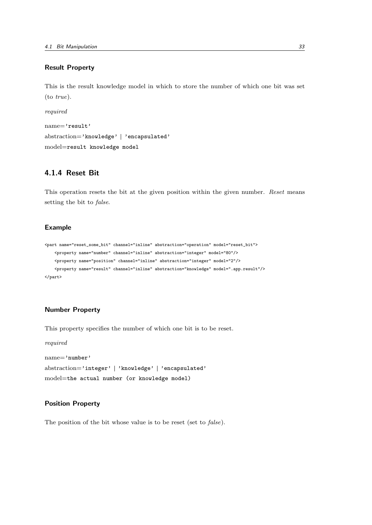#### Result Property

This is the result knowledge model in which to store the number of which one bit was set (to true).

required

```
name='result'
abstraction='knowledge' | 'encapsulated'
model=result knowledge model
```
## 4.1.4 Reset Bit

This operation resets the bit at the given position within the given number. Reset means setting the bit to false.

#### Example

```
<part name="reset_some_bit" channel="inline" abstraction="operation" model="reset_bit">
   <property name="number" channel="inline" abstraction="integer" model="80"/>
   <property name="position" channel="inline" abstraction="integer" model="2"/>
   <property name="result" channel="inline" abstraction="knowledge" model=".app.result"/>
</part>
```
#### Number Property

This property specifies the number of which one bit is to be reset.

```
required
name='number'
abstraction='integer' | 'knowledge' | 'encapsulated'
model=the actual number (or knowledge model)
```
### Position Property

The position of the bit whose value is to be reset (set to false).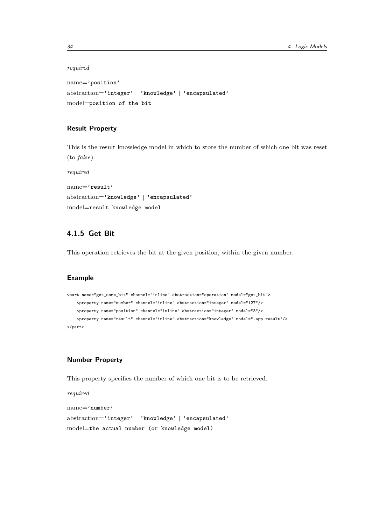#### required

name='position' abstraction='integer' | 'knowledge' | 'encapsulated' model=position of the bit

## Result Property

This is the result knowledge model in which to store the number of which one bit was reset (to false).

required name='result' abstraction='knowledge' | 'encapsulated' model=result knowledge model

## 4.1.5 Get Bit

This operation retrieves the bit at the given position, within the given number.

#### Example

```
<part name="get_some_bit" channel="inline" abstraction="operation" model="get_bit">
    <property name="number" channel="inline" abstraction="integer" model="127"/>
    <property name="position" channel="inline" abstraction="integer" model="3"/>
    <property name="result" channel="inline" abstraction="knowledge" model=".app.result"/>
</part>
```
## Number Property

This property specifies the number of which one bit is to be retrieved.

```
name='number'
abstraction='integer' | 'knowledge' | 'encapsulated'
model=the actual number (or knowledge model)
```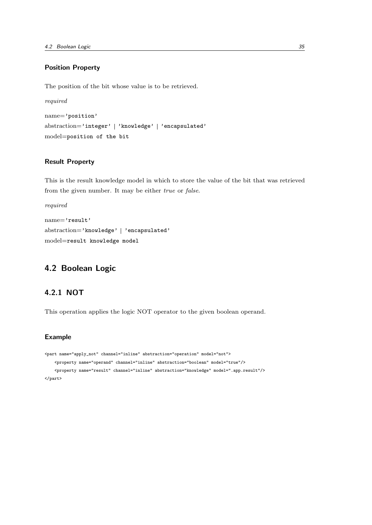## Position Property

The position of the bit whose value is to be retrieved.

```
required
name='position'
abstraction='integer' | 'knowledge' | 'encapsulated'
model=position of the bit
```
## Result Property

This is the result knowledge model in which to store the value of the bit that was retrieved from the given number. It may be either true or false.

```
required
name='result'
abstraction='knowledge' | 'encapsulated'
model=result knowledge model
```
## 4.2 Boolean Logic

## 4.2.1 NOT

This operation applies the logic NOT operator to the given boolean operand.

#### Example

```
<part name="apply_not" channel="inline" abstraction="operation" model="not">
    <property name="operand" channel="inline" abstraction="boolean" model="true"/>
    <property name="result" channel="inline" abstraction="knowledge" model=".app.result"/>
</part>
```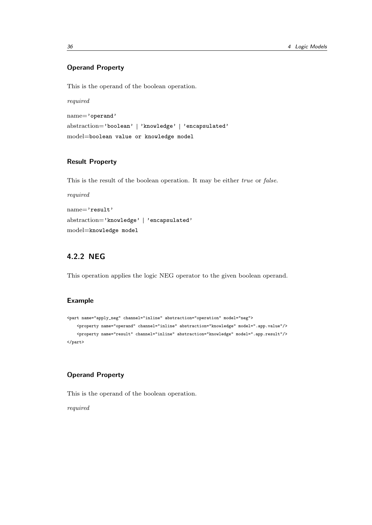## Operand Property

This is the operand of the boolean operation.

required name='operand' abstraction='boolean' | 'knowledge' | 'encapsulated' model=boolean value or knowledge model

## Result Property

This is the result of the boolean operation. It may be either *true* or *false*.

required name='result' abstraction='knowledge' | 'encapsulated' model=knowledge model

# 4.2.2 NEG

This operation applies the logic NEG operator to the given boolean operand.

### Example

```
<part name="apply_neg" channel="inline" abstraction="operation" model="neg">
    <property name="operand" channel="inline" abstraction="knowledge" model=".app.value"/>
    <property name="result" channel="inline" abstraction="knowledge" model=".app.result"/>
</part>
```
#### Operand Property

This is the operand of the boolean operation.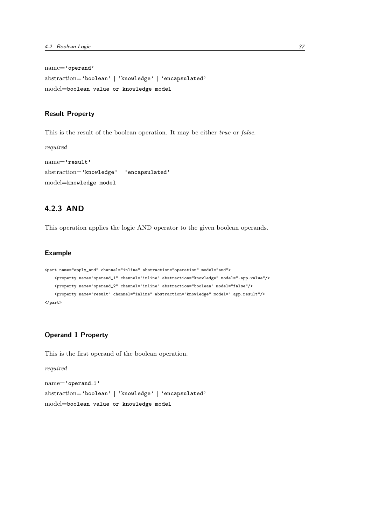```
name='operand'
abstraction='boolean' | 'knowledge' | 'encapsulated'
model=boolean value or knowledge model
```
#### Result Property

required

This is the result of the boolean operation. It may be either *true* or *false*.

```
name='result'
abstraction='knowledge' | 'encapsulated'
model=knowledge model
```
## 4.2.3 AND

This operation applies the logic AND operator to the given boolean operands.

#### Example

```
<part name="apply_and" channel="inline" abstraction="operation" model="and">
    <property name="operand_1" channel="inline" abstraction="knowledge" model=".app.value"/>
    <property name="operand_2" channel="inline" abstraction="boolean" model="false"/>
   <property name="result" channel="inline" abstraction="knowledge" model=".app.result"/>
</part>
```
## Operand 1 Property

This is the first operand of the boolean operation.

```
name='operand_1'
abstraction='boolean' | 'knowledge' | 'encapsulated'
model=boolean value or knowledge model
```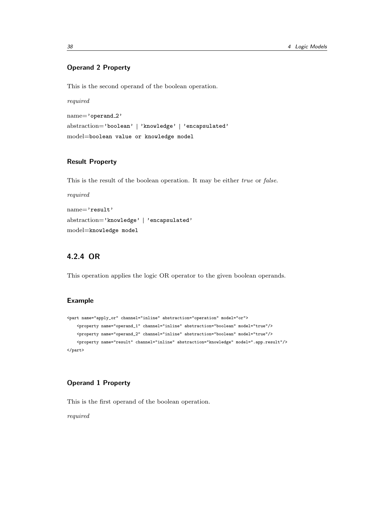## Operand 2 Property

This is the second operand of the boolean operation.

required

name='operand\_2' abstraction='boolean' | 'knowledge' | 'encapsulated' model=boolean value or knowledge model

## Result Property

This is the result of the boolean operation. It may be either true or false.

required name='result' abstraction='knowledge' | 'encapsulated' model=knowledge model

## 4.2.4 OR

This operation applies the logic OR operator to the given boolean operands.

### Example

```
<part name="apply_or" channel="inline" abstraction="operation" model="or">
    <property name="operand_1" channel="inline" abstraction="boolean" model="true"/>
   <property name="operand_2" channel="inline" abstraction="boolean" model="true"/>
    <property name="result" channel="inline" abstraction="knowledge" model=".app.result"/>
</part>
```
## Operand 1 Property

This is the first operand of the boolean operation.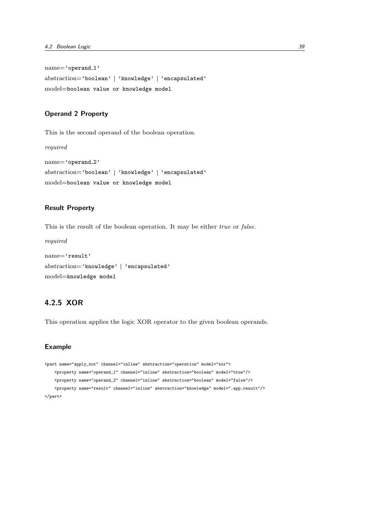name='operand\_1' abstraction='boolean' | 'knowledge' | 'encapsulated' model=boolean value or knowledge model

#### Operand 2 Property

This is the second operand of the boolean operation.

required

```
name='operand_2'
abstraction='boolean' | 'knowledge' | 'encapsulated'
model=boolean value or knowledge model
```
#### Result Property

This is the result of the boolean operation. It may be either true or false.

required

```
name='result'
abstraction='knowledge' | 'encapsulated'
model=knowledge model
```
## 4.2.5 XOR

This operation applies the logic XOR operator to the given boolean operands.

## Example

```
<part name="apply_xor" channel="inline" abstraction="operation" model="xor">
   <property name="operand_1" channel="inline" abstraction="boolean" model="true"/>
    <property name="operand_2" channel="inline" abstraction="boolean" model="false"/>
    <property name="result" channel="inline" abstraction="knowledge" model=".app.result"/>
</part>
```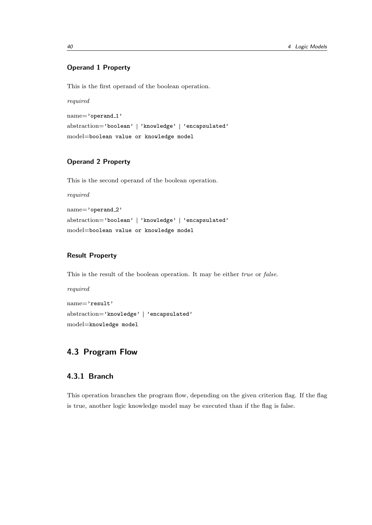## Operand 1 Property

This is the first operand of the boolean operation.

required

name='operand\_1' abstraction='boolean' | 'knowledge' | 'encapsulated' model=boolean value or knowledge model

## Operand 2 Property

This is the second operand of the boolean operation.

required

name='operand\_2' abstraction='boolean' | 'knowledge' | 'encapsulated' model=boolean value or knowledge model

#### Result Property

This is the result of the boolean operation. It may be either true or false.

required name='result' abstraction='knowledge' | 'encapsulated' model=knowledge model

# 4.3 Program Flow

## 4.3.1 Branch

This operation branches the program flow, depending on the given criterion flag. If the flag is true, another logic knowledge model may be executed than if the flag is false.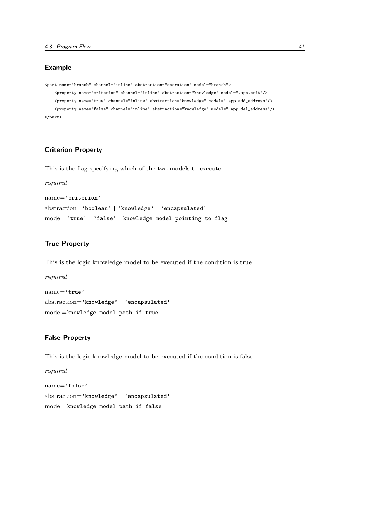### Example

```
<part name="branch" channel="inline" abstraction="operation" model="branch">
    <property name="criterion" channel="inline" abstraction="knowledge" model=".app.crit"/>
    <property name="true" channel="inline" abstraction="knowledge" model=".app.add_address"/>
    <property name="false" channel="inline" abstraction="knowledge" model=".app.del_address"/>
</part>
```
## Criterion Property

This is the flag specifying which of the two models to execute.

```
required
name='criterion'
abstraction='boolean' | 'knowledge' | 'encapsulated'
model='true' | 'false' | knowledge model pointing to flag
```
#### True Property

This is the logic knowledge model to be executed if the condition is true.

```
required
name='true'
abstraction='knowledge' | 'encapsulated'
model=knowledge model path if true
```
## False Property

This is the logic knowledge model to be executed if the condition is false.

```
required
name='false'
abstraction='knowledge' | 'encapsulated'
model=knowledge model path if false
```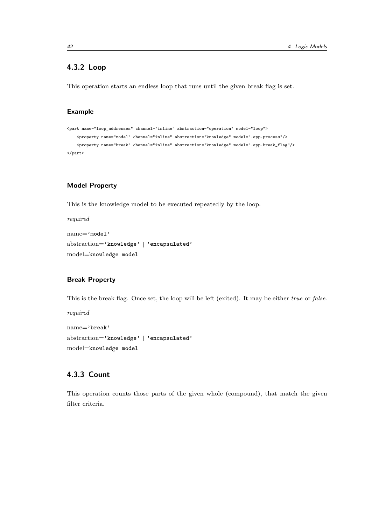## 4.3.2 Loop

This operation starts an endless loop that runs until the given break flag is set.

## Example

```
<part name="loop_addresses" channel="inline" abstraction="operation" model="loop">
    <property name="model" channel="inline" abstraction="knowledge" model=".app.process"/>
   <property name="break" channel="inline" abstraction="knowledge" model=".app.break_flag"/>
</part>
```
#### Model Property

This is the knowledge model to be executed repeatedly by the loop.

required

```
name='model'
abstraction='knowledge' | 'encapsulated'
model=knowledge model
```
#### Break Property

This is the break flag. Once set, the loop will be left (exited). It may be either true or false.

required

name='break' abstraction='knowledge' | 'encapsulated' model=knowledge model

# 4.3.3 Count

This operation counts those parts of the given whole (compound), that match the given filter criteria.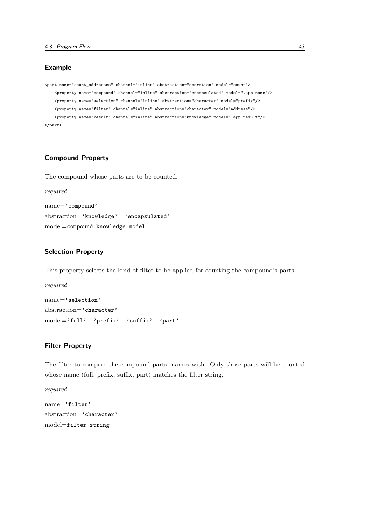### Example

```
<part name="count_addresses" channel="inline" abstraction="operation" model="count">
   <property name="compound" channel="inline" abstraction="encapsulated" model=".app.name"/>
   <property name="selection" channel="inline" abstraction="character" model="prefix"/>
   <property name="filter" channel="inline" abstraction="character" model="address"/>
   <property name="result" channel="inline" abstraction="knowledge" model=".app.result"/>
</part>
```
## Compound Property

The compound whose parts are to be counted.

```
required
name='compound'
abstraction='knowledge' | 'encapsulated'
model=compound knowledge model
```
### Selection Property

This property selects the kind of filter to be applied for counting the compound's parts.

name='selection' abstraction='character' model='full' | 'prefix' | 'suffix' | 'part'

## Filter Property

The filter to compare the compound parts' names with. Only those parts will be counted whose name (full, prefix, suffix, part) matches the filter string.

required

```
name='filter'
abstraction='character'
model=filter string
```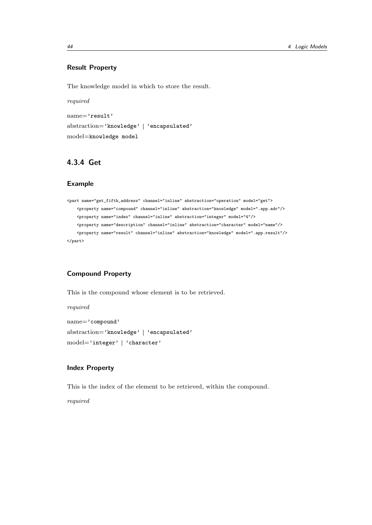## Result Property

The knowledge model in which to store the result.

required name='result' abstraction='knowledge' | 'encapsulated' model=knowledge model

## 4.3.4 Get

#### Example

```
<part name="get_fifth_address" channel="inline" abstraction="operation" model="get">
    <property name="compound" channel="inline" abstraction="knowledge" model=".app.adr"/>
    <property name="index" channel="inline" abstraction="integer" model="4"/>
    <property name="description" channel="inline" abstraction="character" model="name"/>
    <property name="result" channel="inline" abstraction="knowledge" model=".app.result"/>
</part>
```
## Compound Property

This is the compound whose element is to be retrieved.

required

name='compound' abstraction='knowledge' | 'encapsulated' model='integer' | 'character'

#### Index Property

This is the index of the element to be retrieved, within the compound.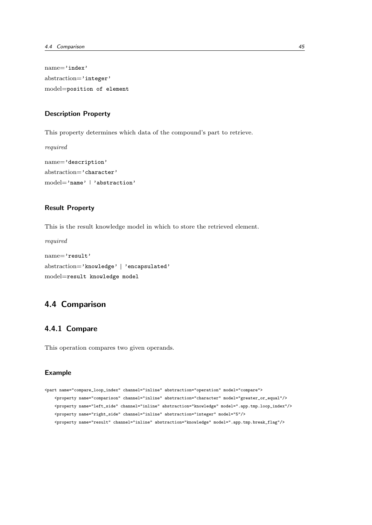name='index' abstraction='integer' model=position of element

#### Description Property

This property determines which data of the compound's part to retrieve.

required

```
name='description'
abstraction='character'
model='name' | 'abstraction'
```
#### Result Property

This is the result knowledge model in which to store the retrieved element.

required

```
name='result'
abstraction='knowledge' | 'encapsulated'
model=result knowledge model
```
# 4.4 Comparison

## 4.4.1 Compare

This operation compares two given operands.

#### Example

```
<part name="compare_loop_index" channel="inline" abstraction="operation" model="compare">
   <property name="comparison" channel="inline" abstraction="character" model="greater_or_equal"/>
   <property name="left_side" channel="inline" abstraction="knowledge" model=".app.tmp.loop_index"/>
   <property name="right_side" channel="inline" abstraction="integer" model="5"/>
   <property name="result" channel="inline" abstraction="knowledge" model=".app.tmp.break_flag"/>
```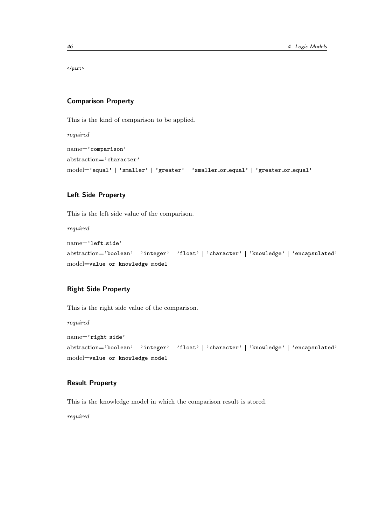</part>

#### Comparison Property

This is the kind of comparison to be applied.

required

name='comparison' abstraction='character' model='equal' | 'smaller' | 'greater' | 'smaller\_or\_equal' | 'greater\_or\_equal'

## Left Side Property

This is the left side value of the comparison.

required

```
name='left_side'
abstraction='boolean' | 'integer' | 'float' | 'character' | 'knowledge' | 'encapsulated'
model=value or knowledge model
```
## Right Side Property

This is the right side value of the comparison.

required

```
name='right_side'
abstraction='boolean' | 'integer' | 'float' | 'character' | 'knowledge' | 'encapsulated'
model=value or knowledge model
```
## Result Property

This is the knowledge model in which the comparison result is stored.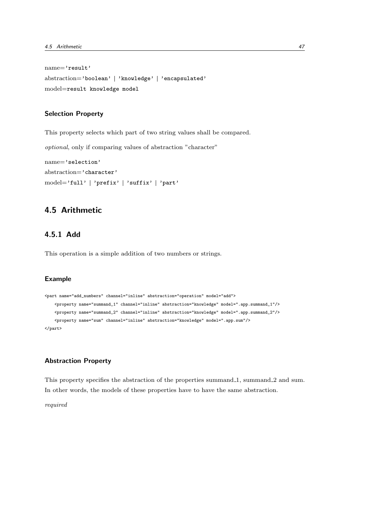```
name='result'
abstraction='boolean' | 'knowledge' | 'encapsulated'
model=result knowledge model
```
#### Selection Property

This property selects which part of two string values shall be compared.

optional, only if comparing values of abstraction "character"

```
name='selection'
abstraction='character'
model='full' | 'prefix' | 'suffix' | 'part'
```
# 4.5 Arithmetic

## 4.5.1 Add

This operation is a simple addition of two numbers or strings.

## Example

```
<part name="add_numbers" channel="inline" abstraction="operation" model="add">
    <property name="summand_1" channel="inline" abstraction="knowledge" model=".app.summand_1"/>
    <property name="summand_2" channel="inline" abstraction="knowledge" model=".app.summand_2"/>
    <property name="sum" channel="inline" abstraction="knowledge" model=".app.sum"/>
</part>
```
## Abstraction Property

This property specifies the abstraction of the properties summand 1, summand 2 and sum. In other words, the models of these properties have to have the same abstraction.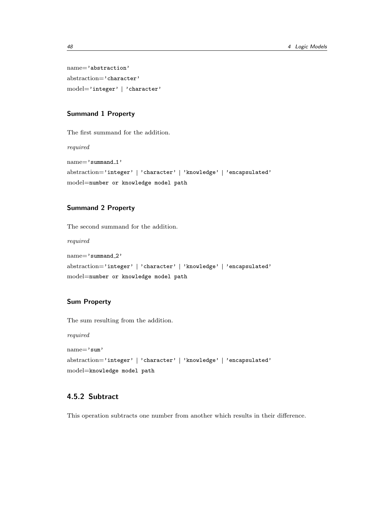name='abstraction' abstraction='character' model='integer' | 'character'

#### Summand 1 Property

The first summand for the addition.

required

name='summand\_1' abstraction='integer' | 'character' | 'knowledge' | 'encapsulated' model=number or knowledge model path

## Summand 2 Property

The second summand for the addition.

required

```
name='summand 2'
abstraction='integer' | 'character' | 'knowledge' | 'encapsulated'
model=number or knowledge model path
```
## Sum Property

The sum resulting from the addition.

required

name='sum' abstraction='integer' | 'character' | 'knowledge' | 'encapsulated' model=knowledge model path

# 4.5.2 Subtract

This operation subtracts one number from another which results in their difference.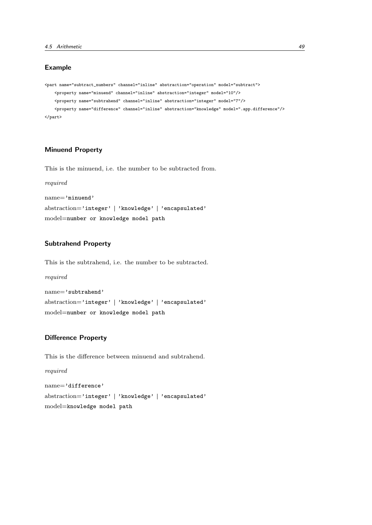## Example

```
<part name="subtract_numbers" channel="inline" abstraction="operation" model="subtract">
    <property name="minuend" channel="inline" abstraction="integer" model="10"/>
    <property name="subtrahend" channel="inline" abstraction="integer" model="7"/>
   <property name="difference" channel="inline" abstraction="knowledge" model=".app.difference"/>
</part>
```
## Minuend Property

This is the minuend, i.e. the number to be subtracted from.

required

name='minuend'

```
abstraction='integer' | 'knowledge' | 'encapsulated'
model=number or knowledge model path
```
### Subtrahend Property

This is the subtrahend, i.e. the number to be subtracted.

required

```
name='subtrahend'
abstraction='integer' | 'knowledge' | 'encapsulated'
model=number or knowledge model path
```
## Difference Property

This is the difference between minuend and subtrahend.

required

name='difference' abstraction='integer' | 'knowledge' | 'encapsulated' model=knowledge model path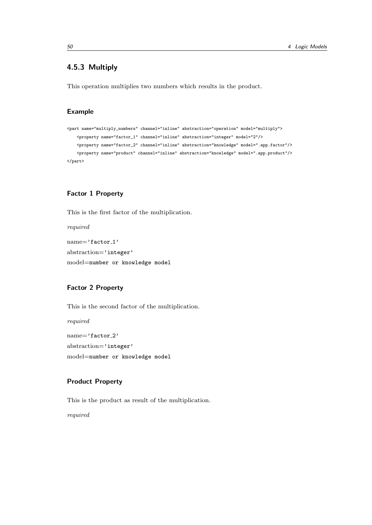## 4.5.3 Multiply

This operation multiplies two numbers which results in the product.

### Example

```
<part name="multiply_numbers" channel="inline" abstraction="operation" model="multiply">
    <property name="factor_1" channel="inline" abstraction="integer" model="2"/>
   <property name="factor_2" channel="inline" abstraction="knowledge" model=".app.factor"/>
    <property name="product" channel="inline" abstraction="knowledge" model=".app.product"/>
</part>
```
## Factor 1 Property

This is the first factor of the multiplication.

required

name='factor 1' abstraction='integer' model=number or knowledge model

## Factor 2 Property

This is the second factor of the multiplication.

required

name='factor\_2' abstraction='integer' model=number or knowledge model

## Product Property

This is the product as result of the multiplication.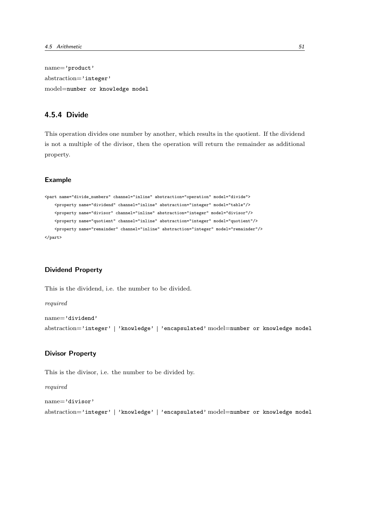name='product' abstraction='integer' model=number or knowledge model

## 4.5.4 Divide

This operation divides one number by another, which results in the quotient. If the dividend is not a multiple of the divisor, then the operation will return the remainder as additional property.

#### Example

```
<part name="divide_numbers" channel="inline" abstraction="operation" model="divide">
   <property name="dividend" channel="inline" abstraction="integer" model="table"/>
   <property name="divisor" channel="inline" abstraction="integer" model="divisor"/>
   <property name="quotient" channel="inline" abstraction="integer" model="quotient"/>
   <property name="remainder" channel="inline" abstraction="integer" model="remainder"/>
</part>
```
### Dividend Property

This is the dividend, i.e. the number to be divided.

required name='dividend' abstraction='integer' 'knowledge' 'encapsulated' model=number or knowledge model

#### Divisor Property

This is the divisor, i.e. the number to be divided by.

```
name='divisor'
abstraction='integer' 'knowledge' 'encapsulated' model=number or knowledge model
```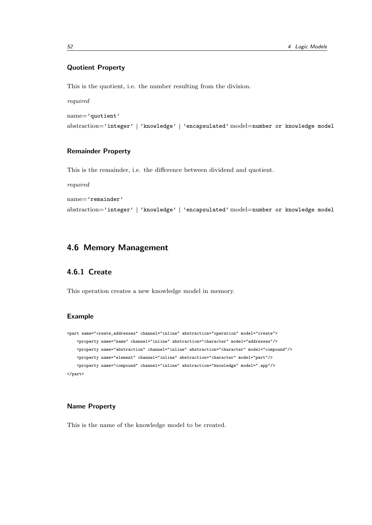## Quotient Property

This is the quotient, i.e. the number resulting from the division.

required

name='quotient'

abstraction='integer' 'knowledge' 'encapsulated' model=number or knowledge model

## Remainder Property

This is the remainder, i.e. the difference between dividend and quotient.

required

name='remainder'

abstraction='integer' | 'knowledge' | 'encapsulated' model=number or knowledge model

## 4.6 Memory Management

## 4.6.1 Create

This operation creates a new knowledge model in memory.

#### Example

```
<part name="create_addresses" channel="inline" abstraction="operation" model="create">
    <property name="name" channel="inline" abstraction="character" model="addresses"/>
    <property name="abstraction" channel="inline" abstraction="character" model="compound"/>
   <property name="element" channel="inline" abstraction="character" model="part"/>
    <property name="compound" channel="inline" abstraction="knowledge" model=".app"/>
</part>
```
### Name Property

This is the name of the knowledge model to be created.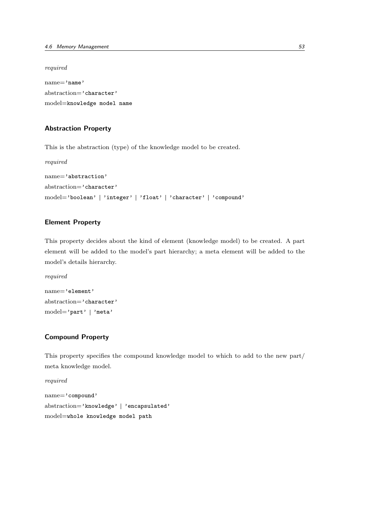required

name='name' abstraction='character' model=knowledge model name

#### Abstraction Property

This is the abstraction (type) of the knowledge model to be created.

required name='abstraction' abstraction='character' model='boolean' | 'integer' | 'float' | 'character' | 'compound'

## Element Property

This property decides about the kind of element (knowledge model) to be created. A part element will be added to the model's part hierarchy; a meta element will be added to the model's details hierarchy.

required

```
name='element'
abstraction='character'
model='part' | 'meta'
```
## Compound Property

This property specifies the compound knowledge model to which to add to the new part/ meta knowledge model.

required name='compound' abstraction='knowledge' | 'encapsulated' model=whole knowledge model path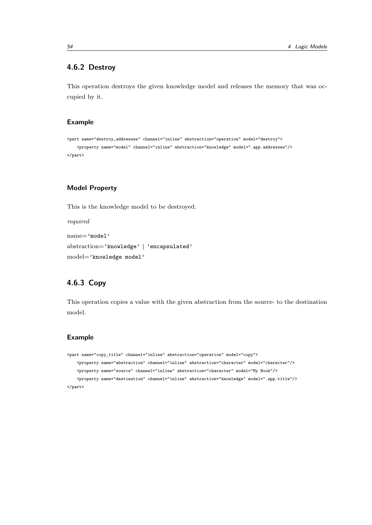## 4.6.2 Destroy

This operation destroys the given knowledge model and releases the memory that was occupied by it.

### Example

```
<part name="destroy_addresses" channel="inline" abstraction="operation" model="destroy">
    <property name="model" channel="inline" abstraction="knowledge" model=".app.addresses"/>
</part>
```
## Model Property

This is the knowledge model to be destroyed.

required

```
name='model'
abstraction='knowledge' | 'encapsulated'
model='knowledge model'
```
# 4.6.3 Copy

This operation copies a value with the given abstraction from the source- to the destination model.

### Example

```
<part name="copy_title" channel="inline" abstraction="operation" model="copy">
    <property name="abstraction" channel="inline" abstraction="character" model="character"/>
    <property name="source" channel="inline" abstraction="character" model="My Book"/>
    <property name="destination" channel="inline" abstraction="knowledge" model=".app.title"/>
</part>
```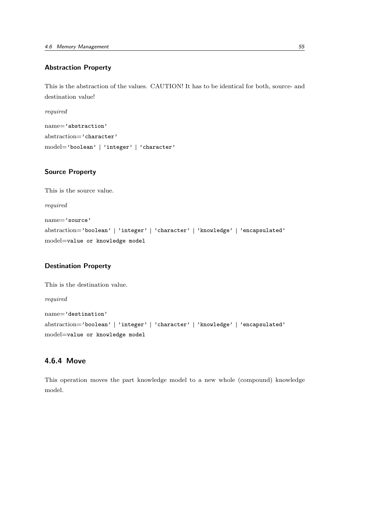## Abstraction Property

This is the abstraction of the values. CAUTION! It has to be identical for both, source- and destination value!

required

name='abstraction' abstraction='character' model='boolean' | 'integer' | 'character'

### Source Property

This is the source value.

required

```
name='source'
abstraction='boolean' | 'integer' | 'character' | 'knowledge' | 'encapsulated'
model=value or knowledge model
```
## Destination Property

```
This is the destination value.
required
name='destination'
abstraction='boolean' | 'integer' | 'character' | 'knowledge' | 'encapsulated'
model=value or knowledge model
```
## 4.6.4 Move

This operation moves the part knowledge model to a new whole (compound) knowledge model.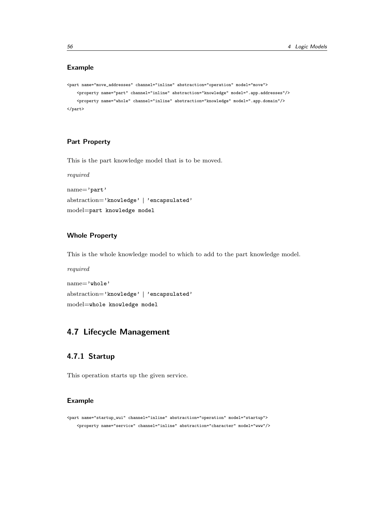## Example

```
<part name="move_addresses" channel="inline" abstraction="operation" model="move">
   <property name="part" channel="inline" abstraction="knowledge" model=".app.addresses"/>
    <property name="whole" channel="inline" abstraction="knowledge" model=".app.domain"/>
</part>
```
## Part Property

This is the part knowledge model that is to be moved.

required

```
name='part'
abstraction='knowledge' | 'encapsulated'
model=part knowledge model
```
### Whole Property

This is the whole knowledge model to which to add to the part knowledge model.

required

```
name='whole'
abstraction='knowledge' | 'encapsulated'
model=whole knowledge model
```
# 4.7 Lifecycle Management

## 4.7.1 Startup

This operation starts up the given service.

## Example

```
<part name="startup_wui" channel="inline" abstraction="operation" model="startup">
    <property name="service" channel="inline" abstraction="character" model="www"/>
```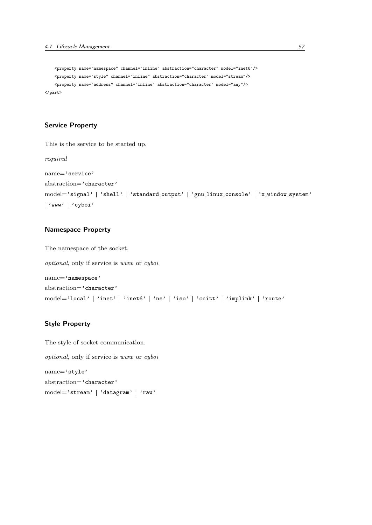```
<property name="namespace" channel="inline" abstraction="character" model="inet6"/>
   <property name="style" channel="inline" abstraction="character" model="stream"/>
   <property name="address" channel="inline" abstraction="character" model="any"/>
</part>
```
### Service Property

This is the service to be started up.

required

```
name='service'
abstraction='character'
model='signal' | 'shell' | 'standard_output' | 'gnu_linux_console' | 'x_window_system'
'www' 'cyboi'
```
## Namespace Property

The namespace of the socket.

optional, only if service is www or cyboi name='namespace' abstraction='character' model='local' | 'inet' | 'inet6' | 'ns' | 'iso' | 'ccitt' | 'implink' | 'route'

## Style Property

The style of socket communication. optional, only if service is www or cyboi name='style' abstraction='character' model='stream' | 'datagram' | 'raw'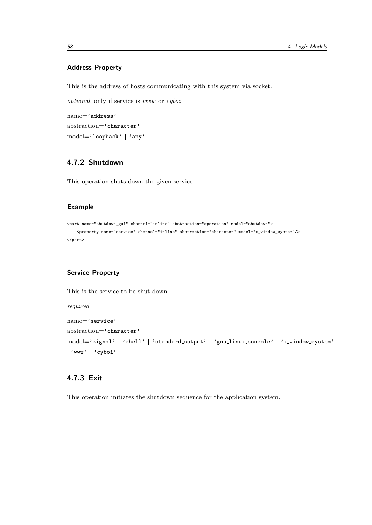## Address Property

This is the address of hosts communicating with this system via socket.

optional, only if service is www or cyboi

name='address' abstraction='character' model='loopback' | 'any'

# 4.7.2 Shutdown

This operation shuts down the given service.

### Example

```
<part name="shutdown_gui" channel="inline" abstraction="operation" model="shutdown">
   <property name="service" channel="inline" abstraction="character" model="x_window_system"/>
</part>
```
## Service Property

This is the service to be shut down.

required

```
name='service'
abstraction='character'
model='signal' | 'shell' | 'standard_output' | 'gnu_linux_console' | 'x_window_system'
'www' 'cyboi'
```
# 4.7.3 Exit

This operation initiates the shutdown sequence for the application system.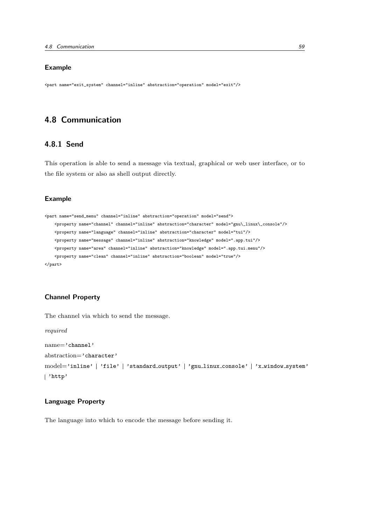## Example

<part name="exit\_system" channel="inline" abstraction="operation" model="exit"/>

# 4.8 Communication

## 4.8.1 Send

This operation is able to send a message via textual, graphical or web user interface, or to the file system or also as shell output directly.

## Example

```
<part name="send_menu" channel="inline" abstraction="operation" model="send">
   <property name="channel" channel="inline" abstraction="character" model="gnu\_linux\_console"/>
   <property name="language" channel="inline" abstraction="character" model="tui"/>
   <property name="message" channel="inline" abstraction="knowledge" model=".app.tui"/>
   <property name="area" channel="inline" abstraction="knowledge" model=".app.tui.menu"/>
   <property name="clean" channel="inline" abstraction="boolean" model="true"/>
</part>
```
#### Channel Property

required

The channel via which to send the message.

name='channel' abstraction='character' model='inline' | 'file' | 'standard\_output' | 'gnu\_linux\_console' | 'x\_window\_system' 'http'

#### Language Property

The language into which to encode the message before sending it.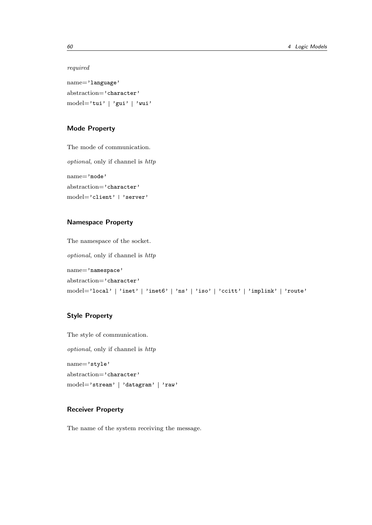#### required

name='language' abstraction='character' model='tui' | 'gui' | 'wui'

## Mode Property

The mode of communication. optional, only if channel is http name='mode' abstraction='character' model='client' | 'server'

### Namespace Property

The namespace of the socket. optional, only if channel is http name='namespace' abstraction='character' model='local' | 'inet' | 'inet6' | 'ns' | 'iso' | 'ccitt' | 'implink' | 'route'

## Style Property

The style of communication. optional, only if channel is http name='style' abstraction='character' model='stream' | 'datagram' | 'raw'

## Receiver Property

The name of the system receiving the message.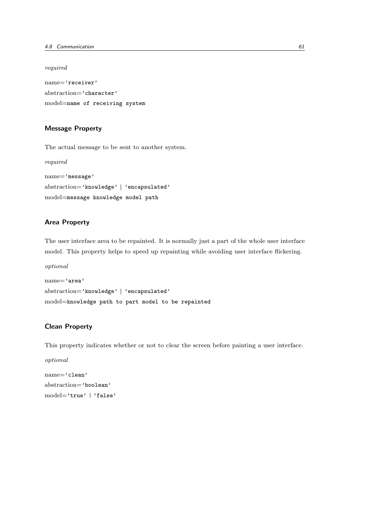required

name='receiver' abstraction='character' model=name of receiving system

#### Message Property

The actual message to be sent to another system.

required name='message' abstraction='knowledge' | 'encapsulated' model=message knowledge model path

## Area Property

The user interface area to be repainted. It is normally just a part of the whole user interface model. This property helps to speed up repainting while avoiding user interface flickering.

optional

```
name='area'
abstraction='knowledge' | 'encapsulated'
model=knowledge path to part model to be repainted
```
## Clean Property

This property indicates whether or not to clear the screen before painting a user interface.

optional

name='clean' abstraction='boolean' model='true' | 'false'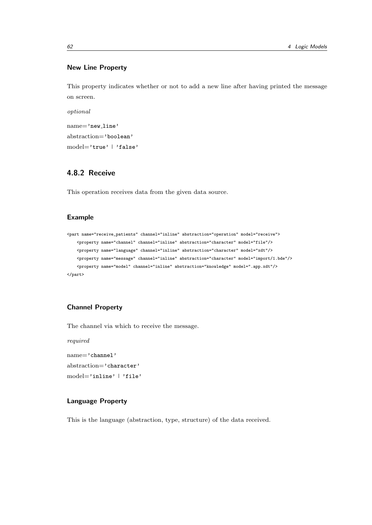### New Line Property

This property indicates whether or not to add a new line after having printed the message on screen.

optional

```
name='new line'
abstraction='boolean'
model='true' | 'false'
```
# 4.8.2 Receive

This operation receives data from the given data source.

#### Example

```
<part name="receive_patients" channel="inline" abstraction="operation" model="receive">
   <property name="channel" channel="inline" abstraction="character" model="file"/>
   <property name="language" channel="inline" abstraction="character" model="xdt"/>
    <property name="message" channel="inline" abstraction="character" model="import/1.bde"/>
    <property name="model" channel="inline" abstraction="knowledge" model=".app.xdt"/>
</part>
```
#### Channel Property

The channel via which to receive the message.

required

```
name='channel'
abstraction='character'
model='inline' 'file'
```
#### Language Property

This is the language (abstraction, type, structure) of the data received.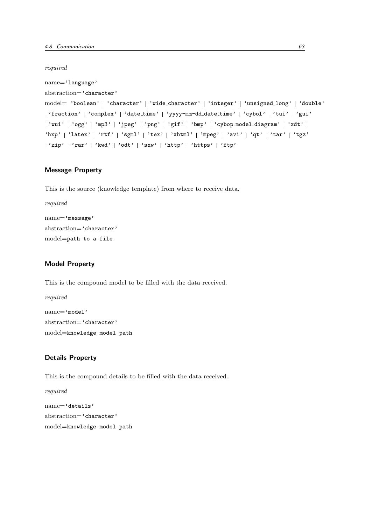required

```
name='language'
abstraction='character'
model= 'boolean' | 'character' | 'wide_character' | 'integer' | 'unsigned_long' | 'double'
| 'fraction' | 'complex' | 'date_time' | 'yyyy-mm-dd_date_time' | 'cybol' | 'tui' | 'gui'
'wui' 'ogg' 'mp3' 'jpeg' 'png' 'gif' 'bmp' 'cybop model diagram' 'xdt'
'hxp' | 'latex' | 'rtf' | 'sgml' | 'tex' | 'xhtml' | 'mpeg' | 'avi' | 'qt' | 'tar' | 'tgz'
| 'zip' | 'rar' | 'kwd' | 'odt' | 'sxw' | 'http' | 'https' | 'ftp'
```
#### Message Property

This is the source (knowledge template) from where to receive data.

```
required
name='message'
abstraction='character'
model=path to a file
```
## Model Property

This is the compound model to be filled with the data received.

required name='model' abstraction='character' model=knowledge model path

## Details Property

This is the compound details to be filled with the data received.

required name='details' abstraction='character' model=knowledge model path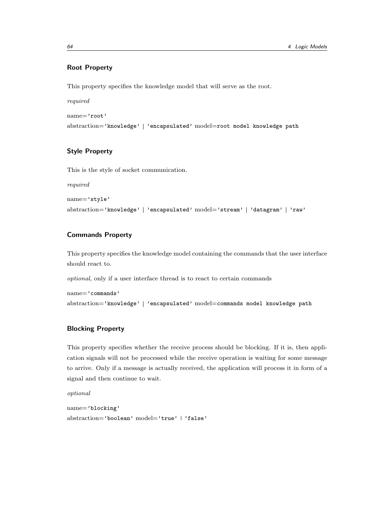## Root Property

This property specifies the knowledge model that will serve as the root.

required

name='root'

abstraction='knowledge' | 'encapsulated' model=root model knowledge path

## Style Property

This is the style of socket communication.

required

name='style'

abstraction='knowledge' | 'encapsulated' model='stream' | 'datagram' | 'raw'

#### Commands Property

This property specifies the knowledge model containing the commands that the user interface should react to.

optional, only if a user interface thread is to react to certain commands

```
name='commands'
abstraction='knowledge' | 'encapsulated' model=commands model knowledge path
```
#### Blocking Property

This property specifies whether the receive process should be blocking. If it is, then application signals will not be processed while the receive operation is waiting for some message to arrive. Only if a message is actually received, the application will process it in form of a signal and then continue to wait.

optional

```
name='blocking'
abstraction='boolean' model='true' | 'false'
```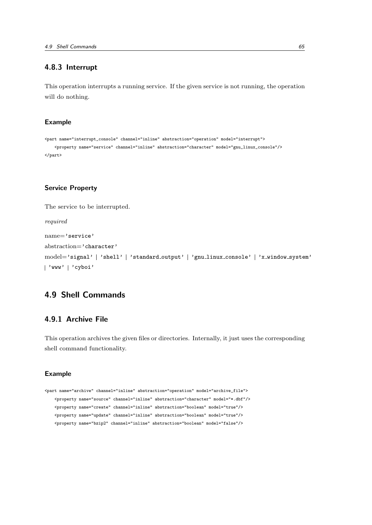#### 4.8.3 Interrupt

This operation interrupts a running service. If the given service is not running, the operation will do nothing.

#### Example

```
<part name="interrupt_console" channel="inline" abstraction="operation" model="interrupt">
   <property name="service" channel="inline" abstraction="character" model="gnu_linux_console"/>
</part>
```
#### Service Property

The service to be interrupted.

required

```
name='service'
abstraction='character'
model='signal' | 'shell' | 'standard_output' | 'gnu_linux_console' | 'x_window_system'
'www' 'cyboi'
```
# 4.9 Shell Commands

#### 4.9.1 Archive File

This operation archives the given files or directories. Internally, it just uses the corresponding shell command functionality.

### Example

```
<part name="archive" channel="inline" abstraction="operation" model="archive_file">
   <property name="source" channel="inline" abstraction="character" model="*.dbf"/>
   <property name="create" channel="inline" abstraction="boolean" model="true"/>
   <property name="update" channel="inline" abstraction="boolean" model="true"/>
   <property name="bzip2" channel="inline" abstraction="boolean" model="false"/>
```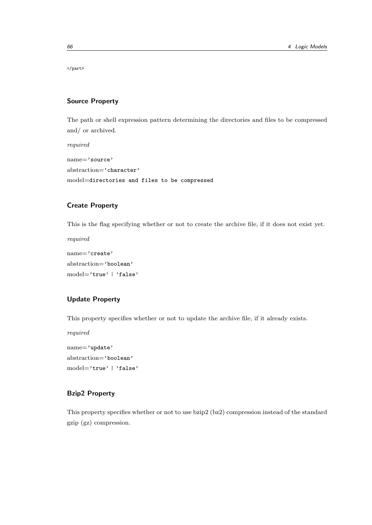</part>

#### Source Property

The path or shell expression pattern determining the directories and files to be compressed and/ or archived.

required name='source' abstraction='character'

model=directories and files to be compressed

# Create Property

This is the flag specifying whether or not to create the archive file, if it does not exist yet.

required name='create'

abstraction='boolean' model='true' | 'false'

#### Update Property

This property specifies whether or not to update the archive file, if it already exists.

required

name='update' abstraction='boolean' model='true' | 'false'

# Bzip2 Property

This property specifies whether or not to use bzip2 (bz2) compression instead of the standard gzip (gz) compression.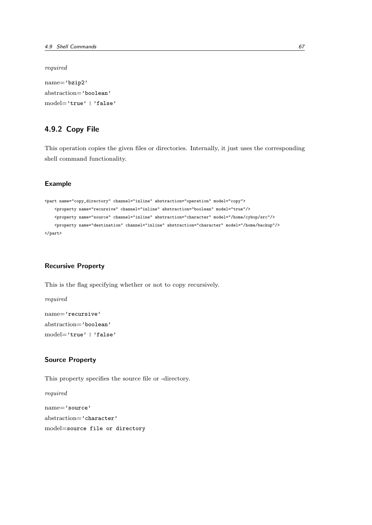required

name='bzip2' abstraction='boolean' model='true' | 'false'

# 4.9.2 Copy File

This operation copies the given files or directories. Internally, it just uses the corresponding shell command functionality.

#### Example

```
<part name="copy_directory" channel="inline" abstraction="operation" model="copy">
    <property name="recursive" channel="inline" abstraction="boolean" model="true"/>
    <property name="source" channel="inline" abstraction="character" model="/home/cybop/src"/>
   <property name="destination" channel="inline" abstraction="character" model="/home/backup"/>
</part>
```
#### Recursive Property

This is the flag specifying whether or not to copy recursively.

required name='recursive' abstraction='boolean' model='true' | 'false'

#### Source Property

This property specifies the source file or -directory.

required

name='source' abstraction='character' model=source file or directory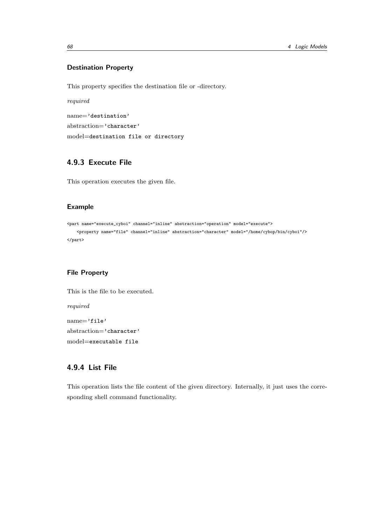#### Destination Property

This property specifies the destination file or -directory.

required name='destination' abstraction='character' model=destination file or directory

# 4.9.3 Execute File

This operation executes the given file.

#### Example

```
<part name="execute_cyboi" channel="inline" abstraction="operation" model="execute">
   <property name="file" channel="inline" abstraction="character" model="/home/cybop/bin/cyboi"/>
</part>
```
#### File Property

This is the file to be executed. required name='file' abstraction='character' model=executable file

# 4.9.4 List File

This operation lists the file content of the given directory. Internally, it just uses the corresponding shell command functionality.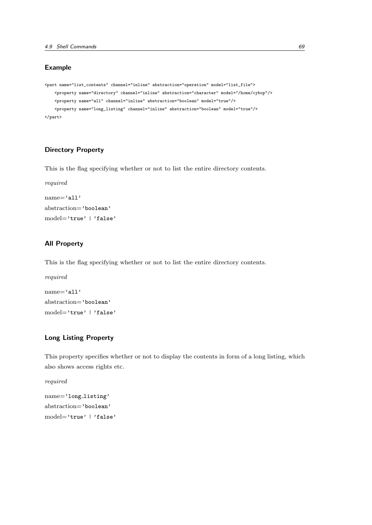### Example

```
<part name="list_contents" channel="inline" abstraction="operation" model="list_file">
    <property name="directory" channel="inline" abstraction="character" model="/home/cybop"/>
    <property name="all" channel="inline" abstraction="boolean" model="true"/>
    <property name="long_listing" channel="inline" abstraction="boolean" model="true"/>
</part>
```
## Directory Property

This is the flag specifying whether or not to list the entire directory contents.

```
required
name='all'
abstraction='boolean'
model='true' | 'false'
```
#### All Property

This is the flag specifying whether or not to list the entire directory contents.

```
required
name='all'
abstraction='boolean'
model='true' | 'false'
```
# Long Listing Property

This property specifies whether or not to display the contents in form of a long listing, which also shows access rights etc.

required

```
name='long listing'
abstraction='boolean'
model='true' | 'false'
```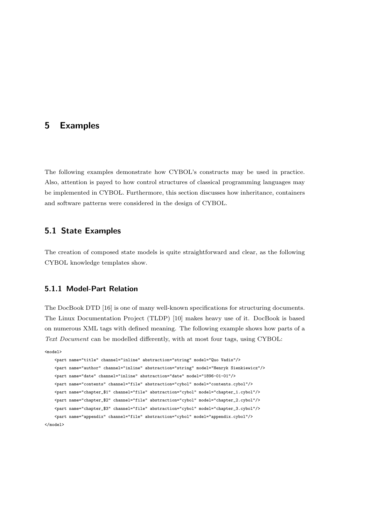# 5 Examples

The following examples demonstrate how CYBOL's constructs may be used in practice. Also, attention is payed to how control structures of classical programming languages may be implemented in CYBOL. Furthermore, this section discusses how inheritance, containers and software patterns were considered in the design of CYBOL.

# 5.1 State Examples

The creation of composed state models is quite straightforward and clear, as the following CYBOL knowledge templates show.

## 5.1.1 Model-Part Relation

The DocBook DTD [16] is one of many well-known specifications for structuring documents. The Linux Documentation Project (TLDP) [10] makes heavy use of it. DocBook is based on numerous XML tags with defined meaning. The following example shows how parts of a Text Document can be modelled differently, with at most four tags, using CYBOL:

<model>

<part name="title" channel="inline" abstraction="string" model="Quo Vadis"/> <part name="author" channel="inline" abstraction="string" model="Henryk Sienkiewicz"/> <part name="date" channel="inline" abstraction="date" model="1896-01-01"/> <part name="contents" channel="file" abstraction="cybol" model="contents.cybol"/> <part name="chapter\_\$1" channel="file" abstraction="cybol" model="chapter\_1.cybol"/> <part name="chapter\_\$2" channel="file" abstraction="cybol" model="chapter\_2.cybol"/> <part name="chapter\_\$3" channel="file" abstraction="cybol" model="chapter\_3.cybol"/> <part name="appendix" channel="file" abstraction="cybol" model="appendix.cybol"/> </model>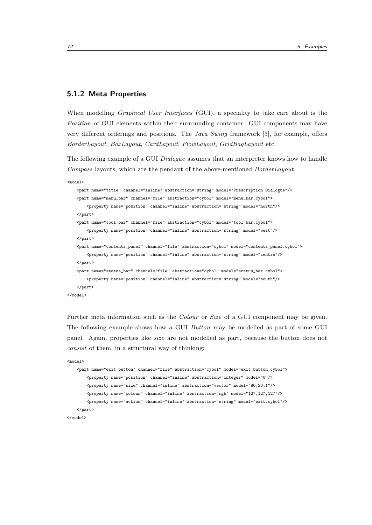#### 5.1.2 Meta Properties

When modelling *Graphical User Interfaces* (GUI), a speciality to take care about is the Position of GUI elements within their surrounding container. GUI components may have very different orderings and positions. The Java Swing framework [3], for example, offers BorderLayout, BoxLayout, CardLayout, FlowLayout, GridBagLayout etc.

The following example of a GUI *Dialogue* assumes that an interpreter knows how to handle Compass layouts, which are the pendant of the above-mentioned BorderLayout:

<model>

```
<part name="title" channel="inline" abstraction="string" model="Prescription Dialogue"/>
    <part name="menu_bar" channel="file" abstraction="cybol" model="menu_bar.cybol">
       <property name="position" channel="inline" abstraction="string" model="north"/>
   </part>
   <part name="tool_bar" channel="file" abstraction="cybol" model="tool_bar.cybol">
       <property name="position" channel="inline" abstraction="string" model="west"/>
   \langle/part\rangle<part name="contents_panel" channel="file" abstraction="cybol" model="contents_panel.cybol">
       <property name="position" channel="inline" abstraction="string" model="centre"/>
   </part>
    <part name="status_bar" channel="file" abstraction="cybol" model="status_bar.cybol">
       <property name="position" channel="inline" abstraction="string" model="south"/>
   </part>
</model>
```
Further meta information such as the *Colour* or *Size* of a GUI component may be given. The following example shows how a GUI Button may be modelled as part of some GUI panel. Again, properties like size are not modelled as part, because the button does not consist of them, in a structural way of thinking:

```
<model>
    <part name="exit_button" channel="file" abstraction="cybol" model="exit_button.cybol">
       <property name="position" channel="inline" abstraction="integer" model="0"/>
       <property name="size" channel="inline" abstraction="vector" model="80,20,1"/>
       <property name="colour" channel="inline" abstraction="rgb" model="127,127,127"/>
       <property name="action" channel="inline" abstraction="string" model="exit.cybol"/>
    </part>
</model>
```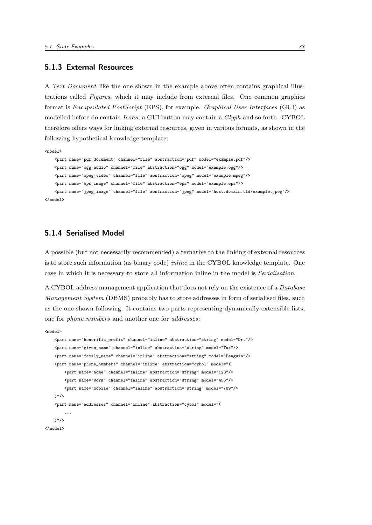#### 5.1.3 External Resources

A Text Document like the one shown in the example above often contains graphical illustrations called Figures, which it may include from external files. One common graphics format is Encapsulated PostScript (EPS), for example. Graphical User Interfaces (GUI) as modelled before do contain Icons; a GUI button may contain a Glyph and so forth. CYBOL therefore offers ways for linking external resources, given in various formats, as shown in the following hypothetical knowledge template:

<model>

```
<part name="pdf_document" channel="file" abstraction="pdf" model="example.pdf"/>
    <part name="ogg_audio" channel="file" abstraction="ogg" model="example.ogg"/>
   <part name="mpeg_video" channel="file" abstraction="mpeg" model="example.mpeg"/>
   <part name="eps_image" channel="file" abstraction="eps" model="example.eps"/>
    <part name="jpeg_image" channel="file" abstraction="jpeg" model="host.domain.tld/example.jpeg"/>
</model>
```
#### 5.1.4 Serialised Model

A possible (but not necessarily recommended) alternative to the linking of external resources is to store such information (as binary code) *inline* in the CYBOL knowledge template. One case in which it is necessary to store all information inline in the model is Serialisation.

A CYBOL address management application that does not rely on the existence of a Database Management System (DBMS) probably has to store addresses in form of serialised files, such as the one shown following. It contains two parts representing dynamically extensible lists, one for *phone\_numbers* and another one for *addresses*:

<model>

```
<part name="honorific_prefix" channel="inline" abstraction="string" model="Dr."/>
   <part name="given_name" channel="inline" abstraction="string" model="Tux"/>
   <part name="family_name" channel="inline" abstraction="string" model="Penguin"/>
   <part name="phone_numbers" channel="inline" abstraction="cybol" model="(
       <part name="home" channel="inline" abstraction="string" model="123"/>
       <part name="work" channel="inline" abstraction="string" model="456"/>
        <part name="mobile" channel="inline" abstraction="string" model="789"/>
   )"/>
    <part name="addresses" channel="inline" abstraction="cybol" model="(
        ...
   )"/>
</model>
```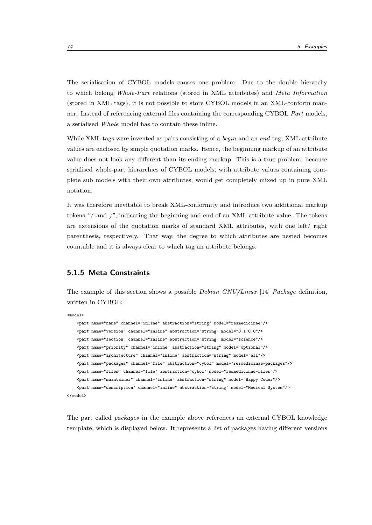The serialisation of CYBOL models causes one problem: Due to the double hierarchy to which belong Whole-Part relations (stored in XML attributes) and Meta Information (stored in XML tags), it is not possible to store CYBOL models in an XML-conform manner. Instead of referencing external files containing the corresponding CYBOL Part models, a serialised Whole model has to contain these inline.

While XML tags were invented as pairs consisting of a *begin* and an end tag, XML attribute values are enclosed by simple quotation marks. Hence, the beginning markup of an attribute value does not look any different than its ending markup. This is a true problem, because serialised whole-part hierarchies of CYBOL models, with attribute values containing complete sub models with their own attributes, would get completely mixed up in pure XML notation.

It was therefore inevitable to break XML-conformity and introduce two additional markup tokens "( and )", indicating the beginning and end of an XML attribute value. The tokens are extensions of the quotation marks of standard XML attributes, with one left/ right parenthesis, respectively. That way, the degree to which attributes are nested becomes countable and it is always clear to which tag an attribute belongs.

# 5.1.5 Meta Constraints

The example of this section shows a possible *Debian GNU/Linux* [14] *Package* definition, written in CYBOL:

```
<model>
```

```
<part name="name" channel="inline" abstraction="string" model="resmedicinae"/>
   <part name="version" channel="inline" abstraction="string" model="0.1.0.0"/>
    <part name="section" channel="inline" abstraction="string" model="science"/>
   <part name="priority" channel="inline" abstraction="string" model="optional"/>
   <part name="architecture" channel="inline" abstraction="string" model="all"/>
   <part name="packages" channel="file" abstraction="cybol" model="resmedicinae-packages"/>
   <part name="files" channel="file" abstraction="cybol" model="resmedicinae-files"/>
   <part name="maintainer" channel="inline" abstraction="string" model="Happy Coder"/>
    <part name="description" channel="inline" abstraction="string" model="Medical System"/>
</model>
```
The part called packages in the example above references an external CYBOL knowledge template, which is displayed below. It represents a list of packages having different versions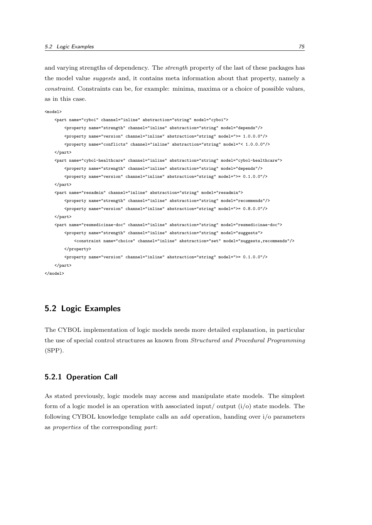and varying strengths of dependency. The *strength* property of the last of these packages has the model value *suggests* and, it contains meta information about that property, namely a constraint. Constraints can be, for example: minima, maxima or a choice of possible values, as in this case.

```
<model>
   <part name="cyboi" channel="inline" abstraction="string" model="cyboi">
        <property name="strength" channel="inline" abstraction="string" model="depends"/>
        <property name="version" channel="inline" abstraction="string" model=">= 1.0.0.0"/>
        <property name="conflicts" channel="inline" abstraction="string" model="< 1.0.0.0"/>
    </part>
    <part name="cybol-healthcare" channel="inline" abstraction="string" model="cybol-healthcare">
        <property name="strength" channel="inline" abstraction="string" model="depends"/>
        <property name="version" channel="inline" abstraction="string" model=">= 0.1.0.0"/>
    \langle/part\rangle<part name="resadmin" channel="inline" abstraction="string" model="resadmin">
        <property name="strength" channel="inline" abstraction="string" model="recommends"/>
        <property name="version" channel="inline" abstraction="string" model=">= 0.8.0.0"/>
    </part>
    <part name="resmedicinae-doc" channel="inline" abstraction="string" model="resmedicinae-doc">
        <property name="strength" channel="inline" abstraction="string" model="suggests">
            <constraint name="choice" channel="inline" abstraction="set" model="suggests,recommends"/>
        </property>
        \langleproperty name="version" channel="inline" abstraction="string" model=">= 0.1.0.0"/>
    \epsilon/part\epsilon</model>
```
# 5.2 Logic Examples

The CYBOL implementation of logic models needs more detailed explanation, in particular the use of special control structures as known from Structured and Procedural Programming (SPP).

# 5.2.1 Operation Call

As stated previously, logic models may access and manipulate state models. The simplest form of a logic model is an operation with associated input/output  $(i/\sigma)$  state models. The following CYBOL knowledge template calls an add operation, handing over i/o parameters as properties of the corresponding part: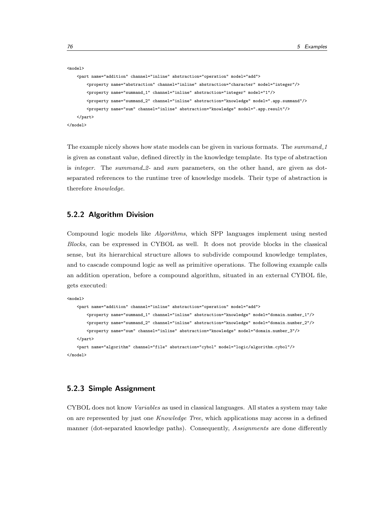```
<model>
    <part name="addition" channel="inline" abstraction="operation" model="add">
       <property name="abstraction" channel="inline" abstraction="character" model="integer"/>
       <property name="summand_1" channel="inline" abstraction="integer" model="1"/>
       <property name="summand_2" channel="inline" abstraction="knowledge" model=".app.summand"/>
       <property name="sum" channel="inline" abstraction="knowledge" model=".app.result"/>
    </part>
</model>
```
The example nicely shows how state models can be given in various formats. The summand\_1 is given as constant value, defined directly in the knowledge template. Its type of abstraction is integer. The summand  $2-$  and sum parameters, on the other hand, are given as dotseparated references to the runtime tree of knowledge models. Their type of abstraction is therefore knowledge.

### 5.2.2 Algorithm Division

Compound logic models like Algorithms, which SPP languages implement using nested Blocks, can be expressed in CYBOL as well. It does not provide blocks in the classical sense, but its hierarchical structure allows to subdivide compound knowledge templates, and to cascade compound logic as well as primitive operations. The following example calls an addition operation, before a compound algorithm, situated in an external CYBOL file, gets executed:

```
<model>
    <part name="addition" channel="inline" abstraction="operation" model="add">
       <property name="summand_1" channel="inline" abstraction="knowledge" model="domain.number_1"/>
       <property name="summand_2" channel="inline" abstraction="knowledge" model="domain.number_2"/>
       <property name="sum" channel="inline" abstraction="knowledge" model="domain.number_3"/>
    </part>
   <part name="algorithm" channel="file" abstraction="cybol" model="logic/algorithm.cybol"/>
</model>
```
## 5.2.3 Simple Assignment

CYBOL does not know Variables as used in classical languages. All states a system may take on are represented by just one Knowledge Tree, which applications may access in a defined manner (dot-separated knowledge paths). Consequently, Assignments are done differently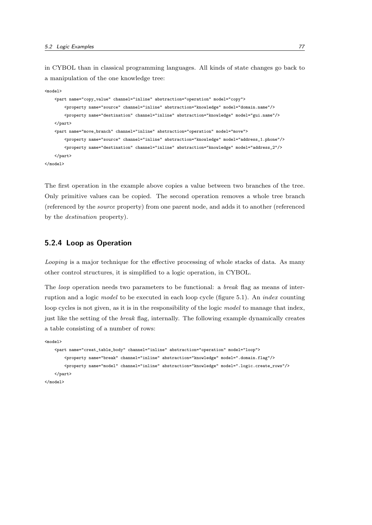in CYBOL than in classical programming languages. All kinds of state changes go back to a manipulation of the one knowledge tree:

```
<model>
    <part name="copy_value" channel="inline" abstraction="operation" model="copy">
        <property name="source" channel="inline" abstraction="knowledge" model="domain.name"/>
        <property name="destination" channel="inline" abstraction="knowledge" model="gui.name"/>
   \langle/part\rangle<part name="move_branch" channel="inline" abstraction="operation" model="move">
        <property name="source" channel="inline" abstraction="knowledge" model="address_1.phone"/>
        <property name="destination" channel="inline" abstraction="knowledge" model="address_2"/>
    </part>
</model>
```
The first operation in the example above copies a value between two branches of the tree. Only primitive values can be copied. The second operation removes a whole tree branch (referenced by the source property) from one parent node, and adds it to another (referenced by the destination property).

#### 5.2.4 Loop as Operation

Looping is a major technique for the effective processing of whole stacks of data. As many other control structures, it is simplified to a logic operation, in CYBOL.

The *loop* operation needs two parameters to be functional: a *break* flag as means of interruption and a logic *model* to be executed in each loop cycle (figure 5.1). An *index* counting loop cycles is not given, as it is in the responsibility of the logic model to manage that index, just like the setting of the break flag, internally. The following example dynamically creates a table consisting of a number of rows:

<model>

```
<part name="creat_table_body" channel="inline" abstraction="operation" model="loop">
       <property name="break" channel="inline" abstraction="knowledge" model=".domain.flag"/>
       <property name="model" channel="inline" abstraction="knowledge" model=".logic.create_rows"/>
    </part>
</model>
```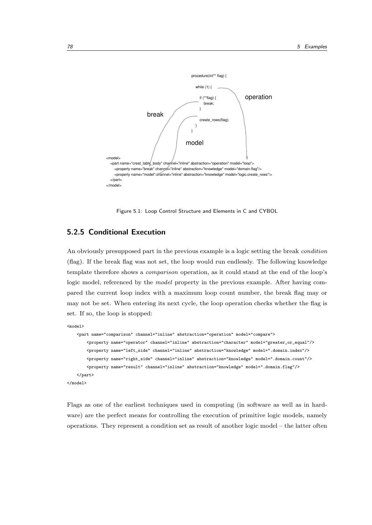

Figure 5.1: Loop Control Structure and Elements in C and CYBOL

# 5.2.5 Conditional Execution

An obviously presupposed part in the previous example is a logic setting the break condition (flag). If the break flag was not set, the loop would run endlessly. The following knowledge template therefore shows a comparison operation, as it could stand at the end of the loop's logic model, referenced by the model property in the previous example. After having compared the current loop index with a maximum loop count number, the break flag may or may not be set. When entering its next cycle, the loop operation checks whether the flag is set. If so, the loop is stopped:

```
<model>
```

```
<part name="comparison" channel="inline" abstraction="operation" model="compare">
       <property name="operator" channel="inline" abstraction="character" model="greater_or_equal"/>
       <property name="left_side" channel="inline" abstraction="knowledge" model=".domain.index"/>
       <property name="right_side" channel="inline" abstraction="knowledge" model=".domain.count"/>
       <property name="result" channel="inline" abstraction="knowledge" model=".domain.flag"/>
   </part>
</model>
```
Flags as one of the earliest techniques used in computing (in software as well as in hardware) are the perfect means for controlling the execution of primitive logic models, namely operations. They represent a condition set as result of another logic model – the latter often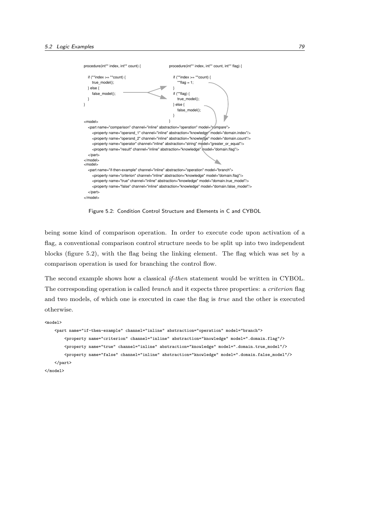

Figure 5.2: Condition Control Structure and Elements in C and CYBOL

being some kind of comparison operation. In order to execute code upon activation of a flag, a conventional comparison control structure needs to be split up into two independent blocks (figure 5.2), with the flag being the linking element. The flag which was set by a comparison operation is used for branching the control flow.

The second example shows how a classical *if-then* statement would be written in CYBOL. The corresponding operation is called *branch* and it expects three properties: a *criterion* flag and two models, of which one is executed in case the flag is true and the other is executed otherwise.

<model> <part name="if-then-example" channel="inline" abstraction="operation" model="branch"> <property name="criterion" channel="inline" abstraction="knowledge" model=".domain.flag"/> <property name="true" channel="inline" abstraction="knowledge" model=".domain.true\_model"/> <property name="false" channel="inline" abstraction="knowledge" model=".domain.false\_model"/> </part>

```
</model>
```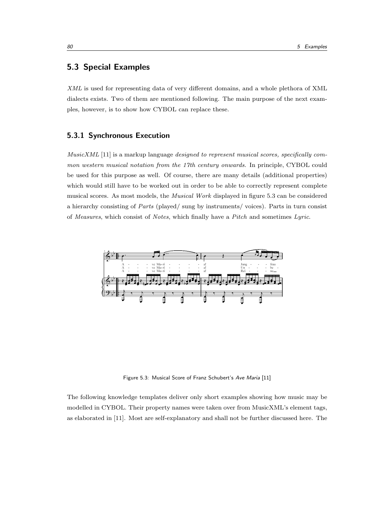# 5.3 Special Examples

XML is used for representing data of very different domains, and a whole plethora of XML dialects exists. Two of them are mentioned following. The main purpose of the next examples, however, is to show how CYBOL can replace these.

#### 5.3.1 Synchronous Execution

MusicXML [11] is a markup language designed to represent musical scores, specifically common western musical notation from the 17th century onwards. In principle, CYBOL could be used for this purpose as well. Of course, there are many details (additional properties) which would still have to be worked out in order to be able to correctly represent complete musical scores. As most models, the Musical Work displayed in figure 5.3 can be considered a hierarchy consisting of Parts (played/ sung by instruments/ voices). Parts in turn consist of Measures, which consist of Notes, which finally have a Pitch and sometimes Lyric.



Figure 5.3: Musical Score of Franz Schubert's Ave Maria [11]

The following knowledge templates deliver only short examples showing how music may be modelled in CYBOL. Their property names were taken over from MusicXML's element tags, as elaborated in [11]. Most are self-explanatory and shall not be further discussed here. The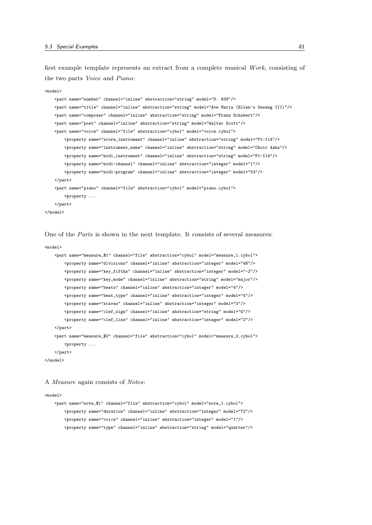first example template represents an extract from a complete musical Work, consisting of the two parts Voice and Piano:

```
<model>
   <part name="number" channel="inline" abstraction="string" model="D. 839"/>
   <part name="title" channel="inline" abstraction="string" model="Ave Maria (Ellen's Gesang III)"/>
    <part name="composer" channel="inline" abstraction="string" model="Franz Schubert"/>
   <part name="poet" channel="inline" abstraction="string" model="Walter Scott"/>
   <part name="voice" channel="file" abstraction="cybol" model="voice.cybol">
        <property name="score_instrument" channel="inline" abstraction="string" model="P1-I14"/>
       <property name="instrument_name" channel="inline" abstraction="string" model="Choir Aahs"/>
       <property name="midi_instrument" channel="inline" abstraction="string" model="P1-I14"/>
        <property name="midi-channel" channel="inline" abstraction="integer" model="1"/>
       <property name="midi-program" channel="inline" abstraction="integer" model="53"/>
    </part>
    <part name="piano" channel="file" abstraction="cybol" model="piano.cybol">
       <property ...
   </part>
</model>
```
One of the Parts is shown in the next template. It consists of several measures:

```
<model>
    <part name="measure_$1" channel="file" abstraction="cybol" model="measure_1.cybol">
        <property name="divisions" channel="inline" abstraction="integer" model="48"/>
        <property name="key_fifths" channel="inline" abstraction="integer" model="-2"/>
        <property name="key_mode" channel="inline" abstraction="string" model="major"/>
        <property name="beats" channel="inline" abstraction="integer" model="4"/>
        <property name="beat_type" channel="inline" abstraction="integer" model="4"/>
        <property name="staves" channel="inline" abstraction="integer" model="0"/>
        <property name="clef_sign" channel="inline" abstraction="string" model="G"/>
        <property name="clef_line" channel="inline" abstraction="integer" model="2"/>
   \langle/part\rangle<part name="measure_$2" channel="file" abstraction="cybol" model="measure_2.cybol">
        < property \ldots\langle/part\rangle</model>
```
A Measure again consists of Notes:

#### <model>

```
<part name="note_$1" channel="file" abstraction="cybol" model="note_1.cybol">
   <property name="duration" channel="inline" abstraction="integer" model="72"/>
   <property name="voice" channel="inline" abstraction="integer" model="1"/>
   <property name="type" channel="inline" abstraction="string" model="quarter"/>
```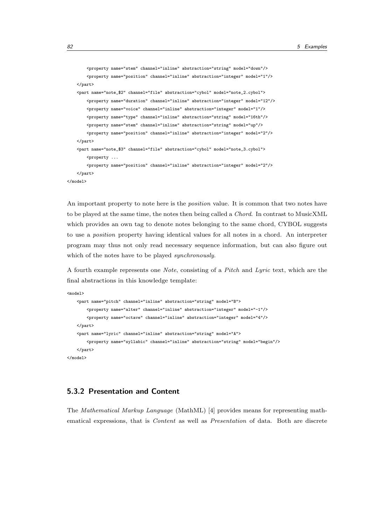```
<property name="stem" channel="inline" abstraction="string" model="down"/>
       <property name="position" channel="inline" abstraction="integer" model="1"/>
   </part>
   <part name="note_$2" channel="file" abstraction="cybol" model="note_2.cybol">
       <property name="duration" channel="inline" abstraction="integer" model="12"/>
       <property name="voice" channel="inline" abstraction="integer" model="1"/>
       <property name="type" channel="inline" abstraction="string" model="16th"/>
       <property name="stem" channel="inline" abstraction="string" model="up"/>
       <property name="position" channel="inline" abstraction="integer" model="2"/>
   </part>
   <part name="note_$3" channel="file" abstraction="cybol" model="note_3.cybol">
       <property ...
       <property name="position" channel="inline" abstraction="integer" model="2"/>
    \langle/part>
</model>
```
An important property to note here is the *position* value. It is common that two notes have to be played at the same time, the notes then being called a Chord. In contrast to MusicXML which provides an own tag to denote notes belonging to the same chord, CYBOL suggests to use a position property having identical values for all notes in a chord. An interpreter program may thus not only read necessary sequence information, but can also figure out which of the notes have to be played *synchronously*.

A fourth example represents one Note, consisting of a Pitch and Lyric text, which are the final abstractions in this knowledge template:

```
<model>
   <part name="pitch" channel="inline" abstraction="string" model="B">
       <property name="alter" channel="inline" abstraction="integer" model="-1"/>
       <property name="octave" channel="inline" abstraction="integer" model="4"/>
   </part>
    <part name="lyric" channel="inline" abstraction="string" model="A">
       <property name="syllabic" channel="inline" abstraction="string" model="begin"/>
   </part>
</model>
```
# 5.3.2 Presentation and Content

The Mathematical Markup Language (MathML) [4] provides means for representing mathematical expressions, that is *Content* as well as *Presentation* of data. Both are discrete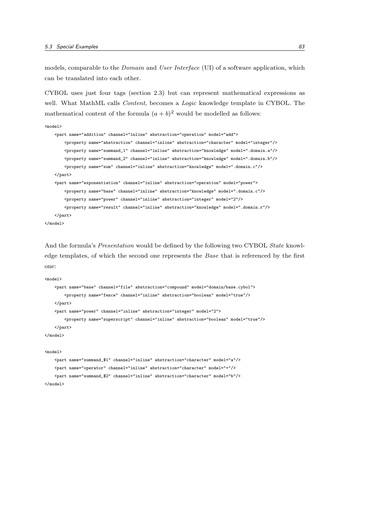models, comparable to the *Domain* and *User Interface* (UI) of a software application, which can be translated into each other.

CYBOL uses just four tags (section 2.3) but can represent mathematical expressions as well. What MathML calls *Content*, becomes a *Logic* knowledge template in CYBOL. The mathematical content of the formula  $(a + b)^2$  would be modelled as follows:

```
<model>
    <part name="addition" channel="inline" abstraction="operation" model="add">
       <property name="abstraction" channel="inline" abstraction="character" model="integer"/>
        <property name="summand_1" channel="inline" abstraction="knowledge" model=".domain.a"/>
       <property name="summand_2" channel="inline" abstraction="knowledge" model=".domain.b"/>
       <property name="sum" channel="inline" abstraction="knowledge" model=".domain.c"/>
    </part>
    <part name="exponentiation" channel="inline" abstraction="operation" model="power">
        <property name="base" channel="inline" abstraction="knowledge" model=".domain.c"/>
        <property name="power" channel="inline" abstraction="integer" model="2"/>
       <property name="result" channel="inline" abstraction="knowledge" model=".domain.r"/>
    </part>
</model>
```
And the formula's *Presentation* would be defined by the following two CYBOL *State* knowledge templates, of which the second one represents the Base that is referenced by the first one:

```
<model>
    <part name="base" channel="file" abstraction="compound" model="domain/base.cybol">
       <property name="fence" channel="inline" abstraction="boolean" model="true"/>
   </part>
    <part name="power" channel="inline" abstraction="integer" model="2">
       <property name="superscript" channel="inline" abstraction="boolean" model="true"/>
   </part>
</model>
<model>
    <part name="summand_$1" channel="inline" abstraction="character" model="a"/>
```

```
<part name="operator" channel="inline" abstraction="character" model="+"/>
   <part name="summand_$2" channel="inline" abstraction="character" model="b"/>
</model>
```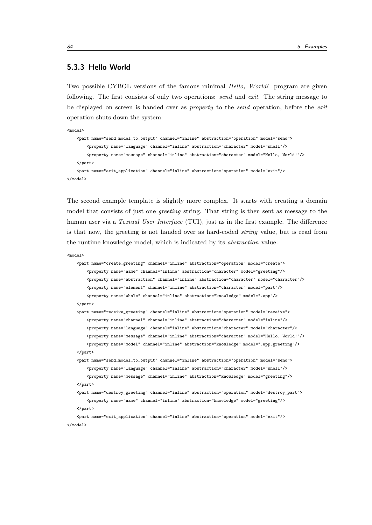#### 5.3.3 Hello World

Two possible CYBOL versions of the famous minimal Hello, World! program are given following. The first consists of only two operations: *send* and *exit*. The string message to be displayed on screen is handed over as *property* to the *send* operation, before the *exit* operation shuts down the system:

```
<model>
   <part name="send_model_to_output" channel="inline" abstraction="operation" model="send">
       <property name="language" channel="inline" abstraction="character" model="shell"/>
       <property name="message" channel="inline" abstraction="character" model="Hello, World!"/>
   </part>
    <part name="exit_application" channel="inline" abstraction="operation" model="exit"/>
</model>
```
The second example template is slightly more complex. It starts with creating a domain model that consists of just one *greeting* string. That string is then sent as message to the human user via a *Textual User Interface* (TUI), just as in the first example. The difference is that now, the greeting is not handed over as hard-coded string value, but is read from the runtime knowledge model, which is indicated by its abstraction value:

```
<model>
```

```
<part name="create_greeting" channel="inline" abstraction="operation" model="create">
    <property name="name" channel="inline" abstraction="character" model="greeting"/>
    <property name="abstraction" channel="inline" abstraction="character" model="character"/>
    <property name="element" channel="inline" abstraction="character" model="part"/>
    <property name="whole" channel="inline" abstraction="knowledge" model=".app"/>
</part>
<part name="receive_greeting" channel="inline" abstraction="operation" model="receive">
    <property name="channel" channel="inline" abstraction="character" model="inline"/>
    <property name="language" channel="inline" abstraction="character" model="character"/>
    <property name="message" channel="inline" abstraction="character" model="Hello, World!"/>
    <property name="model" channel="inline" abstraction="knowledge" model=".app.greeting"/>
</part>
<part name="send_model_to_output" channel="inline" abstraction="operation" model="send">
    <property name="language" channel="inline" abstraction="character" model="shell"/>
    <property name="message" channel="inline" abstraction="knowledge" model="greeting"/>
```

```
</part>
```
<part name="destroy\_greeting" channel="inline" abstraction="operation" model="destroy\_part"> <property name="name" channel="inline" abstraction="knowledge" model="greeting"/>

 $\epsilon$ /nart $\epsilon$ 

<part name="exit\_application" channel="inline" abstraction="operation" model="exit"/> </model>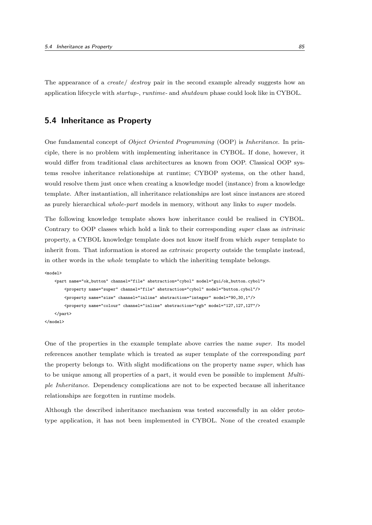The appearance of a *create* destroy pair in the second example already suggests how an application lifecycle with startup-, runtime- and shutdown phase could look like in CYBOL.

# 5.4 Inheritance as Property

One fundamental concept of Object Oriented Programming (OOP) is Inheritance. In principle, there is no problem with implementing inheritance in CYBOL. If done, however, it would differ from traditional class architectures as known from OOP. Classical OOP systems resolve inheritance relationships at runtime; CYBOP systems, on the other hand, would resolve them just once when creating a knowledge model (instance) from a knowledge template. After instantiation, all inheritance relationships are lost since instances are stored as purely hierarchical whole-part models in memory, without any links to super models.

The following knowledge template shows how inheritance could be realised in CYBOL. Contrary to OOP classes which hold a link to their corresponding super class as intrinsic property, a CYBOL knowledge template does not know itself from which super template to inherit from. That information is stored as *extrinsic* property outside the template instead, in other words in the whole template to which the inheriting template belongs.

```
<model>
    <part name="ok_button" channel="file" abstraction="cybol" model="gui/ok_button.cybol">
        <property name="super" channel="file" abstraction="cybol" model="button.cybol"/>
        <property name="size" channel="inline" abstraction="integer" model="90,30,1"/>
       <property name="colour" channel="inline" abstraction="rgb" model="127,127,127"/>
    </part>
</model>
```
One of the properties in the example template above carries the name super. Its model references another template which is treated as super template of the corresponding part the property belongs to. With slight modifications on the property name super, which has to be unique among all properties of a part, it would even be possible to implement Multiple Inheritance. Dependency complications are not to be expected because all inheritance relationships are forgotten in runtime models.

Although the described inheritance mechanism was tested successfully in an older prototype application, it has not been implemented in CYBOL. None of the created example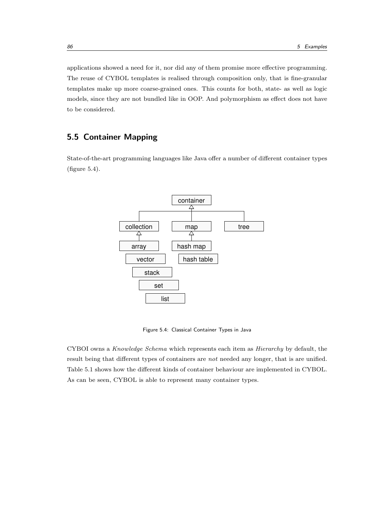applications showed a need for it, nor did any of them promise more effective programming. The reuse of CYBOL templates is realised through composition only, that is fine-granular templates make up more coarse-grained ones. This counts for both, state- as well as logic models, since they are not bundled like in OOP. And polymorphism as effect does not have to be considered.

# 5.5 Container Mapping

State-of-the-art programming languages like Java offer a number of different container types (figure 5.4).



Figure 5.4: Classical Container Types in Java

CYBOI owns a Knowledge Schema which represents each item as Hierarchy by default, the result being that different types of containers are not needed any longer, that is are unified. Table 5.1 shows how the different kinds of container behaviour are implemented in CYBOL. As can be seen, CYBOL is able to represent many container types.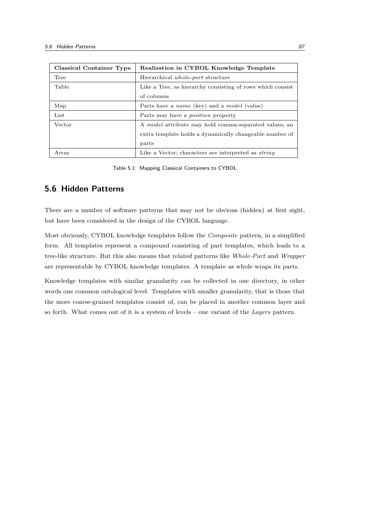| Classical Container Type | Realisation in CYBOL Knowledge Template                      |
|--------------------------|--------------------------------------------------------------|
| Tree                     | Hierarchical <i>whole-part</i> structure                     |
| Table                    | Like a Tree, as hierarchy consisting of rows which consist   |
|                          | of columns                                                   |
| Map                      | Parts have a <i>name</i> (key) and a <i>model</i> (value)    |
| List                     | Parts may have a <i>position</i> property                    |
| Vector                   | A <i>model</i> attribute may hold comma-separated values; an |
|                          | extra template holds a dynamically changeable number of      |
|                          | parts                                                        |
| Array                    | Like a Vector; characters are interpreted as <i>string</i>   |

Table 5.1: Mapping Classical Containers to CYBOL

# 5.6 Hidden Patterns

There are a number of software patterns that may not be obvious (hidden) at first sight, but have been considered in the design of the CYBOL language.

Most obviously, CYBOL knowledge templates follow the Composite pattern, in a simplified form. All templates represent a compound consisting of part templates, which leads to a tree-like structure. But this also means that related patterns like Whole-Part and Wrapper are representable by CYBOL knowledge templates. A template as whole wraps its parts.

Knowledge templates with similar granularity can be collected in one directory, in other words one common ontological level. Templates with smaller granularity, that is those that the more coarse-grained templates consist of, can be placed in another common layer and so forth. What comes out of it is a system of levels – one variant of the Layers pattern.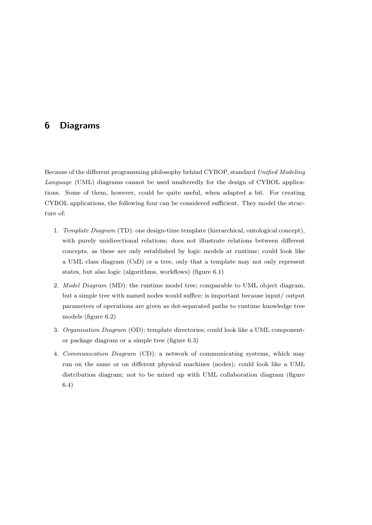# 6 Diagrams

Because of the different programming philosophy behind CYBOP, standard Unified Modeling Language (UML) diagrams cannot be used unalteredly for the design of CYBOL applications. Some of them, however, could be quite useful, when adapted a bit. For creating CYBOL applications, the following four can be considered sufficient. They model the structure of:

- 1. Template Diagram (TD): one design-time template (hierarchical, ontological concept), with purely unidirectional relations; does not illustrate relations between different concepts, as these are only established by logic models at runtime; could look like a UML class diagram (CsD) or a tree, only that a template may not only represent states, but also logic (algorithms, workflows) (figure 6.1)
- 2. *Model Diagram* (MD): the runtime model tree; comparable to UML object diagram, but a simple tree with named nodes would suffice; is important because input/ output parameters of operations are given as dot-separated paths to runtime knowledge tree models (figure 6.2)
- 3. Organisation Diagram (OD): template directories; could look like a UML componentor package diagram or a simple tree (figure 6.3)
- 4. Communication Diagram (CD): a network of communicating systems, which may run on the same or on different physical machines (nodes); could look like a UML distribution diagram; not to be mixed up with UML collaboration diagram (figure 6.4)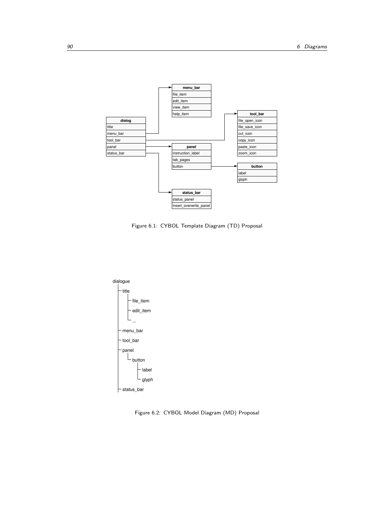

Figure 6.1: CYBOL Template Diagram (TD) Proposal



Figure 6.2: CYBOL Model Diagram (MD) Proposal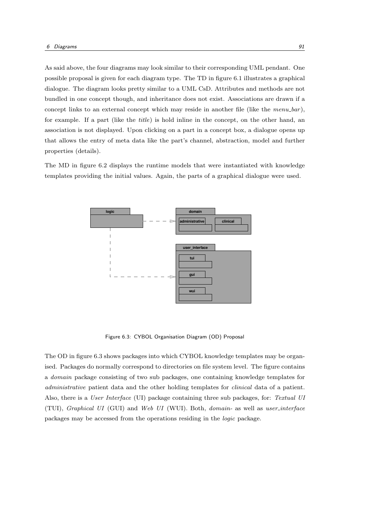As said above, the four diagrams may look similar to their corresponding UML pendant. One possible proposal is given for each diagram type. The TD in figure 6.1 illustrates a graphical dialogue. The diagram looks pretty similar to a UML CsD. Attributes and methods are not bundled in one concept though, and inheritance does not exist. Associations are drawn if a concept links to an external concept which may reside in another file (like the  $menu_2bar$ ), for example. If a part (like the title) is hold inline in the concept, on the other hand, an association is not displayed. Upon clicking on a part in a concept box, a dialogue opens up that allows the entry of meta data like the part's channel, abstraction, model and further properties (details).

The MD in figure 6.2 displays the runtime models that were instantiated with knowledge templates providing the initial values. Again, the parts of a graphical dialogue were used.



Figure 6.3: CYBOL Organisation Diagram (OD) Proposal

The OD in figure 6.3 shows packages into which CYBOL knowledge templates may be organised. Packages do normally correspond to directories on file system level. The figure contains a domain package consisting of two sub packages, one containing knowledge templates for administrative patient data and the other holding templates for clinical data of a patient. Also, there is a User Interface (UI) package containing three sub packages, for: Textual UI (TUI), Graphical UI (GUI) and Web UI (WUI). Both, domain- as well as user interface packages may be accessed from the operations residing in the logic package.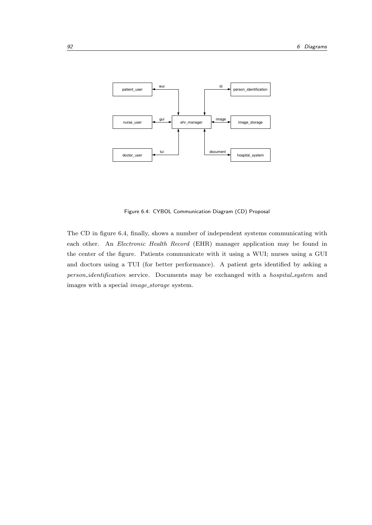

Figure 6.4: CYBOL Communication Diagram (CD) Proposal

The CD in figure 6.4, finally, shows a number of independent systems communicating with each other. An Electronic Health Record (EHR) manager application may be found in the center of the figure. Patients communicate with it using a WUI; nurses using a GUI and doctors using a TUI (for better performance). A patient gets identified by asking a person\_identification service. Documents may be exchanged with a hospital\_system and images with a special image storage system.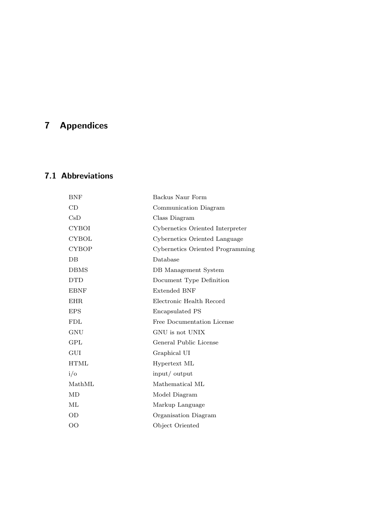# 7 Appendices

# 7.1 Abbreviations

| <b>BNF</b>     | Backus Naur Form                 |
|----------------|----------------------------------|
| CD             | Communication Diagram            |
| CsD            | Class Diagram                    |
| CYBOI          | Cybernetics Oriented Interpreter |
| <b>CYBOL</b>   | Cybernetics Oriented Language    |
| <b>CYBOP</b>   | Cybernetics Oriented Programming |
| $DB$           | Database                         |
| <b>DBMS</b>    | DB Management System             |
| <b>DTD</b>     | Document Type Definition         |
| <b>EBNF</b>    | <b>Extended BNF</b>              |
| <b>EHR</b>     | Electronic Health Record         |
| <b>EPS</b>     | Encapsulated PS                  |
| FDL            | Free Documentation License       |
| GNU            | GNU is not UNIX                  |
| GPL            | General Public License           |
| GUI            | Graphical UI                     |
| HTML           | Hypertext ML                     |
| $i/\mathrm{o}$ | input/output                     |
| MathML         | Mathematical ML                  |
| MD             | Model Diagram                    |
| ML             | Markup Language                  |
| OD             | Organisation Diagram             |
| OO             | Object Oriented                  |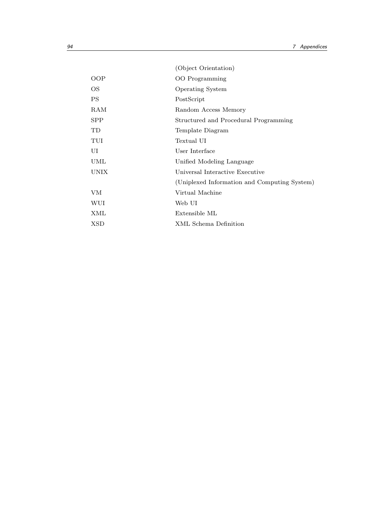|            | (Object Orientation)                         |
|------------|----------------------------------------------|
| <b>OOP</b> | <b>OO</b> Programming                        |
| OS         | <b>Operating System</b>                      |
| PS         | PostScript                                   |
| RAM        | Random Access Memory                         |
| <b>SPP</b> | Structured and Procedural Programming        |
| TD         | Template Diagram                             |
| TUI        | Textual UI                                   |
| UI         | User Interface                               |
| UML        | Unified Modeling Language                    |
| UNIX       | Universal Interactive Executive              |
|            | (Uniplexed Information and Computing System) |
| <b>VM</b>  | Virtual Machine                              |
| WUI        | Web UI                                       |
| XML        | Extensible ML                                |
| XSD        | XML Schema Definition                        |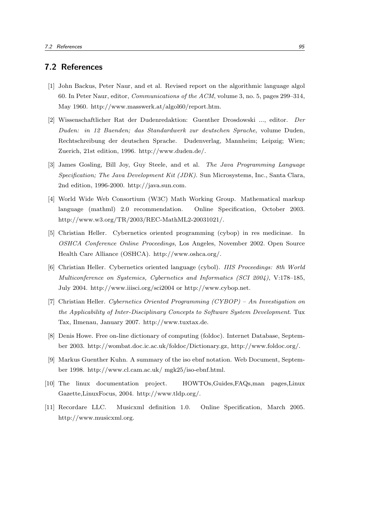## 7.2 References

- [1] John Backus, Peter Naur, and et al. Revised report on the algorithmic language algol 60. In Peter Naur, editor, Communications of the ACM, volume 3, no. 5, pages 299–314, May 1960. http://www.masswerk.at/algol60/report.htm.
- [2] Wissenschaftlicher Rat der Dudenredaktion: Guenther Drosdowski ..., editor. Der Duden: in 12 Baenden; das Standardwerk zur deutschen Sprache, volume Duden, Rechtschreibung der deutschen Sprache. Dudenverlag, Mannheim; Leipzig; Wien; Zuerich, 21st edition, 1996. http://www.duden.de/.
- [3] James Gosling, Bill Joy, Guy Steele, and et al. The Java Programming Language Specification; The Java Development Kit (JDK). Sun Microsystems, Inc., Santa Clara, 2nd edition, 1996-2000. http://java.sun.com.
- [4] World Wide Web Consortium (W3C) Math Working Group. Mathematical markup language (mathml) 2.0 recommendation. Online Specification, October 2003. http://www.w3.org/TR/2003/REC-MathML2-20031021/.
- [5] Christian Heller. Cybernetics oriented programming (cybop) in res medicinae. In OSHCA Conference Online Proceedings, Los Angeles, November 2002. Open Source Health Care Alliance (OSHCA). http://www.oshca.org/.
- [6] Christian Heller. Cybernetics oriented language (cybol). IIIS Proceedings: 8th World Multiconference on Systemics, Cybernetics and Informatics (SCI 2004), V:178–185, July 2004. http://www.iiisci.org/sci2004 or http://www.cybop.net.
- [7] Christian Heller. Cybernetics Oriented Programming (CYBOP) An Investigation on the Applicability of Inter-Disciplinary Concepts to Software System Development. Tux Tax, Ilmenau, January 2007. http://www.tuxtax.de.
- [8] Denis Howe. Free on-line dictionary of computing (foldoc). Internet Database, September 2003. http://wombat.doc.ic.ac.uk/foldoc/Dictionary.gz, http://www.foldoc.org/.
- [9] Markus Guenther Kuhn. A summary of the iso ebnf notation. Web Document, September 1998. http://www.cl.cam.ac.uk/ mgk25/iso-ebnf.html.
- [10] The linux documentation project. HOWTOs,Guides,FAQs,man pages,Linux Gazette,LinuxFocus, 2004. http://www.tldp.org/.
- [11] Recordare LLC. Musicxml definition 1.0. Online Specification, March 2005. http://www.musicxml.org.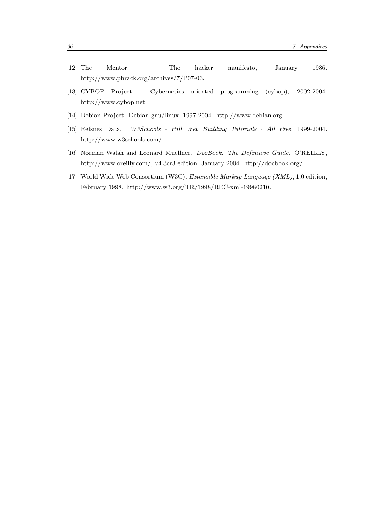- [12] The Mentor. The hacker manifesto, January 1986. http://www.phrack.org/archives/7/P07-03.
- [13] CYBOP Project. Cybernetics oriented programming (cybop), 2002-2004. http://www.cybop.net.
- [14] Debian Project. Debian gnu/linux, 1997-2004. http://www.debian.org.
- [15] Refsnes Data. W3Schools Full Web Building Tutorials All Free, 1999-2004. http://www.w3schools.com/.
- [16] Norman Walsh and Leonard Muellner. DocBook: The Definitive Guide. O'REILLY, http://www.oreilly.com/, v4.3cr3 edition, January 2004. http://docbook.org/.
- [17] World Wide Web Consortium (W3C). Extensible Markup Language (XML), 1.0 edition, February 1998. http://www.w3.org/TR/1998/REC-xml-19980210.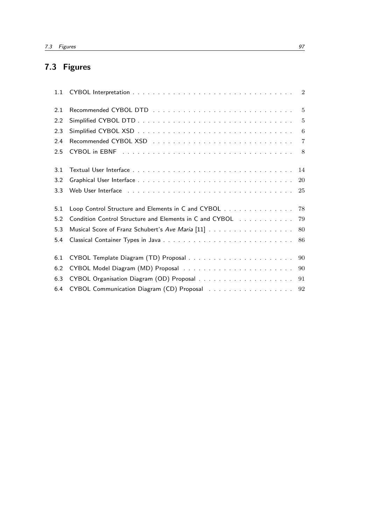# 7.3 Figures

| 1.1 |                                                                                                                         |    |
|-----|-------------------------------------------------------------------------------------------------------------------------|----|
| 2.1 |                                                                                                                         |    |
| 2.2 |                                                                                                                         |    |
| 2.3 |                                                                                                                         |    |
| 2.4 |                                                                                                                         |    |
| 2.5 |                                                                                                                         |    |
| 3.1 | Textual User Interface $\ldots \ldots \ldots \ldots \ldots \ldots \ldots \ldots \ldots \ldots \ldots$                   |    |
| 3.2 |                                                                                                                         | 20 |
| 3.3 | Web User Interface response to the contract of the contract of the contract of the USE of the USE of the USE of the USE |    |
| 5.1 | Loop Control Structure and Elements in C and CYBOL 78                                                                   |    |
| 5.2 | Condition Control Structure and Elements in C and CYBOL 79                                                              |    |
| 5.3 | Musical Score of Franz Schubert's Ave Maria [11] 80                                                                     |    |
| 5.4 |                                                                                                                         |    |
| 6.1 |                                                                                                                         |    |
| 6.2 |                                                                                                                         |    |
| 6.3 |                                                                                                                         |    |
| 6.4 | CYBOL Communication Diagram (CD) Proposal 92                                                                            |    |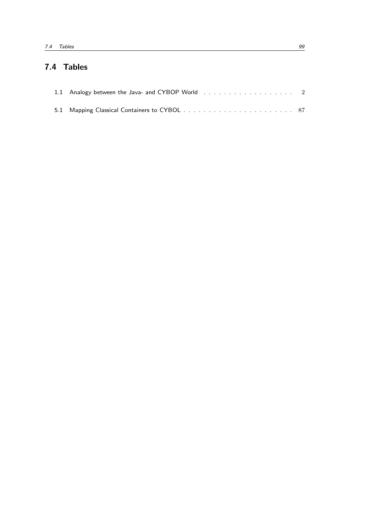# 7.4 Tables

| 1.1 Analogy between the Java- and CYBOP World $\ldots$ , , , , , 2 |  |
|--------------------------------------------------------------------|--|
|                                                                    |  |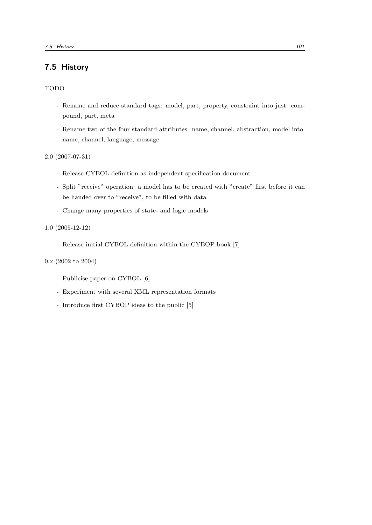# 7.5 History

## TODO

- Rename and reduce standard tags: model, part, property, constraint into just: compound, part, meta
- Rename two of the four standard attributes: name, channel, abstraction, model into: name, channel, language, message

2.0 (2007-07-31)

- Release CYBOL definition as independent specification document
- Split "receive" operation: a model has to be created with "create" first before it can be handed over to "receive", to be filled with data
- Change many properties of state- and logic models

#### 1.0 (2005-12-12)

- Release initial CYBOL definition within the CYBOP book [7]

### 0.x (2002 to 2004)

- Publicise paper on CYBOL [6]
- Experiment with several XML representation formats
- Introduce first CYBOP ideas to the public [5]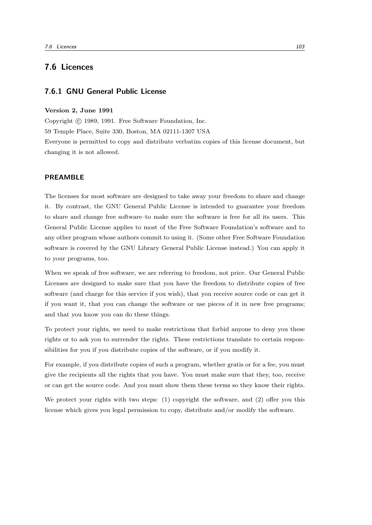# 7.6 Licences

# 7.6.1 GNU General Public License

#### Version 2, June 1991

changing it is not allowed.

Copyright (c) 1989, 1991. Free Software Foundation, Inc. 59 Temple Place, Suite 330, Boston, MA 02111-1307 USA Everyone is permitted to copy and distribute verbatim copies of this license document, but

#### PREAMBLE

The licenses for most software are designed to take away your freedom to share and change it. By contrast, the GNU General Public License is intended to guarantee your freedom to share and change free software–to make sure the software is free for all its users. This General Public License applies to most of the Free Software Foundation's software and to any other program whose authors commit to using it. (Some other Free Software Foundation software is covered by the GNU Library General Public License instead.) You can apply it to your programs, too.

When we speak of free software, we are referring to freedom, not price. Our General Public Licenses are designed to make sure that you have the freedom to distribute copies of free software (and charge for this service if you wish), that you receive source code or can get it if you want it, that you can change the software or use pieces of it in new free programs; and that you know you can do these things.

To protect your rights, we need to make restrictions that forbid anyone to deny you these rights or to ask you to surrender the rights. These restrictions translate to certain responsibilities for you if you distribute copies of the software, or if you modify it.

For example, if you distribute copies of such a program, whether gratis or for a fee, you must give the recipients all the rights that you have. You must make sure that they, too, receive or can get the source code. And you must show them these terms so they know their rights.

We protect your rights with two steps: (1) copyright the software, and (2) offer you this license which gives you legal permission to copy, distribute and/or modify the software.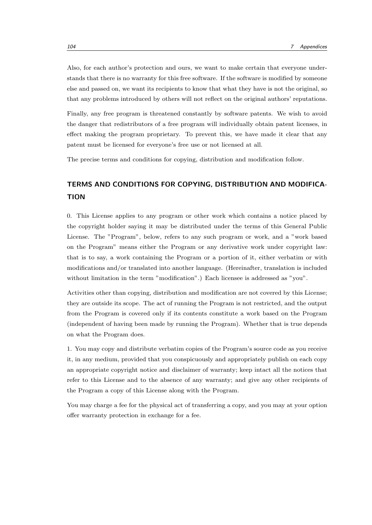Also, for each author's protection and ours, we want to make certain that everyone understands that there is no warranty for this free software. If the software is modified by someone else and passed on, we want its recipients to know that what they have is not the original, so that any problems introduced by others will not reflect on the original authors' reputations.

Finally, any free program is threatened constantly by software patents. We wish to avoid the danger that redistributors of a free program will individually obtain patent licenses, in effect making the program proprietary. To prevent this, we have made it clear that any patent must be licensed for everyone's free use or not licensed at all.

The precise terms and conditions for copying, distribution and modification follow.

# TERMS AND CONDITIONS FOR COPYING, DISTRIBUTION AND MODIFICA-**TION**

0. This License applies to any program or other work which contains a notice placed by the copyright holder saying it may be distributed under the terms of this General Public License. The "Program", below, refers to any such program or work, and a "work based on the Program" means either the Program or any derivative work under copyright law: that is to say, a work containing the Program or a portion of it, either verbatim or with modifications and/or translated into another language. (Hereinafter, translation is included without limitation in the term "modification".) Each licensee is addressed as "you".

Activities other than copying, distribution and modification are not covered by this License; they are outside its scope. The act of running the Program is not restricted, and the output from the Program is covered only if its contents constitute a work based on the Program (independent of having been made by running the Program). Whether that is true depends on what the Program does.

1. You may copy and distribute verbatim copies of the Program's source code as you receive it, in any medium, provided that you conspicuously and appropriately publish on each copy an appropriate copyright notice and disclaimer of warranty; keep intact all the notices that refer to this License and to the absence of any warranty; and give any other recipients of the Program a copy of this License along with the Program.

You may charge a fee for the physical act of transferring a copy, and you may at your option offer warranty protection in exchange for a fee.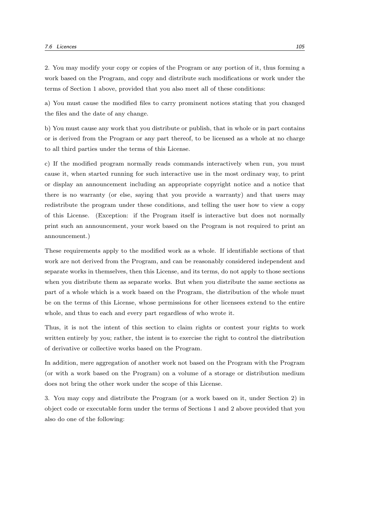2. You may modify your copy or copies of the Program or any portion of it, thus forming a work based on the Program, and copy and distribute such modifications or work under the terms of Section 1 above, provided that you also meet all of these conditions:

a) You must cause the modified files to carry prominent notices stating that you changed the files and the date of any change.

b) You must cause any work that you distribute or publish, that in whole or in part contains or is derived from the Program or any part thereof, to be licensed as a whole at no charge to all third parties under the terms of this License.

c) If the modified program normally reads commands interactively when run, you must cause it, when started running for such interactive use in the most ordinary way, to print or display an announcement including an appropriate copyright notice and a notice that there is no warranty (or else, saying that you provide a warranty) and that users may redistribute the program under these conditions, and telling the user how to view a copy of this License. (Exception: if the Program itself is interactive but does not normally print such an announcement, your work based on the Program is not required to print an announcement.)

These requirements apply to the modified work as a whole. If identifiable sections of that work are not derived from the Program, and can be reasonably considered independent and separate works in themselves, then this License, and its terms, do not apply to those sections when you distribute them as separate works. But when you distribute the same sections as part of a whole which is a work based on the Program, the distribution of the whole must be on the terms of this License, whose permissions for other licensees extend to the entire whole, and thus to each and every part regardless of who wrote it.

Thus, it is not the intent of this section to claim rights or contest your rights to work written entirely by you; rather, the intent is to exercise the right to control the distribution of derivative or collective works based on the Program.

In addition, mere aggregation of another work not based on the Program with the Program (or with a work based on the Program) on a volume of a storage or distribution medium does not bring the other work under the scope of this License.

3. You may copy and distribute the Program (or a work based on it, under Section 2) in object code or executable form under the terms of Sections 1 and 2 above provided that you also do one of the following: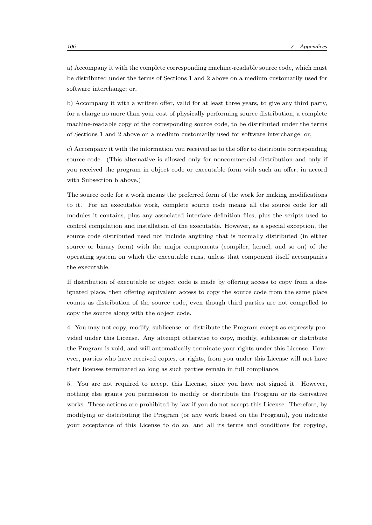a) Accompany it with the complete corresponding machine-readable source code, which must be distributed under the terms of Sections 1 and 2 above on a medium customarily used for software interchange; or,

b) Accompany it with a written offer, valid for at least three years, to give any third party, for a charge no more than your cost of physically performing source distribution, a complete machine-readable copy of the corresponding source code, to be distributed under the terms of Sections 1 and 2 above on a medium customarily used for software interchange; or,

c) Accompany it with the information you received as to the offer to distribute corresponding source code. (This alternative is allowed only for noncommercial distribution and only if you received the program in object code or executable form with such an offer, in accord with Subsection b above.)

The source code for a work means the preferred form of the work for making modifications to it. For an executable work, complete source code means all the source code for all modules it contains, plus any associated interface definition files, plus the scripts used to control compilation and installation of the executable. However, as a special exception, the source code distributed need not include anything that is normally distributed (in either source or binary form) with the major components (compiler, kernel, and so on) of the operating system on which the executable runs, unless that component itself accompanies the executable.

If distribution of executable or object code is made by offering access to copy from a designated place, then offering equivalent access to copy the source code from the same place counts as distribution of the source code, even though third parties are not compelled to copy the source along with the object code.

4. You may not copy, modify, sublicense, or distribute the Program except as expressly provided under this License. Any attempt otherwise to copy, modify, sublicense or distribute the Program is void, and will automatically terminate your rights under this License. However, parties who have received copies, or rights, from you under this License will not have their licenses terminated so long as such parties remain in full compliance.

5. You are not required to accept this License, since you have not signed it. However, nothing else grants you permission to modify or distribute the Program or its derivative works. These actions are prohibited by law if you do not accept this License. Therefore, by modifying or distributing the Program (or any work based on the Program), you indicate your acceptance of this License to do so, and all its terms and conditions for copying,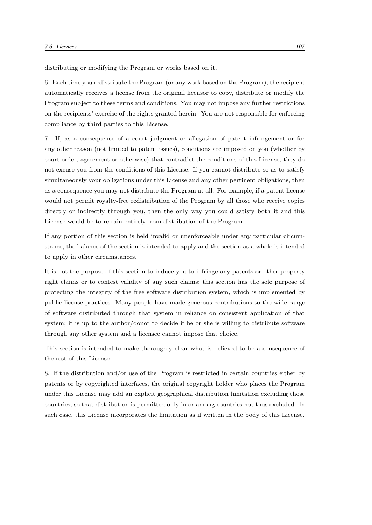distributing or modifying the Program or works based on it.

6. Each time you redistribute the Program (or any work based on the Program), the recipient automatically receives a license from the original licensor to copy, distribute or modify the Program subject to these terms and conditions. You may not impose any further restrictions on the recipients' exercise of the rights granted herein. You are not responsible for enforcing compliance by third parties to this License.

7. If, as a consequence of a court judgment or allegation of patent infringement or for any other reason (not limited to patent issues), conditions are imposed on you (whether by court order, agreement or otherwise) that contradict the conditions of this License, they do not excuse you from the conditions of this License. If you cannot distribute so as to satisfy simultaneously your obligations under this License and any other pertinent obligations, then as a consequence you may not distribute the Program at all. For example, if a patent license would not permit royalty-free redistribution of the Program by all those who receive copies directly or indirectly through you, then the only way you could satisfy both it and this License would be to refrain entirely from distribution of the Program.

If any portion of this section is held invalid or unenforceable under any particular circumstance, the balance of the section is intended to apply and the section as a whole is intended to apply in other circumstances.

It is not the purpose of this section to induce you to infringe any patents or other property right claims or to contest validity of any such claims; this section has the sole purpose of protecting the integrity of the free software distribution system, which is implemented by public license practices. Many people have made generous contributions to the wide range of software distributed through that system in reliance on consistent application of that system; it is up to the author/donor to decide if he or she is willing to distribute software through any other system and a licensee cannot impose that choice.

This section is intended to make thoroughly clear what is believed to be a consequence of the rest of this License.

8. If the distribution and/or use of the Program is restricted in certain countries either by patents or by copyrighted interfaces, the original copyright holder who places the Program under this License may add an explicit geographical distribution limitation excluding those countries, so that distribution is permitted only in or among countries not thus excluded. In such case, this License incorporates the limitation as if written in the body of this License.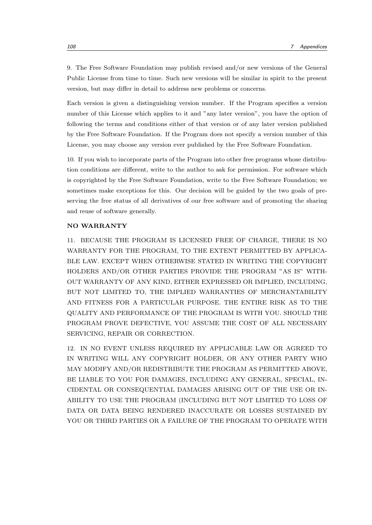9. The Free Software Foundation may publish revised and/or new versions of the General Public License from time to time. Such new versions will be similar in spirit to the present version, but may differ in detail to address new problems or concerns.

Each version is given a distinguishing version number. If the Program specifies a version number of this License which applies to it and "any later version", you have the option of following the terms and conditions either of that version or of any later version published by the Free Software Foundation. If the Program does not specify a version number of this License, you may choose any version ever published by the Free Software Foundation.

10. If you wish to incorporate parts of the Program into other free programs whose distribution conditions are different, write to the author to ask for permission. For software which is copyrighted by the Free Software Foundation, write to the Free Software Foundation; we sometimes make exceptions for this. Our decision will be guided by the two goals of preserving the free status of all derivatives of our free software and of promoting the sharing and reuse of software generally.

#### NO WARRANTY

11. BECAUSE THE PROGRAM IS LICENSED FREE OF CHARGE, THERE IS NO WARRANTY FOR THE PROGRAM, TO THE EXTENT PERMITTED BY APPLICA-BLE LAW. EXCEPT WHEN OTHERWISE STATED IN WRITING THE COPYRIGHT HOLDERS AND/OR OTHER PARTIES PROVIDE THE PROGRAM "AS IS" WITH-OUT WARRANTY OF ANY KIND, EITHER EXPRESSED OR IMPLIED, INCLUDING, BUT NOT LIMITED TO, THE IMPLIED WARRANTIES OF MERCHANTABILITY AND FITNESS FOR A PARTICULAR PURPOSE. THE ENTIRE RISK AS TO THE QUALITY AND PERFORMANCE OF THE PROGRAM IS WITH YOU. SHOULD THE PROGRAM PROVE DEFECTIVE, YOU ASSUME THE COST OF ALL NECESSARY SERVICING, REPAIR OR CORRECTION.

12. IN NO EVENT UNLESS REQUIRED BY APPLICABLE LAW OR AGREED TO IN WRITING WILL ANY COPYRIGHT HOLDER, OR ANY OTHER PARTY WHO MAY MODIFY AND/OR REDISTRIBUTE THE PROGRAM AS PERMITTED ABOVE, BE LIABLE TO YOU FOR DAMAGES, INCLUDING ANY GENERAL, SPECIAL, IN-CIDENTAL OR CONSEQUENTIAL DAMAGES ARISING OUT OF THE USE OR IN-ABILITY TO USE THE PROGRAM (INCLUDING BUT NOT LIMITED TO LOSS OF DATA OR DATA BEING RENDERED INACCURATE OR LOSSES SUSTAINED BY YOU OR THIRD PARTIES OR A FAILURE OF THE PROGRAM TO OPERATE WITH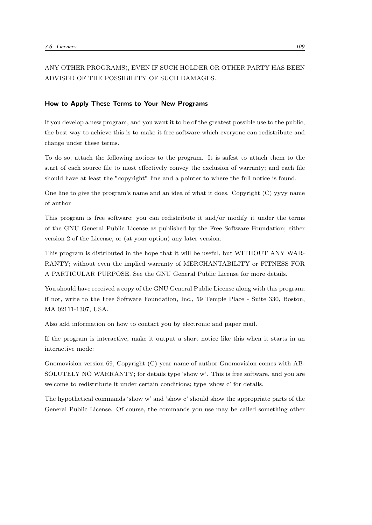ANY OTHER PROGRAMS), EVEN IF SUCH HOLDER OR OTHER PARTY HAS BEEN ADVISED OF THE POSSIBILITY OF SUCH DAMAGES.

#### How to Apply These Terms to Your New Programs

If you develop a new program, and you want it to be of the greatest possible use to the public, the best way to achieve this is to make it free software which everyone can redistribute and change under these terms.

To do so, attach the following notices to the program. It is safest to attach them to the start of each source file to most effectively convey the exclusion of warranty; and each file should have at least the "copyright" line and a pointer to where the full notice is found.

One line to give the program's name and an idea of what it does. Copyright (C) yyyy name of author

This program is free software; you can redistribute it and/or modify it under the terms of the GNU General Public License as published by the Free Software Foundation; either version 2 of the License, or (at your option) any later version.

This program is distributed in the hope that it will be useful, but WITHOUT ANY WAR-RANTY; without even the implied warranty of MERCHANTABILITY or FITNESS FOR A PARTICULAR PURPOSE. See the GNU General Public License for more details.

You should have received a copy of the GNU General Public License along with this program; if not, write to the Free Software Foundation, Inc., 59 Temple Place - Suite 330, Boston, MA 02111-1307, USA.

Also add information on how to contact you by electronic and paper mail.

If the program is interactive, make it output a short notice like this when it starts in an interactive mode:

Gnomovision version 69, Copyright (C) year name of author Gnomovision comes with AB-SOLUTELY NO WARRANTY; for details type 'show w'. This is free software, and you are welcome to redistribute it under certain conditions; type 'show c' for details.

The hypothetical commands 'show w' and 'show c' should show the appropriate parts of the General Public License. Of course, the commands you use may be called something other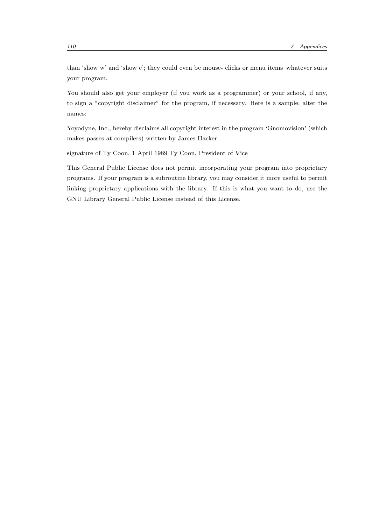than 'show w' and 'show c'; they could even be mouse- clicks or menu items–whatever suits your program.

You should also get your employer (if you work as a programmer) or your school, if any, to sign a "copyright disclaimer" for the program, if necessary. Here is a sample; alter the names:

Yoyodyne, Inc., hereby disclaims all copyright interest in the program 'Gnomovision' (which makes passes at compilers) written by James Hacker.

signature of Ty Coon, 1 April 1989 Ty Coon, President of Vice

This General Public License does not permit incorporating your program into proprietary programs. If your program is a subroutine library, you may consider it more useful to permit linking proprietary applications with the library. If this is what you want to do, use the GNU Library General Public License instead of this License.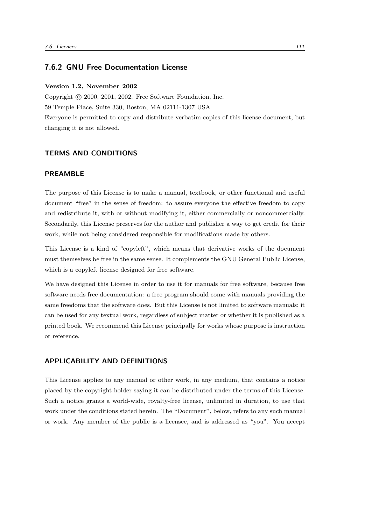## 7.6.2 GNU Free Documentation License

#### Version 1.2, November 2002

Copyright (c) 2000, 2001, 2002. Free Software Foundation, Inc. 59 Temple Place, Suite 330, Boston, MA 02111-1307 USA Everyone is permitted to copy and distribute verbatim copies of this license document, but changing it is not allowed.

## TERMS AND CONDITIONS

### PREAMBLE

The purpose of this License is to make a manual, textbook, or other functional and useful document "free" in the sense of freedom: to assure everyone the effective freedom to copy and redistribute it, with or without modifying it, either commercially or noncommercially. Secondarily, this License preserves for the author and publisher a way to get credit for their work, while not being considered responsible for modifications made by others.

This License is a kind of "copyleft", which means that derivative works of the document must themselves be free in the same sense. It complements the GNU General Public License, which is a copyleft license designed for free software.

We have designed this License in order to use it for manuals for free software, because free software needs free documentation: a free program should come with manuals providing the same freedoms that the software does. But this License is not limited to software manuals; it can be used for any textual work, regardless of subject matter or whether it is published as a printed book. We recommend this License principally for works whose purpose is instruction or reference.

### APPLICABILITY AND DEFINITIONS

This License applies to any manual or other work, in any medium, that contains a notice placed by the copyright holder saying it can be distributed under the terms of this License. Such a notice grants a world-wide, royalty-free license, unlimited in duration, to use that work under the conditions stated herein. The "Document", below, refers to any such manual or work. Any member of the public is a licensee, and is addressed as "you". You accept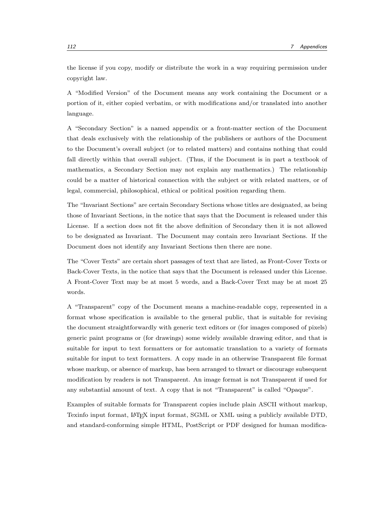the license if you copy, modify or distribute the work in a way requiring permission under copyright law.

A "Modified Version" of the Document means any work containing the Document or a portion of it, either copied verbatim, or with modifications and/or translated into another language.

A "Secondary Section" is a named appendix or a front-matter section of the Document that deals exclusively with the relationship of the publishers or authors of the Document to the Document's overall subject (or to related matters) and contains nothing that could fall directly within that overall subject. (Thus, if the Document is in part a textbook of mathematics, a Secondary Section may not explain any mathematics.) The relationship could be a matter of historical connection with the subject or with related matters, or of legal, commercial, philosophical, ethical or political position regarding them.

The "Invariant Sections" are certain Secondary Sections whose titles are designated, as being those of Invariant Sections, in the notice that says that the Document is released under this License. If a section does not fit the above definition of Secondary then it is not allowed to be designated as Invariant. The Document may contain zero Invariant Sections. If the Document does not identify any Invariant Sections then there are none.

The "Cover Texts" are certain short passages of text that are listed, as Front-Cover Texts or Back-Cover Texts, in the notice that says that the Document is released under this License. A Front-Cover Text may be at most 5 words, and a Back-Cover Text may be at most 25 words.

A "Transparent" copy of the Document means a machine-readable copy, represented in a format whose specification is available to the general public, that is suitable for revising the document straightforwardly with generic text editors or (for images composed of pixels) generic paint programs or (for drawings) some widely available drawing editor, and that is suitable for input to text formatters or for automatic translation to a variety of formats suitable for input to text formatters. A copy made in an otherwise Transparent file format whose markup, or absence of markup, has been arranged to thwart or discourage subsequent modification by readers is not Transparent. An image format is not Transparent if used for any substantial amount of text. A copy that is not "Transparent" is called "Opaque".

Examples of suitable formats for Transparent copies include plain ASCII without markup, Texinfo input format, LATEX input format, SGML or XML using a publicly available DTD, and standard-conforming simple HTML, PostScript or PDF designed for human modifica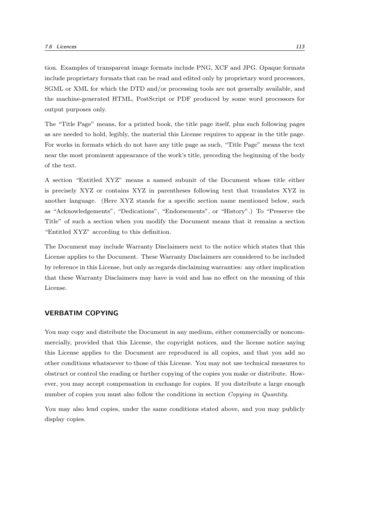tion. Examples of transparent image formats include PNG, XCF and JPG. Opaque formats include proprietary formats that can be read and edited only by proprietary word processors, SGML or XML for which the DTD and/or processing tools are not generally available, and the machine-generated HTML, PostScript or PDF produced by some word processors for output purposes only.

The "Title Page" means, for a printed book, the title page itself, plus such following pages as are needed to hold, legibly, the material this License requires to appear in the title page. For works in formats which do not have any title page as such, "Title Page" means the text near the most prominent appearance of the work's title, preceding the beginning of the body of the text.

A section "Entitled XYZ" means a named subunit of the Document whose title either is precisely XYZ or contains XYZ in parentheses following text that translates XYZ in another language. (Here XYZ stands for a specific section name mentioned below, such as "Acknowledgements", "Dedications", "Endorsements", or "History".) To "Preserve the Title" of such a section when you modify the Document means that it remains a section "Entitled XYZ" according to this definition.

The Document may include Warranty Disclaimers next to the notice which states that this License applies to the Document. These Warranty Disclaimers are considered to be included by reference in this License, but only as regards disclaiming warranties: any other implication that these Warranty Disclaimers may have is void and has no effect on the meaning of this License.

### VERBATIM COPYING

You may copy and distribute the Document in any medium, either commercially or noncommercially, provided that this License, the copyright notices, and the license notice saying this License applies to the Document are reproduced in all copies, and that you add no other conditions whatsoever to those of this License. You may not use technical measures to obstruct or control the reading or further copying of the copies you make or distribute. However, you may accept compensation in exchange for copies. If you distribute a large enough number of copies you must also follow the conditions in section Copying in Quantity.

You may also lend copies, under the same conditions stated above, and you may publicly display copies.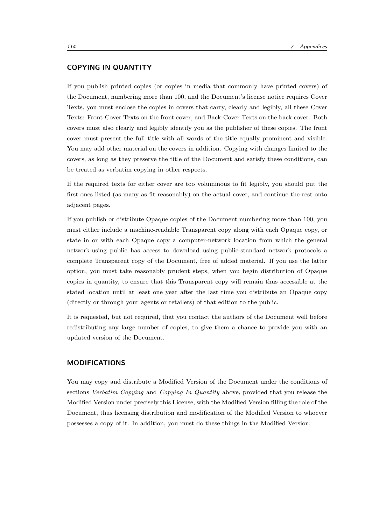# COPYING IN QUANTITY

If you publish printed copies (or copies in media that commonly have printed covers) of the Document, numbering more than 100, and the Document's license notice requires Cover Texts, you must enclose the copies in covers that carry, clearly and legibly, all these Cover Texts: Front-Cover Texts on the front cover, and Back-Cover Texts on the back cover. Both covers must also clearly and legibly identify you as the publisher of these copies. The front cover must present the full title with all words of the title equally prominent and visible. You may add other material on the covers in addition. Copying with changes limited to the covers, as long as they preserve the title of the Document and satisfy these conditions, can be treated as verbatim copying in other respects.

If the required texts for either cover are too voluminous to fit legibly, you should put the first ones listed (as many as fit reasonably) on the actual cover, and continue the rest onto adjacent pages.

If you publish or distribute Opaque copies of the Document numbering more than 100, you must either include a machine-readable Transparent copy along with each Opaque copy, or state in or with each Opaque copy a computer-network location from which the general network-using public has access to download using public-standard network protocols a complete Transparent copy of the Document, free of added material. If you use the latter option, you must take reasonably prudent steps, when you begin distribution of Opaque copies in quantity, to ensure that this Transparent copy will remain thus accessible at the stated location until at least one year after the last time you distribute an Opaque copy (directly or through your agents or retailers) of that edition to the public.

It is requested, but not required, that you contact the authors of the Document well before redistributing any large number of copies, to give them a chance to provide you with an updated version of the Document.

# MODIFICATIONS

You may copy and distribute a Modified Version of the Document under the conditions of sections Verbatim Copying and Copying In Quantity above, provided that you release the Modified Version under precisely this License, with the Modified Version filling the role of the Document, thus licensing distribution and modification of the Modified Version to whoever possesses a copy of it. In addition, you must do these things in the Modified Version: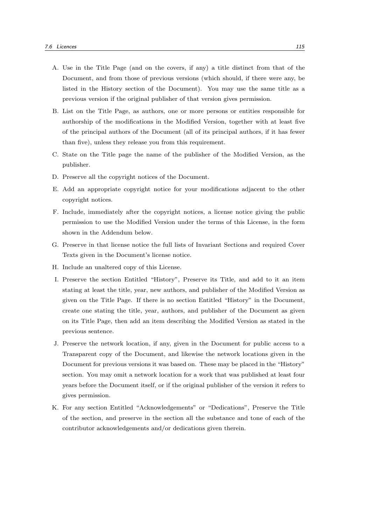- A. Use in the Title Page (and on the covers, if any) a title distinct from that of the Document, and from those of previous versions (which should, if there were any, be listed in the History section of the Document). You may use the same title as a previous version if the original publisher of that version gives permission.
- B. List on the Title Page, as authors, one or more persons or entities responsible for authorship of the modifications in the Modified Version, together with at least five of the principal authors of the Document (all of its principal authors, if it has fewer than five), unless they release you from this requirement.
- C. State on the Title page the name of the publisher of the Modified Version, as the publisher.
- D. Preserve all the copyright notices of the Document.
- E. Add an appropriate copyright notice for your modifications adjacent to the other copyright notices.
- F. Include, immediately after the copyright notices, a license notice giving the public permission to use the Modified Version under the terms of this License, in the form shown in the Addendum below.
- G. Preserve in that license notice the full lists of Invariant Sections and required Cover Texts given in the Document's license notice.
- H. Include an unaltered copy of this License.
- I. Preserve the section Entitled "History", Preserve its Title, and add to it an item stating at least the title, year, new authors, and publisher of the Modified Version as given on the Title Page. If there is no section Entitled "History" in the Document, create one stating the title, year, authors, and publisher of the Document as given on its Title Page, then add an item describing the Modified Version as stated in the previous sentence.
- J. Preserve the network location, if any, given in the Document for public access to a Transparent copy of the Document, and likewise the network locations given in the Document for previous versions it was based on. These may be placed in the "History" section. You may omit a network location for a work that was published at least four years before the Document itself, or if the original publisher of the version it refers to gives permission.
- K. For any section Entitled "Acknowledgements" or "Dedications", Preserve the Title of the section, and preserve in the section all the substance and tone of each of the contributor acknowledgements and/or dedications given therein.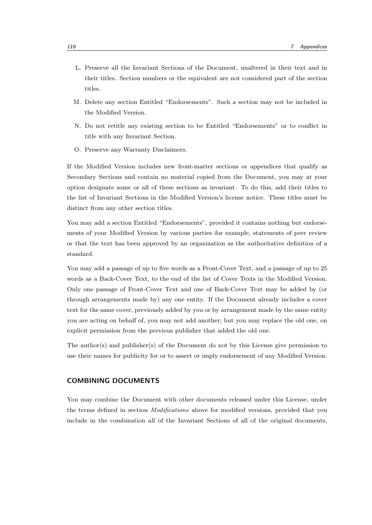- L. Preserve all the Invariant Sections of the Document, unaltered in their text and in their titles. Section numbers or the equivalent are not considered part of the section titles.
- M. Delete any section Entitled "Endorsements". Such a section may not be included in the Modified Version.
- N. Do not retitle any existing section to be Entitled "Endorsements" or to conflict in title with any Invariant Section.
- O. Preserve any Warranty Disclaimers.

If the Modified Version includes new front-matter sections or appendices that qualify as Secondary Sections and contain no material copied from the Document, you may at your option designate some or all of these sections as invariant. To do this, add their titles to the list of Invariant Sections in the Modified Version's license notice. These titles must be distinct from any other section titles.

You may add a section Entitled "Endorsements", provided it contains nothing but endorsements of your Modified Version by various parties–for example, statements of peer review or that the text has been approved by an organization as the authoritative definition of a standard.

You may add a passage of up to five words as a Front-Cover Text, and a passage of up to 25 words as a Back-Cover Text, to the end of the list of Cover Texts in the Modified Version. Only one passage of Front-Cover Text and one of Back-Cover Text may be added by (or through arrangements made by) any one entity. If the Document already includes a cover text for the same cover, previously added by you or by arrangement made by the same entity you are acting on behalf of, you may not add another; but you may replace the old one, on explicit permission from the previous publisher that added the old one.

The author(s) and publisher(s) of the Document do not by this License give permission to use their names for publicity for or to assert or imply endorsement of any Modified Version.

# COMBINING DOCUMENTS

You may combine the Document with other documents released under this License, under the terms defined in section *Modifications* above for modified versions, provided that you include in the combination all of the Invariant Sections of all of the original documents,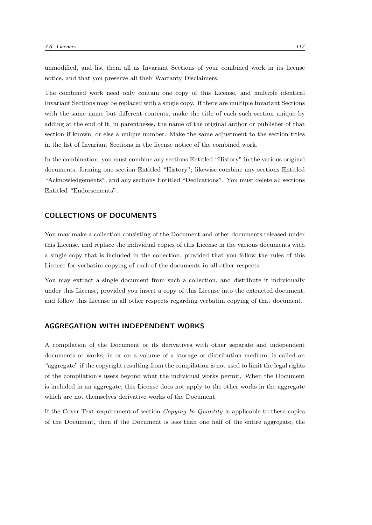unmodified, and list them all as Invariant Sections of your combined work in its license notice, and that you preserve all their Warranty Disclaimers.

The combined work need only contain one copy of this License, and multiple identical Invariant Sections may be replaced with a single copy. If there are multiple Invariant Sections with the same name but different contents, make the title of each such section unique by adding at the end of it, in parentheses, the name of the original author or publisher of that section if known, or else a unique number. Make the same adjustment to the section titles in the list of Invariant Sections in the license notice of the combined work.

In the combination, you must combine any sections Entitled "History" in the various original documents, forming one section Entitled "History"; likewise combine any sections Entitled "Acknowledgements", and any sections Entitled "Dedications". You must delete all sections Entitled "Endorsements".

# COLLECTIONS OF DOCUMENTS

You may make a collection consisting of the Document and other documents released under this License, and replace the individual copies of this License in the various documents with a single copy that is included in the collection, provided that you follow the rules of this License for verbatim copying of each of the documents in all other respects.

You may extract a single document from such a collection, and distribute it individually under this License, provided you insert a copy of this License into the extracted document, and follow this License in all other respects regarding verbatim copying of that document.

#### AGGREGATION WITH INDEPENDENT WORKS

A compilation of the Document or its derivatives with other separate and independent documents or works, in or on a volume of a storage or distribution medium, is called an "aggregate" if the copyright resulting from the compilation is not used to limit the legal rights of the compilation's users beyond what the individual works permit. When the Document is included in an aggregate, this License does not apply to the other works in the aggregate which are not themselves derivative works of the Document.

If the Cover Text requirement of section Copying In Quantity is applicable to these copies of the Document, then if the Document is less than one half of the entire aggregate, the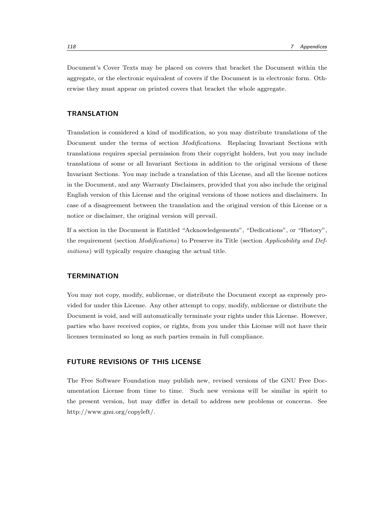Document's Cover Texts may be placed on covers that bracket the Document within the aggregate, or the electronic equivalent of covers if the Document is in electronic form. Otherwise they must appear on printed covers that bracket the whole aggregate.

#### **TRANSLATION**

Translation is considered a kind of modification, so you may distribute translations of the Document under the terms of section *Modifications*. Replacing Invariant Sections with translations requires special permission from their copyright holders, but you may include translations of some or all Invariant Sections in addition to the original versions of these Invariant Sections. You may include a translation of this License, and all the license notices in the Document, and any Warranty Disclaimers, provided that you also include the original English version of this License and the original versions of those notices and disclaimers. In case of a disagreement between the translation and the original version of this License or a notice or disclaimer, the original version will prevail.

If a section in the Document is Entitled "Acknowledgements", "Dedications", or "History", the requirement (section *Modifications*) to Preserve its Title (section *Applicability and Def*initions) will typically require changing the actual title.

# **TERMINATION**

You may not copy, modify, sublicense, or distribute the Document except as expressly provided for under this License. Any other attempt to copy, modify, sublicense or distribute the Document is void, and will automatically terminate your rights under this License. However, parties who have received copies, or rights, from you under this License will not have their licenses terminated so long as such parties remain in full compliance.

# FUTURE REVISIONS OF THIS LICENSE

The Free Software Foundation may publish new, revised versions of the GNU Free Documentation License from time to time. Such new versions will be similar in spirit to the present version, but may differ in detail to address new problems or concerns. See http://www.gnu.org/copyleft/.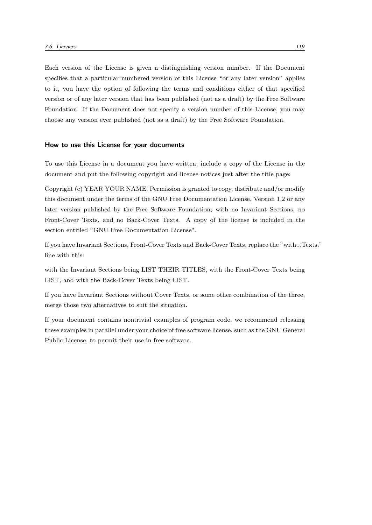Each version of the License is given a distinguishing version number. If the Document specifies that a particular numbered version of this License "or any later version" applies to it, you have the option of following the terms and conditions either of that specified version or of any later version that has been published (not as a draft) by the Free Software Foundation. If the Document does not specify a version number of this License, you may choose any version ever published (not as a draft) by the Free Software Foundation.

#### How to use this License for your documents

To use this License in a document you have written, include a copy of the License in the document and put the following copyright and license notices just after the title page:

Copyright (c) YEAR YOUR NAME. Permission is granted to copy, distribute and/or modify this document under the terms of the GNU Free Documentation License, Version 1.2 or any later version published by the Free Software Foundation; with no Invariant Sections, no Front-Cover Texts, and no Back-Cover Texts. A copy of the license is included in the section entitled "GNU Free Documentation License".

If you have Invariant Sections, Front-Cover Texts and Back-Cover Texts, replace the "with...Texts." line with this:

with the Invariant Sections being LIST THEIR TITLES, with the Front-Cover Texts being LIST, and with the Back-Cover Texts being LIST.

If you have Invariant Sections without Cover Texts, or some other combination of the three, merge those two alternatives to suit the situation.

If your document contains nontrivial examples of program code, we recommend releasing these examples in parallel under your choice of free software license, such as the GNU General Public License, to permit their use in free software.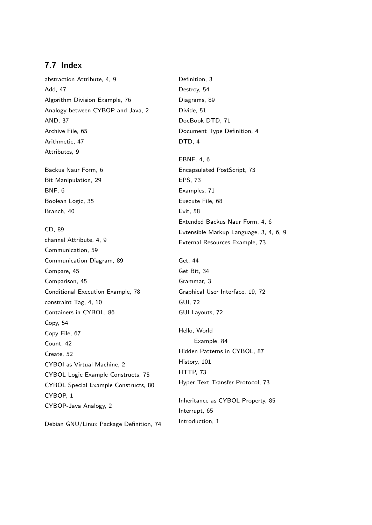# 7.7 Index

abstraction Attribute, 4, 9 Add, 47 Algorithm Division Example, 76 Analogy between CYBOP and Java, 2 AND, 37 Archive File, 65 Arithmetic, 47 Attributes, 9 Backus Naur Form, 6 Bit Manipulation, 29 BNF, 6 Boolean Logic, 35 Branch, 40 CD, 89 channel Attribute, 4, 9 Communication, 59 Communication Diagram, 89 Compare, 45 Comparison, 45 Conditional Execution Example, 78 constraint Tag, 4, 10 Containers in CYBOL, 86 Copy, 54 Copy File, 67 Count, 42 Create, 52 CYBOI as Virtual Machine, 2 CYBOL Logic Example Constructs, 75 CYBOL Special Example Constructs, 80 CYBOP, 1 CYBOP-Java Analogy, 2 Debian GNU/Linux Package Definition, 74

Definition, 3 Destroy, 54 Diagrams, 89 Divide, 51 DocBook DTD, 71 Document Type Definition, 4 DTD, 4 EBNF, 4, 6 Encapsulated PostScript, 73 EPS, 73 Examples, 71 Execute File, 68 Exit, 58 Extended Backus Naur Form, 4, 6 Extensible Markup Language, 3, 4, 6, 9 External Resources Example, 73 Get, 44 Get Bit, 34 Grammar, 3 Graphical User Interface, 19, 72 GUI, 72 GUI Layouts, 72 Hello, World Example, 84 Hidden Patterns in CYBOL, 87 History, 101 HTTP, 73 Hyper Text Transfer Protocol, 73 Inheritance as CYBOL Property, 85 Interrupt, 65

Introduction, 1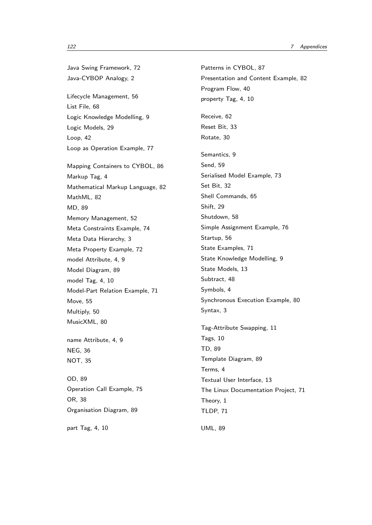Java Swing Framework, 72 Java-CYBOP Analogy, 2 Lifecycle Management, 56 List File, 68 Logic Knowledge Modelling, 9 Logic Models, 29 Loop, 42 Loop as Operation Example, 77 Mapping Containers to CYBOL, 86 Markup Tag, 4 Mathematical Markup Language, 82 MathML, 82 MD, 89 Memory Management, 52 Meta Constraints Example, 74 Meta Data Hierarchy, 3 Meta Property Example, 72 model Attribute, 4, 9 Model Diagram, 89 model Tag, 4, 10 Model-Part Relation Example, 71 Move, 55 Multiply, 50 MusicXML, 80 name Attribute, 4, 9 NEG, 36 NOT, 35 OD, 89 Operation Call Example, 75 OR, 38 Organisation Diagram, 89 part Tag, 4, 10

Patterns in CYBOL, 87 Presentation and Content Example, 82 Program Flow, 40 property Tag, 4, 10 Receive, 62 Reset Bit, 33 Rotate, 30 Semantics, 9 Send, 59 Serialised Model Example, 73 Set Bit, 32 Shell Commands, 65 Shift, 29 Shutdown, 58 Simple Assignment Example, 76 Startup, 56 State Examples, 71 State Knowledge Modelling, 9 State Models, 13 Subtract, 48 Symbols, 4 Synchronous Execution Example, 80 Syntax, 3 Tag-Attribute Swapping, 11 Tags, 10 TD, 89 Template Diagram, 89 Terms, 4 Textual User Interface, 13 The Linux Documentation Project, 71 Theory, 1 TLDP, 71 UML, 89